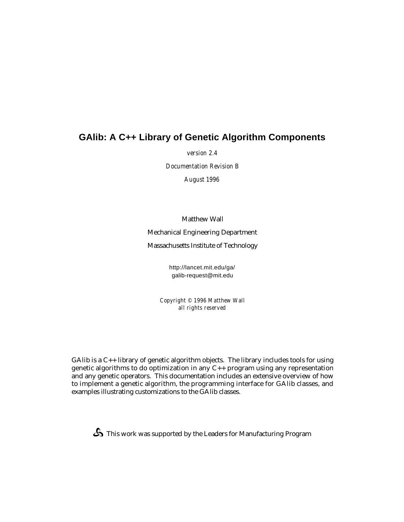# **GAlib: A C++ Library of Genetic Algorithm Components**

*version 2.4*

*Documentation Revision B*

*August 1996*

Matthew Wall

Mechanical Engineering Department

Massachusetts Institute of Technology

http://lancet.mit.edu/ga/ galib-request@mit.edu

*Copyright © 1996 Matthew Wall all rights reserved*

GAlib is a C++ library of genetic algorithm objects. The library includes tools for using genetic algorithms to do optimization in any  $C_{++}$  program using any representation and any genetic operators. This documentation includes an extensive overview of how to implement a genetic algorithm, the programming interface for GAlib classes, and examples illustrating customizations to the GAlib classes.

 $\mathbf{\mathfrak{S}}$  This work was supported by the Leaders for Manufacturing Program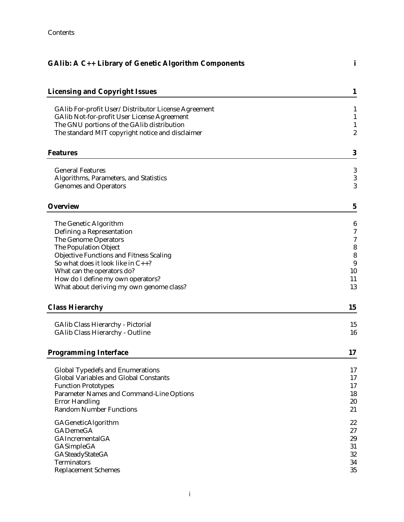| GAlib: A C++ Library of Genetic Algorithm Components                                             |                              |
|--------------------------------------------------------------------------------------------------|------------------------------|
| <b>Licensing and Copyright Issues</b>                                                            | $\mathbf{1}$                 |
|                                                                                                  |                              |
| GAlib For-profit User/Distributor License Agreement                                              | 1                            |
| <b>GAlib Not-for-profit User License Agreement</b><br>The GNU portions of the GAlib distribution | $\mathbf{1}$<br>$\mathbf{1}$ |
| The standard MIT copyright notice and disclaimer                                                 | $\boldsymbol{2}$             |
| <b>Features</b>                                                                                  | 3                            |
| <b>General Features</b>                                                                          | 3                            |
| Algorithms, Parameters, and Statistics                                                           | 3                            |
| <b>Genomes and Operators</b>                                                                     | 3                            |
| <b>Overview</b>                                                                                  | $\mathbf{5}$                 |
| The Genetic Algorithm                                                                            | 6                            |
| Defining a Representation                                                                        | 7                            |
| <b>The Genome Operators</b>                                                                      | 7                            |
| The Population Object                                                                            | 8                            |
| <b>Objective Functions and Fitness Scaling</b>                                                   | 8                            |
| So what does it look like in $C_{++}$ ?                                                          | 9                            |
| What can the operators do?                                                                       | 10                           |
| How do I define my own operators?                                                                | 11                           |
| What about deriving my own genome class?                                                         | 13                           |
| <b>Class Hierarchy</b>                                                                           | 15                           |
| <b>GAlib Class Hierarchy - Pictorial</b>                                                         | 15                           |
| <b>GAlib Class Hierarchy - Outline</b>                                                           | 16                           |
| <b>Programming Interface</b>                                                                     | 17                           |
|                                                                                                  |                              |
| <b>Global Typedefs and Enumerations</b>                                                          | 17                           |
| <b>Global Variables and Global Constants</b>                                                     | 17                           |
| <b>Function Prototypes</b>                                                                       | 17                           |
| <b>Parameter Names and Command-Line Options</b>                                                  | 18<br>20                     |
| <b>Error Handling</b><br><b>Random Number Functions</b>                                          | 21                           |
|                                                                                                  |                              |
| GAGeneticAlgorithm                                                                               | 22                           |
| <b>GADemeGA</b>                                                                                  | 27                           |
| <b>GAIncrementalGA</b>                                                                           | 29                           |
| GASimpleGA<br>GASteadyStateGA                                                                    | 31<br>32                     |
| <b>Terminators</b>                                                                               | 34                           |
| <b>Replacement Schemes</b>                                                                       | 35                           |
|                                                                                                  |                              |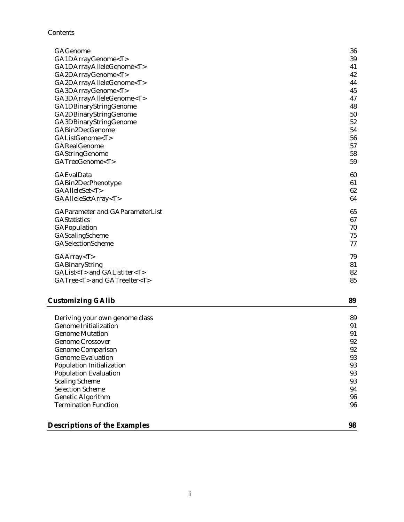Contents

| <b>GAGenome</b>                        | 36 |
|----------------------------------------|----|
| GA1DArrayGenome <t></t>                | 39 |
| GA1DArrayAlleleGenome <t></t>          | 41 |
| GA2DArrayGenome <t></t>                | 42 |
| GA2DArrayAlleleGenome <t></t>          | 44 |
| GA3DArrayGenome <t></t>                | 45 |
| GA3DArrayAlleleGenome <t></t>          | 47 |
| GA1DBinaryStringGenome                 | 48 |
| GA2DBinaryStringGenome                 | 50 |
| GA3DBinaryStringGenome                 | 52 |
| GABin2DecGenome                        | 54 |
| GAListGenome <t></t>                   | 56 |
| <b>GARealGenome</b>                    | 57 |
| <b>GAStringGenome</b>                  | 58 |
| GATreeGenome <t></t>                   | 59 |
| <b>GAEvalData</b>                      | 60 |
| GABin2DecPhenotype                     | 61 |
| GAAlleleSet <t></t>                    | 62 |
| GAAlleleSetArray <t></t>               | 64 |
| <b>GAParameter and GAParameterList</b> | 65 |
| <b>GAStatistics</b>                    | 67 |
| <b>GAPopulation</b>                    | 70 |
| GAScalingScheme                        | 75 |
| <b>GASelectionScheme</b>               | 77 |
| GAArray < T >                          | 79 |
| <b>GABinaryString</b>                  | 81 |
| GAList <t> and GAListIter<t></t></t>   | 82 |
| GATree <t> and GATreeIter<t></t></t>   | 85 |
|                                        |    |

# **Customizing GAlib 89**

| Deriving your own genome class      | 89 |
|-------------------------------------|----|
| <b>Genome Initialization</b>        | 91 |
| <b>Genome Mutation</b>              | 91 |
| <b>Genome Crossover</b>             | 92 |
| <b>Genome Comparison</b>            | 92 |
| <b>Genome Evaluation</b>            | 93 |
| <b>Population Initialization</b>    | 93 |
| <b>Population Evaluation</b>        | 93 |
| <b>Scaling Scheme</b>               | 93 |
| <b>Selection Scheme</b>             | 94 |
| <b>Genetic Algorithm</b>            | 96 |
| <b>Termination Function</b>         | 96 |
| <b>Descriptions of the Examples</b> | 98 |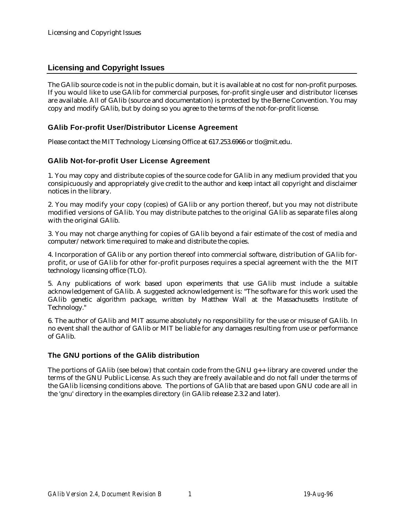# **Licensing and Copyright Issues**

The GAlib source code is not in the public domain, but it is available at no cost for non-profit purposes. If you would like to use GAlib for commercial purposes, for-profit single user and distributor licenses are available. All of GAlib (source and documentation) is protected by the Berne Convention. You may copy and modify GAlib, but by doing so you agree to the terms of the not-for-profit license.

# **GAlib For-profit User/Distributor License Agreement**

Please contact the MIT Technology Licensing Office at 617.253.6966 or tlo@mit.edu.

## **GAlib Not-for-profit User License Agreement**

1. You may copy and distribute copies of the source code for GAlib in any medium provided that you consipicuously and appropriately give credit to the author and keep intact all copyright and disclaimer notices in the library.

2. You may modify your copy (copies) of GAlib or any portion thereof, but you may not distribute modified versions of GAlib. You may distribute patches to the original GAlib as separate files along with the original GAlib.

3. You may not charge anything for copies of GAlib beyond a fair estimate of the cost of media and computer/network time required to make and distribute the copies.

4. Incorporation of GAlib or any portion thereof into commercial software, distribution of GAlib forprofit, or use of GAlib for other for-profit purposes requires a special agreement with the the MIT technology licensing office (TLO).

5. Any publications of work based upon experiments that use GAlib must include a suitable acknowledgement of GAlib. A suggested acknowledgement is: "The software for this work used the GAlib genetic algorithm package, written by Matthew Wall at the Massachusetts Institute of Technology."

6. The author of GAlib and MIT assume absolutely no responsibility for the use or misuse of GAlib. In no event shall the author of GAlib or MIT be liable for any damages resulting from use or performance of GAlib.

## **The GNU portions of the GAlib distribution**

The portions of GAlib (see below) that contain code from the GNU  $g_{++}$  library are covered under the terms of the GNU Public License. As such they are freely available and do not fall under the terms of the GAlib licensing conditions above. The portions of GAlib that are based upon GNU code are all in the 'gnu' directory in the examples directory (in GAlib release 2.3.2 and later).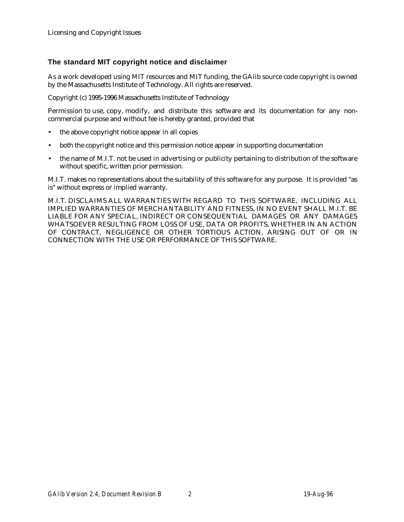# **The standard MIT copyright notice and disclaimer**

As a work developed using MIT resources and MIT funding, the GAlib source code copyright is owned by the Massachusetts Institute of Technology. All rights are reserved.

Copyright (c) 1995-1996 Massachusetts Institute of Technology

Permission to use, copy, modify, and distribute this software and its documentation for any noncommercial purpose and without fee is hereby granted, provided that

- the above copyright notice appear in all copies
- both the copyright notice and this permission notice appear in supporting documentation
- the name of M.I.T. not be used in advertising or publicity pertaining to distribution of the software without specific, written prior permission.

M.I.T. makes no representations about the suitability of this software for any purpose. It is provided "as is" without express or implied warranty.

M.I.T. DISCLAIMS ALL WARRANTIES WITH REGARD TO THIS SOFTWARE, INCLUDING ALL IMPLIED WARRANTIES OF MERCHANTABILITY AND FITNESS, IN NO EVENT SHALL M.I.T. BE LIABLE FOR ANY SPECIAL, INDIRECT OR CONSEQUENTIAL DAMAGES OR ANY DAMAGES WHATSOEVER RESULTING FROM LOSS OF USE, DATA OR PROFITS, WHETHER IN AN ACTION OF CONTRACT, NEGLIGENCE OR OTHER TORTIOUS ACTION, ARISING OUT OF OR IN CONNECTION WITH THE USE OR PERFORMANCE OF THIS SOFTWARE.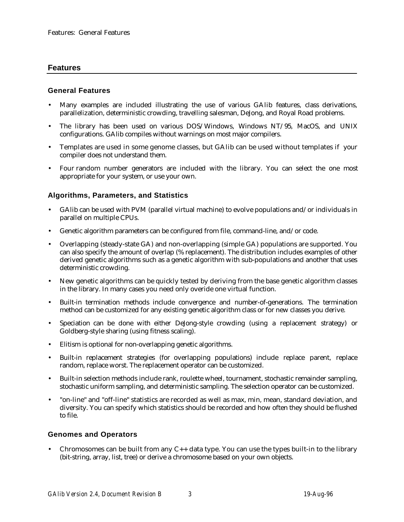## **Features**

## **General Features**

- Many examples are included illustrating the use of various GAlib features, class derivations, parallelization, deterministic crowding, travelling salesman, DeJong, and Royal Road problems.
- The library has been used on various DOS/Windows, Windows NT/95, MacOS, and UNIX configurations. GAlib compiles without warnings on most major compilers.
- Templates are used in some genome classes, but GAlib can be used without templates if your compiler does not understand them.
- Four random number generators are included with the library. You can select the one most appropriate for your system, or use your own.

## **Algorithms, Parameters, and Statistics**

- GAlib can be used with PVM (parallel virtual machine) to evolve populations and/or individuals in parallel on multiple CPUs.
- Genetic algorithm parameters can be configured from file, command-line, and/or code.
- Overlapping (steady-state GA) and non-overlapping (simple GA) populations are supported. You can also specify the amount of overlap (% replacement). The distribution includes examples of other derived genetic algorithms such as a genetic algorithm with sub-populations and another that uses deterministic crowding.
- New genetic algorithms can be quickly tested by deriving from the base genetic algorithm classes in the library. In many cases you need only overide one virtual function.
- Built-in termination methods include convergence and number-of-generations. The termination method can be customized for any existing genetic algorithm class or for new classes you derive.
- Speciation can be done with either DeJong-style crowding (using a replacement strategy) or Goldberg-style sharing (using fitness scaling).
- Elitism is optional for non-overlapping genetic algorithms.
- Built-in replacement strategies (for overlapping populations) include replace parent, replace random, replace worst. The replacement operator can be customized.
- Built-in selection methods include rank, roulette wheel, tournament, stochastic remainder sampling, stochastic uniform sampling, and deterministic sampling. The selection operator can be customized.
- "on-line" and "off-line" statistics are recorded as well as max, min, mean, standard deviation, and diversity. You can specify which statistics should be recorded and how often they should be flushed to file.

## **Genomes and Operators**

Chromosomes can be built from any  $C_{++}$  data type. You can use the types built-in to the library (bit-string, array, list, tree) or derive a chromosome based on your own objects.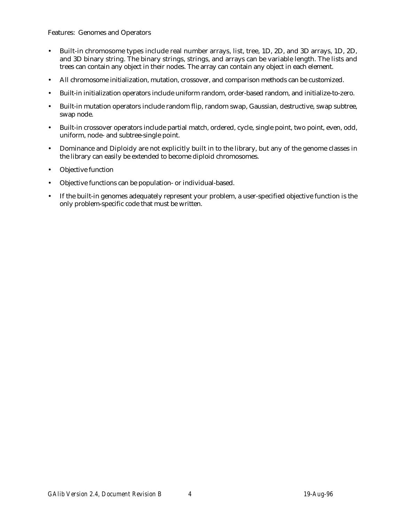Features: Genomes and Operators

- Built-in chromosome types include real number arrays, list, tree, 1D, 2D, and 3D arrays, 1D, 2D, and 3D binary string. The binary strings, strings, and arrays can be variable length. The lists and trees can contain any object in their nodes. The array can contain any object in each element.
- All chromosome initialization, mutation, crossover, and comparison methods can be customized.
- Built-in initialization operators include uniform random, order-based random, and initialize-to-zero.
- Built-in mutation operators include random flip, random swap, Gaussian, destructive, swap subtree, swap node.
- Built-in crossover operators include partial match, ordered, cycle, single point, two point, even, odd, uniform, node- and subtree-single point.
- Dominance and Diploidy are not explicitly built in to the library, but any of the genome classes in the library can easily be extended to become diploid chromosomes.
- Objective function
- Objective functions can be population- or individual-based.
- If the built-in genomes adequately represent your problem, a user-specified objective function is the only problem-specific code that must be written.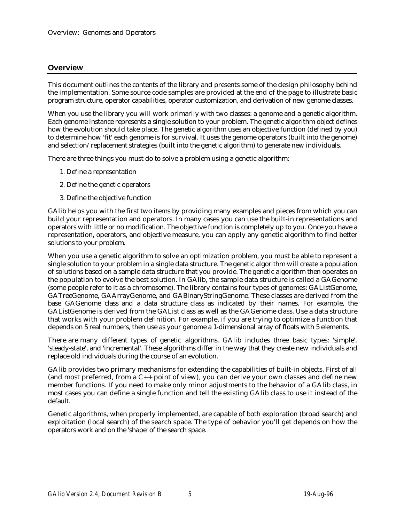## **Overview**

This document outlines the contents of the library and presents some of the design philosophy behind the implementation. Some source code samples are provided at the end of the page to illustrate basic program structure, operator capabilities, operator customization, and derivation of new genome classes.

When you use the library you will work primarily with two classes: a genome and a genetic algorithm. Each genome instance represents a single solution to your problem. The genetic algorithm object defines how the evolution should take place. The genetic algorithm uses an objective function (defined by you) to determine how 'fit' each genome is for survival. It uses the genome operators (built into the genome) and selection/replacement strategies (built into the genetic algorithm) to generate new individuals.

There are three things you must do to solve a problem using a genetic algorithm:

- 1. Define a representation
- 2. Define the genetic operators
- 3. Define the objective function

GAlib helps you with the first two items by providing many examples and pieces from which you can build your representation and operators. In many cases you can use the built-in representations and operators with little or no modification. The objective function is completely up to you. Once you have a representation, operators, and objective measure, you can apply any genetic algorithm to find better solutions to your problem.

When you use a genetic algorithm to solve an optimization problem, you must be able to represent a single solution to your problem in a single data structure. The genetic algorithm will create a population of solutions based on a sample data structure that you provide. The genetic algorithm then operates on the population to evolve the best solution. In GAlib, the sample data structure is called a GAGenome (some people refer to it as a chromosome). The library contains four types of genomes: GAListGenome, GATreeGenome, GAArrayGenome, and GABinaryStringGenome. These classes are derived from the base GAGenome class and a data structure class as indicated by their names. For example, the GAListGenome is derived from the GAList class as well as the GAGenome class. Use a data structure that works with your problem definition. For example, if you are trying to optimize a function that depends on 5 real numbers, then use as your genome a 1-dimensional array of floats with 5 elements.

There are many different types of genetic algorithms. GAlib includes three basic types: 'simple', 'steady-state', and 'incremental'. These algorithms differ in the way that they create new individuals and replace old individuals during the course of an evolution.

GAlib provides two primary mechanisms for extending the capabilities of built-in objects. First of all (and most preferred, from a C++ point of view), you can derive your own classes and define new member functions. If you need to make only minor adjustments to the behavior of a GAlib class, in most cases you can define a single function and tell the existing GAlib class to use it instead of the default.

Genetic algorithms, when properly implemented, are capable of both exploration (broad search) and exploitation (local search) of the search space. The type of behavior you'll get depends on how the operators work and on the 'shape' of the search space.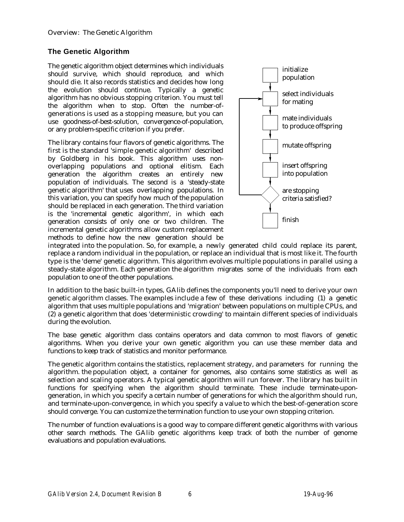# **The Genetic Algorithm**

The genetic algorithm object determines which individuals should survive, which should reproduce, and which should die. It also records statistics and decides how long the evolution should continue. Typically a genetic algorithm has no obvious stopping criterion. You must tell the algorithm when to stop. Often the number-ofgenerations is used as a stopping measure, but you can use goodness-of-best-solution, convergence-of-population, or any problem-specific criterion if you prefer.

The library contains four flavors of genetic algorithms. The first is the standard 'simple genetic algorithm' described by Goldberg in his book. This algorithm uses nonoverlapping populations and optional elitism. Each generation the algorithm creates an entirely new population of individuals. The second is a 'steady-state genetic algorithm' that uses overlapping populations. In this variation, you can specify how much of the population should be replaced in each generation. The third variation is the 'incremental genetic algorithm', in which each generation consists of only one or two children. The incremental genetic algorithms allow custom replacement methods to define how the new generation should be



integrated into the population. So, for example, a newly generated child could replace its parent, replace a random individual in the population, or replace an individual that is most like it. The fourth type is the 'deme' genetic algorithm. This algorithm evolves multiple populations in parallel using a steady-state algorithm. Each generation the algorithm migrates some of the individuals from each population to one of the other populations.

In addition to the basic built-in types, GAlib defines the components you'll need to derive your own genetic algorithm classes. The examples include a few of these derivations including (1) a genetic algorithm that uses multiple populations and 'migration' between populations on multiple CPUs, and (2) a genetic algorithm that does 'deterministic crowding' to maintain different species of individuals during the evolution.

The base genetic algorithm class contains operators and data common to most flavors of genetic algorithms. When you derive your own genetic algorithm you can use these member data and functions to keep track of statistics and monitor performance.

The genetic algorithm contains the statistics, replacement strategy, and parameters for running the algorithm. the population object, a container for genomes, also contains some statistics as well as selection and scaling operators. A typical genetic algorithm will run forever. The library has built in functions for specifying when the algorithm should terminate. These include terminate-upongeneration, in which you specify a certain number of generations for which the algorithm should run, and terminate-upon-convergence, in which you specify a value to which the best-of-generation score should converge. You can customize the termination function to use your own stopping criterion.

The number of function evaluations is a good way to compare different genetic algorithms with various other search methods. The GAlib genetic algorithms keep track of both the number of genome evaluations and population evaluations.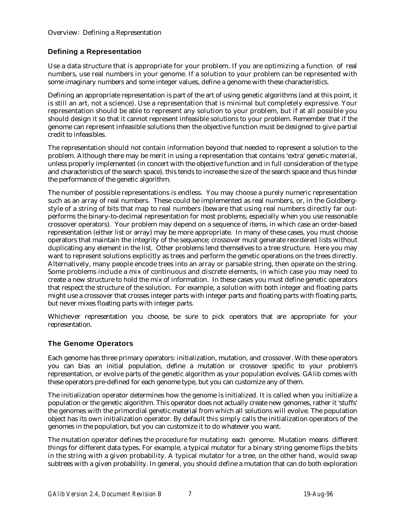# **Defining a Representation**

Use a data structure that is appropriate for your problem. If you are optimizing a function of real numbers, use real numbers in your genome. If a solution to your problem can be represented with some imaginary numbers and some integer values, define a genome with these characteristics.

Defining an appropriate representation is part of the art of using genetic algorithms (and at this point, it is still an art, not a science). Use a representation that is minimal but completely expressive. Your representation should be able to represent any solution to your problem, but if at all possible you should design it so that it cannot represent infeasible solutions to your problem. Remember that if the genome can represent infeasible solutions then the objective function must be designed to give partial credit to infeasibles.

The representation should not contain information beyond that needed to represent a solution to the problem. Although there may be merit in using a representation that contains 'extra' genetic material, unless properly implemented (in concert with the objective function and in full consideration of the type and characteristics of the search space), this tends to increase the size of the search space and thus hinder the performance of the genetic algorithm.

The number of possible representations is endless. You may choose a purely numeric representation such as an array of real numbers. These could be implemented as real numbers, or, in the Goldbergstyle of a string of bits that map to real numbers (beware that using real numbers directly far outperforms the binary-to-decimal representation for most problems, especially when you use reasonable crossover operators). Your problem may depend on a sequence of items, in which case an order-based representation (either list or array) may be more appropriate. In many of these cases, you must choose operators that maintain the integrity of the sequence; crossover must generate reordered lists without duplicating any element in the list. Other problems lend themselves to a tree structure. Here you may want to represent solutions explicitly as trees and perform the genetic operations on the trees directly. Alternatively, many people encode trees into an array or parsable string, then operate on the string. Some problems include a mix of continuous and discrete elements, in which case you may need to create a new structure to hold the mix of information. In these cases you must define genetic operators that respect the structure of the solution. For example, a solution with both integer and floating parts might use a crossover that crosses integer parts with integer parts and floating parts with floating parts, but never mixes floating parts with integer parts.

Whichever representation you choose, be sure to pick operators that are appropriate for your representation.

## **The Genome Operators**

Each genome has three primary operators: initialization, mutation, and crossover. With these operators you can bias an initial population, define a mutation or crossover specific to your problem's representation, or evolve parts of the genetic algorithm as your population evolves. GAlib comes with these operators pre-defined for each genome type, but you can customize any of them.

The initialization operator determines how the genome is initialized. It is called when you initialize a population or the genetic algorithm. This operator does not actually create new genomes, rather it 'stuffs' the genomes with the primordial genetic material from which all solutions will evolve. The population object has its own initialization operator. By default this simply calls the initialization operators of the genomes in the population, but you can customize it to do whatever you want.

The mutation operator defines the procedure for mutating each genome. Mutation means different things for different data types. For example, a typical mutator for a binary string genome flips the bits in the string with a given probability. A typical mutator for a tree, on the other hand, would swap subtrees with a given probability. In general, you should define a mutation that can do both exploration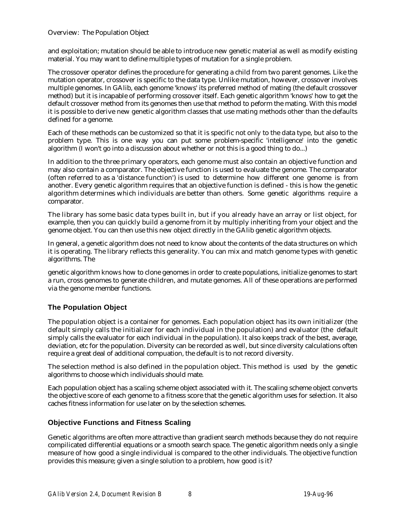and exploitation; mutation should be able to introduce new genetic material as well as modify existing material. You may want to define multiple types of mutation for a single problem.

The crossover operator defines the procedure for generating a child from two parent genomes. Like the mutation operator, crossover is specific to the data type. Unlike mutation, however, crossover involves multiple genomes. In GAlib, each genome 'knows' its preferred method of mating (the default crossover method) but it is incapable of performing crossover itself. Each genetic algorithm 'knows' how to get the default crossover method from its genomes then use that method to peform the mating. With this model it is possible to derive new genetic algorithm classes that use mating methods other than the defaults defined for a genome.

Each of these methods can be customized so that it is specific not only to the data type, but also to the problem type. This is one way you can put some problem-specific 'intelligence' into the genetic algorithm (I won't go into a discussion about whether or not this is a good thing to do...)

In addition to the three primary operators, each genome must also contain an objective function and may also contain a comparator. The objective function is used to evaluate the genome. The comparator (often referred to as a 'distance function') is used to determine how different one genome is from another. Every genetic algorithm requires that an objective function is defined - this is how the genetic algorithm determines which individuals are better than others. Some genetic algorithms require a comparator.

The library has some basic data types built in, but if you already have an array or list object, for example, then you can quickly build a genome from it by multiply inheriting from your object and the genome object. You can then use this new object directly in the GAlib genetic algorithm objects.

In general, a genetic algorithm does not need to know about the contents of the data structures on which it is operating. The library reflects this generality. You can mix and match genome types with genetic algorithms. The

genetic algorithm knows how to clone genomes in order to create populations, initialize genomes to start a run, cross genomes to generate children, and mutate genomes. All of these operations are performed via the genome member functions.

# **The Population Object**

The population object is a container for genomes. Each population object has its own initializer (the default simply calls the initializer for each individual in the population) and evaluator (the default simply calls the evaluator for each individual in the population). It also keeps track of the best, average, deviation, etc for the population. Diversity can be recorded as well, but since diversity calculations often require a great deal of additional compuation, the default is to not record diversity.

The selection method is also defined in the population object. This method is used by the genetic algorithms to choose which individuals should mate.

Each population object has a scaling scheme object associated with it. The scaling scheme object converts the objective score of each genome to a fitness score that the genetic algorithm uses for selection. It also caches fitness information for use later on by the selection schemes.

## **Objective Functions and Fitness Scaling**

Genetic algorithms are often more attractive than gradient search methods because they do not require compilicated differential equations or a smooth search space. The genetic algorithm needs only a single measure of how good a single individual is compared to the other individuals. The objective function provides this measure; given a single solution to a problem, how good is it?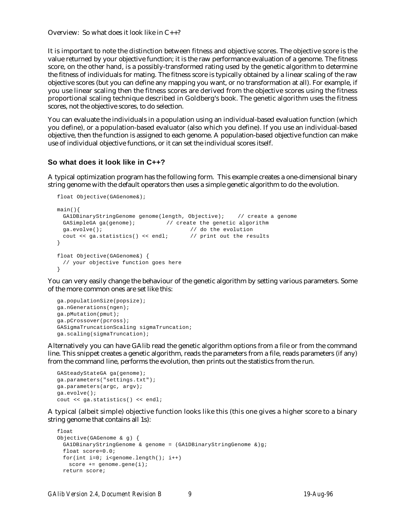Overview: So what does it look like in C++?

It is important to note the distinction between fitness and objective scores. The objective score is the value returned by your objective function; it is the raw performance evaluation of a genome. The fitness score, on the other hand, is a possibly-transformed rating used by the genetic algorithm to determine the fitness of individuals for mating. The fitness score is typically obtained by a linear scaling of the raw objective scores (but you can define any mapping you want, or no transformation at all). For example, if you use linear scaling then the fitness scores are derived from the objective scores using the fitness proportional scaling technique described in Goldberg's book. The genetic algorithm uses the fitness scores, not the objective scores, to do selection.

You can evaluate the individuals in a population using an individual-based evaluation function (which you define), or a population-based evaluator (also which you define). If you use an individual-based objective, then the function is assigned to each genome. A population-based objective function can make use of individual objective functions, or it can set the individual scores itself.

## **So what does it look like in C++?**

A typical optimization program has the following form. This example creates a one-dimensional binary string genome with the default operators then uses a simple genetic algorithm to do the evolution.

```
float Objective(GAGenome&);
main(){
 GA1DBinaryStringGenome genome(length, Objective); // create a genome
 GASimpleGA ga(genome); \frac{1}{2} // create the genetic algorithm
  ga.evolve(); // do the evolution
  cout << ga.statistics() << endl; // print out the results
}
float Objective(GAGenome&) {
 // your objective function goes here
}
```
You can very easily change the behaviour of the genetic algorithm by setting various parameters. Some of the more common ones are set like this:

```
ga.populationSize(popsize);
ga.nGenerations(ngen);
ga.pMutation(pmut);
ga.pCrossover(pcross);
GASigmaTruncationScaling sigmaTruncation;
ga.scaling(sigmaTruncation);
```
Alternatively you can have GAlib read the genetic algorithm options from a file or from the command line. This snippet creates a genetic algorithm, reads the parameters from a file, reads parameters (if any) from the command line, performs the evolution, then prints out the statistics from the run.

```
GASteadyStateGA ga(genome);
ga.parameters("settings.txt");
ga.parameters(argc, argv);
ga.evolve();
cout << ga.statistics() << endl;
```
A typical (albeit simple) objective function looks like this (this one gives a higher score to a binary string genome that contains all 1s):

```
float
Objective(GAGenome & g) {
 GA1DBinaryStringGenome & genome = (GA1DBinaryStringGenome &)g;
 float score=0.0;
 for(int i=0; i<genome.length(); i++)score += genome.gene(i);
 return score;
```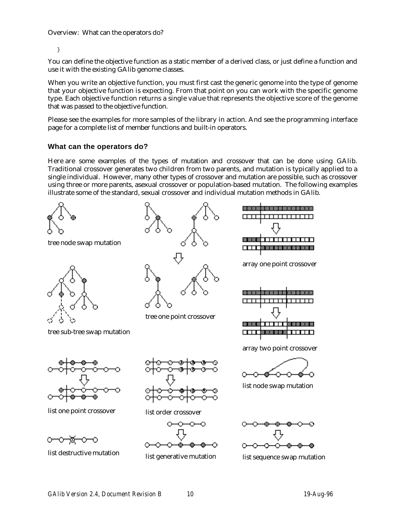Overview: What can the operators do?

}

You can define the objective function as a static member of a derived class, or just define a function and use it with the existing GAlib genome classes.

When you write an objective function, you must first cast the generic genome into the type of genome that your objective function is expecting. From that point on you can work with the specific genome type. Each objective function returns a single value that represents the objective score of the genome that was passed to the objective function.

Please see the examples for more samples of the library in action. And see the programming interface page for a complete list of member functions and built-in operators.

## **What can the operators do?**

Here are some examples of the types of mutation and crossover that can be done using GAlib. Traditional crossover generates two children from two parents, and mutation is typically applied to a single individual. However, many other types of crossover and mutation are possible, such as crossover using three or more parents, asexual crossover or population-based mutation. The following examples illustrate some of the standard, sexual crossover and individual mutation methods in GAlib.

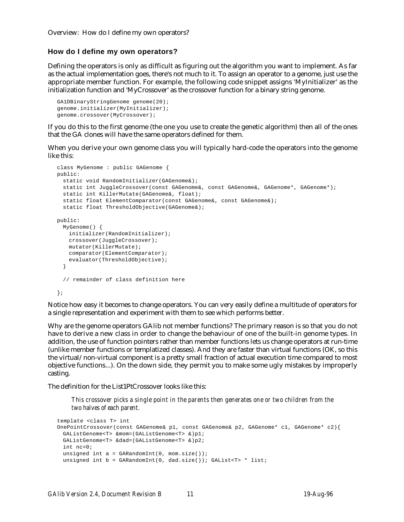Overview: How do I define my own operators?

## **How do I define my own operators?**

Defining the operators is only as difficult as figuring out the algorithm you want to implement. As far as the actual implementation goes, there's not much to it. To assign an operator to a genome, just use the appropriate member function. For example, the following code snippet assigns 'MyInitializer' as the initialization function and 'MyCrossover' as the crossover function for a binary string genome.

```
GA1DBinaryStringGenome genome(20);
genome.initializer(MyInitializer);
genome.crossover(MyCrossover);
```
If you do this to the first genome (the one you use to create the genetic algorithm) then all of the ones that the GA clones will have the same operators defined for them.

When you derive your own genome class you will typically hard-code the operators into the genome like this:

```
class MyGenome : public GAGenome {
public:
 static void RandomInitializer(GAGenome&);
 static int JuggleCrossover(const GAGenome&, const GAGenome&, GAGenome*, GAGenome*);
 static int KillerMutate(GAGenome&, float);
 static float ElementComparator(const GAGenome&, const GAGenome&);
 static float ThresholdObjective(GAGenome&);
public:
 MyGenome() {
   initializer(RandomInitializer);
   crossover(JuggleCrossover);
   mutator(KillerMutate);
   comparator(ElementComparator);
   evaluator(ThresholdObjective);
  }
  // remainder of class definition here
};
```
Notice how easy it becomes to change operators. You can very easily define a multitude of operators for a single representation and experiment with them to see which performs better.

Why are the genome operators GAlib not member functions? The primary reason is so that you do not have to derive a new class in order to change the behaviour of one of the built-in genome types. In addition, the use of function pointers rather than member functions lets us change operators at run-time (unlike member functions or templatized classes). And they are faster than virtual functions (OK, so this the virtual/non-virtual component is a pretty small fraction of actual execution time compared to most objective functions...). On the down side, they permit you to make some ugly mistakes by improperly casting.

The definition for the List1PtCrossover looks like this:

*This crossover picks a single point in the parents then generates one or two children from the two halves of each parent.*

```
template <class T> int
OnePointCrossover(const GAGenome& p1, const GAGenome& p2, GAGenome* c1, GAGenome* c2){
 GAListGenome<T> &mom=(GAListGenome<T> &)p1;
 GAListGenome<T> &dad=(GAListGenome<T> &)p2;
 int nc=0;
 unsigned int a = \text{GARandomInt}(0, \text{mom.size}());
  unsigned int b = \text{GARandomInt}(0, \text{ dad.size}()); \text{GAList<T> * list};
```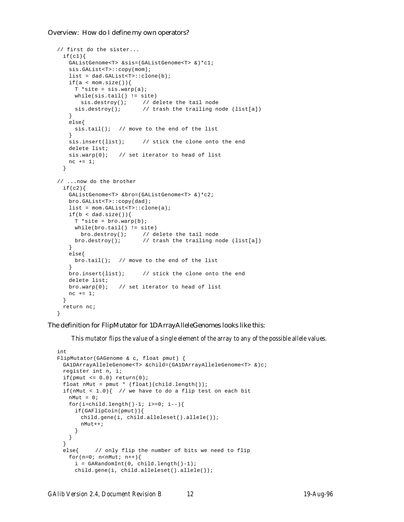## Overview: How do I define my own operators?

```
// first do the sister...
 if(c1){}GAListGenome<T> &sis=(GAListGenome<T> &)*c1;
   sis.GAList<T>::copy(mom);
   list = dad.GAList<T>::clone(b);
   if(a < mom.size()){
    T * site = sis.wavp(a);while(sis.tail() != site()sis.destroy(); // delete the tail node
     sis.destroy(); \qquad // trash the trailing node (list[a])
   }
   else{
    sis.tail(); // move to the end of the list
   }
   sis.insert(list); // stick the clone onto the end
   delete list;
  sis.warp(0); \frac{1}{2} // set iterator to head of list
   nc += 1;
 }
// ...now do the brother
 if(c2)GAListGenome<T> &bro=(GAListGenome<T> &)*c2;
   bro.GAList<T>::copy(dad);
   list = mom.GAList<T>::clone(a);
   if(b < dad.size())T * site = bro.wavp(b);while(bro.tail() != site)
      bro.destroy(); // delete the tail node
    bro.destroy(); // trash the trailing node (list[a])
   }
   else{
    bro.tail(); // move to the end of the list
   }
   bro.insert(list); // stick the clone onto the end
   delete list;
   bro.warp(0); // set iterator to head of list
   nc += 1;}
 return nc;
}
```
## The definition for FlipMutator for 1DArrayAlleleGenomes looks like this:

*This mutator flips the value of a single element of the array to any of the possible allele values.*

```
int
FlipMutator(GAGenome & c, float pmut) {
 GA1DArrayAlleleGenome<T> &child=(GA1DArrayAlleleGenome<T> &)c;
 register int n, i;
 if(pmut \leq 0.0) return(0);
 float nMut = pmut * (float)(child.length());
 if(nMut < 1.0){ // we have to do a flip test on each bit
   nMut = 0;
   for(i=child.length()-1; i>=0; i--){
     if(GAFlipCoin(pmut)){
       child.gene(i, child.alleleset().allele());
       nMut++;
     }
   }
 }
 else{ // only flip the number of bits we need to flip
   for(n=0; n< nMut; n++){
     i = GARandomInt(0, child.length()-1);
     child.gene(i, child.alleleset().allele());
```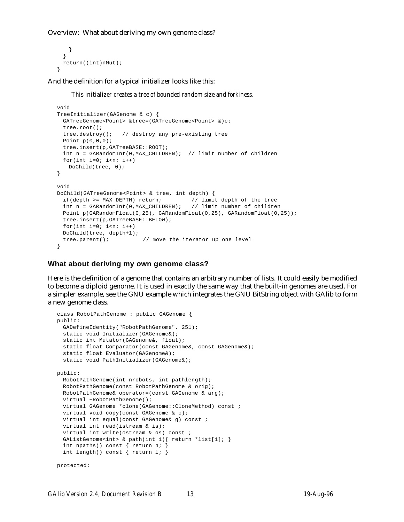Overview: What about deriving my own genome class?

```
}
 }
 return((int)nMut);
}
```
And the definition for a typical initializer looks like this:

*This initializer creates a tree of bounded random size and forkiness.*

```
void
TreeInitializer(GAGenome & c) {
 GATreeGenome<Point> &tree=(GATreeGenome<Point> &)c;
 tree.root();
 tree.destroy(); // destroy any pre-existing tree
 Point p(0,0,0);
 tree.insert(p,GATreeBASE::ROOT);
 int n = GARandomInt(0,MAX_CHILDREN); // limit number of children
 for(int i=0; i<n; i++)
   DoChild(tree, 0);
}
void
DoChild(GATreeGenome<Point> & tree, int depth) {
 if(depth >= MAX_DEPTH) return; // limit depth of the tree
 int n = GARandomInt(0,MAX_CHILDREN); // limit number of children
 Point p(GARandomFloat(0,25), GARandomFloat(0,25), GARandomFloat(0,25));
 tree.insert(p,GATreeBASE::BELOW);
 for(int i=0; i<n; i++)
 DoChild(tree, depth+1);
 tree.parent(); \qquad // move the iterator up one level
}
```
## **What about deriving my own genome class?**

Here is the definition of a genome that contains an arbitrary number of lists. It could easily be modified to become a diploid genome. It is used in exactly the same way that the built-in genomes are used. For a simpler example, see the GNU example which integrates the GNU BitString object with GAlib to form a new genome class.

```
class RobotPathGenome : public GAGenome {
public:
 GADefineIdentity("RobotPathGenome", 251);
 static void Initializer(GAGenome&);
 static int Mutator(GAGenome&, float);
 static float Comparator(const GAGenome&, const GAGenome&);
 static float Evaluator(GAGenome&);
 static void PathInitializer(GAGenome&);
public:
 RobotPathGenome(int nrobots, int pathlength);
 RobotPathGenome(const RobotPathGenome & orig);
 RobotPathGenome& operator=(const GAGenome & arg);
 virtual ~RobotPathGenome();
 virtual GAGenome *clone(GAGenome::CloneMethod) const ;
 virtual void copy(const GAGenome & c);
 virtual int equal(const GAGenome& g) const ;
 virtual int read(istream & is);
 virtual int write(ostream & os) const ;
 GAListGenome<int> & path(int i){ return *list[i]; }
 int npaths() const { return n; }
 int length() const { return l; }
protected:
```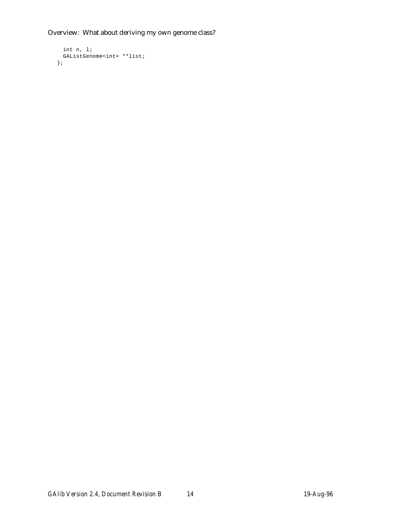Overview: What about deriving my own genome class?

```
int n, l;
  GAListGenome<int> **list;
};
```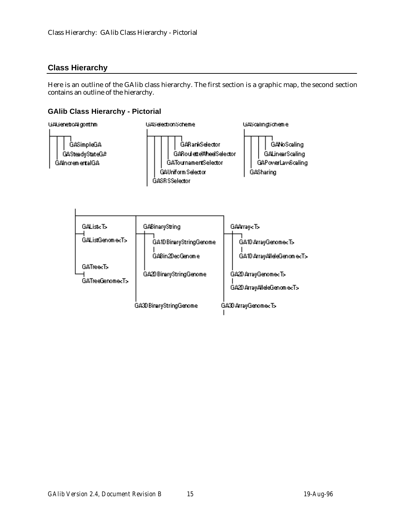# **Class Hierarchy**

Here is an outline of the GAlib class hierarchy. The first section is a graphic map, the second section contains an outline of the hierarchy.

# **GAlib Class Hierarchy - Pictorial**

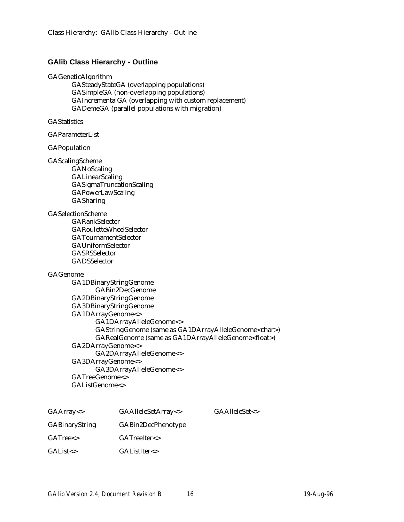## **GAlib Class Hierarchy - Outline**

## GAGeneticAlgorithm

GASteadyStateGA (overlapping populations) GASimpleGA (non-overlapping populations) GAIncrementalGA (overlapping with custom replacement) GADemeGA (parallel populations with migration)

## **GAStatistics**

GAParameterList

## GAPopulation

## GAScalingScheme

GANoScaling **GALinearScaling** GASigmaTruncationScaling GAPowerLawScaling **GASharing** 

## GASelectionScheme

GARankSelector GARouletteWheelSelector GATournamentSelector GAUniformSelector GASRSSelector GADSSelector

## GAGenome

GA1DBinaryStringGenome GABin2DecGenome GA2DBinaryStringGenome GA3DBinaryStringGenome GA1DArrayGenome<> GA1DArrayAlleleGenome<> GAStringGenome (same as GA1DArrayAlleleGenome<char>) GARealGenome (same as GA1DArrayAlleleGenome<float>) GA2DArrayGenome<> GA2DArrayAlleleGenome<> GA3DArrayGenome<> GA3DArrayAlleleGenome<> GATreeGenome<> GAListGenome<>

| GAArray <>            | GAAlleleSetArray <> |
|-----------------------|---------------------|
| <b>GABinaryString</b> | GABin2DecPhenotype  |
| $GATree \leftarrow$   | GATreeIter <        |
| $GAList \leftarrow$   | GAListIter<>        |

 $GA$ AlleleSet $\lt$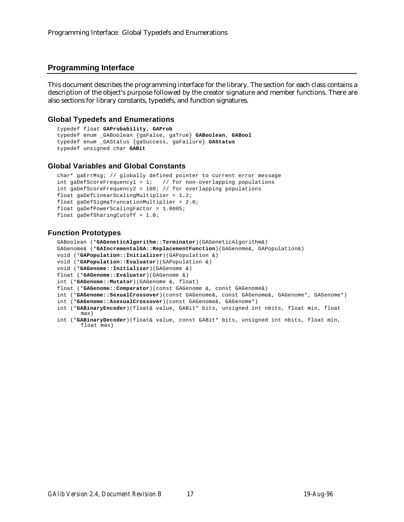## **Programming Interface**

This document describes the programming interface for the library. The section for each class contains a description of the object's purpose followed by the creator signature and member functions. There are also sections for library constants, typedefs, and function signatures.

## **Global Typedefs and Enumerations**

```
typedef float GAProbability, GAProb
typedef enum _GABoolean {gaFalse, gaTrue} GABoolean, GABool
typedef enum _GAStatus {gaSuccess, gaFailure} GAStatus
typedef unsigned char GABit
```
## **Global Variables and Global Constants**

```
char* gaErrMsg; // globally defined pointer to current error message
int gaDefScoreFrequency1 = 1; \frac{1}{1} / for non-overlapping populations
int gaDefScoreFrequency2 = 100; // for overlapping populations
float gaDefLinearScalingMultiplier = 1.2;
float gaDefSigmaTruncationMultiplier = 2.0;
float gaDefPowerScalingFactor = 1.0005;
float gaDefSharingCutoff = 1.0;
```
## **Function Prototypes**

GABoolean (\***GAGeneticAlgorithm::Terminator**)(GAGeneticAlgorithm&) GAGenome& (\***GAIncrementalGA::ReplacementFunction**)(GAGenome&, GAPopulation&)

- void (\***GAPopulation::Initializer**)(GAPopulation &)
- void (\***GAPopulation::Evaluator**)(GAPopulation &)
- void (\***GAGenome::Initializer**)(GAGenome &)
- float (\***GAGenome::Evaluator**)(GAGenome &)
- int (\***GAGenome::Mutator**)(GAGenome &, float)

float (\***GAGenome::Comparator**)(const GAGenome &, const GAGenome&)

- int (\***GAGenome::SexualCrossover**)(const GAGenome&, const GAGenome&, GAGenome\*, GAGenome\*)
- int (\***GAGenome::AsexualCrossover**)(const GAGenome&, GAGenome\*)
- int (\***GABinaryEncoder**)(float& value, GABit\* bits, unsigned int nbits, float min, float max)
- int (\***GABinaryDecoder**)(float& value, const GABit\* bits, unsigned int nbits, float min, float max)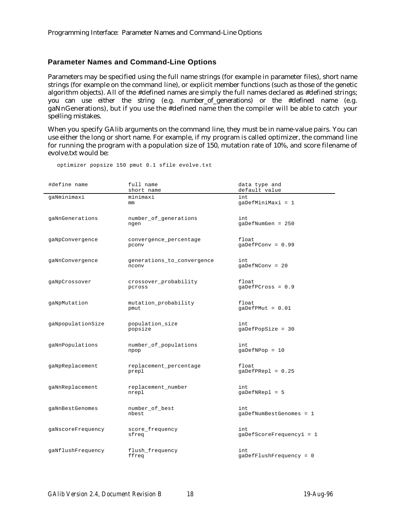## **Parameter Names and Command-Line Options**

Parameters may be specified using the full name strings (for example in parameter files), short name strings (for example on the command line), or explicit member functions (such as those of the genetic algorithm objects). All of the #defined names are simply the full names declared as #defined strings; you can use either the string (e.g. number\_of\_generations) or the #defined name (e.g. gaNnGenerations), but if you use the #defined name then the compiler will be able to catch your spelling mistakes.

When you specify GAlib arguments on the command line, they must be in name-value pairs. You can use either the long or short name. For example, if my program is called optimizer, the command line for running the program with a population size of 150, mutation rate of 10%, and score filename of evolve.txt would be:

| #define name      | full name<br>short name             | data type and<br>default value  |
|-------------------|-------------------------------------|---------------------------------|
| qaNminimaxi       | minimaxi<br>mm                      | int<br>gaDefMiniMaxi = 1        |
| gaNnGenerations   | number_of_generations<br>ngen       | int.<br>$q$ aDefNumGen = 250    |
| gaNpConvergence   | convergence_percentage<br>pconv     | float<br>$qaDefPConv = 0.99$    |
| gaNnConvergence   | generations_to_convergence<br>nconv | int.<br>$qaDefNCony = 20$       |
| gaNpCrossover     | crossover_probability<br>pcross     | float<br>$qaDefPCross = 0.9$    |
| gaNpMutation      | mutation_probability<br>pmut        | float<br>$qaDefPMut = 0.01$     |
| gaNpopulationSize | population_size<br>popsize          | int<br>$qaDefPopSize = 30$      |
| gaNnPopulations   | number_of_populations<br>npop       | int<br>$g$ aDefNPo $p = 10$     |
| gaNpReplacement   | replacement_percentage<br>prepl     | float<br>$gapEPRep1 = 0.25$     |
| gaNnReplacement   | replacement_number<br>nrepl         | int<br>gaDefNRepl = 5           |
| gaNnBestGenomes   | number_of_best<br>nbest             | int.<br>gaDefNumBestGenomes = 1 |
| gaNscoreFrequency | score_frequency<br>sfreq            | int<br>gaDefScoreFrequency1 = 1 |
| gaNflushFrequency | flush_frequency<br>ffreq            | int<br>gaDefFlushFrequency = 0  |

optimizer popsize 150 pmut 0.1 sfile evolve.txt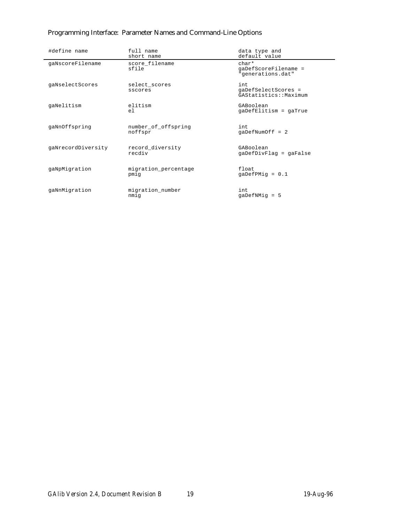# Programming Interface: Parameter Names and Command-Line Options

| #define name       | full name<br>short name        | data type and<br>default value                        |
|--------------------|--------------------------------|-------------------------------------------------------|
| gaNscoreFilename   | score filename<br>sfile        | $char*$<br>gaDefScoreFilename =<br>"generations.dat"  |
| gaNselectScores    | select scores<br>sscores       | int.<br>qaDefSelectScores =<br>GAStatistics:: Maximum |
| qaNelitism         | elitism<br>e <sub>1</sub>      | GABoolean<br>gaDefElitism = gaTrue                    |
| gaNnOffspring      | number_of_offspring<br>noffspr | int.<br>$qaDefNumOff = 2$                             |
| gaNrecordDiversity | record_diversity<br>recdiv     | GABoolean<br>gaDefDivFlag = gaFalse                   |
| qaNpMigration      | migration_percentage<br>pmig   | float<br>$qaDefPMiq = 0.1$                            |
| qaNnMiqration      | migration number<br>nmig       | int.<br>$qaDefNMiq = 5$                               |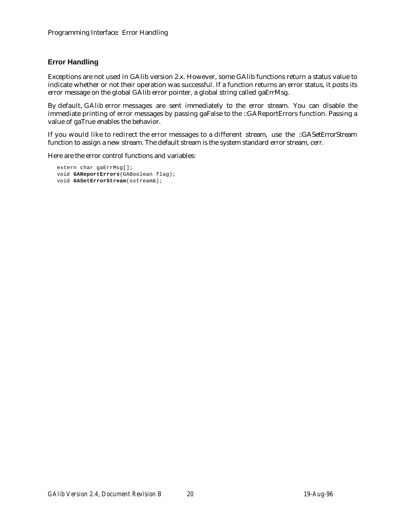# **Error Handling**

Exceptions are not used in GAlib version 2.x. However, some GAlib functions return a status value to indicate whether or not their operation was successful. If a function returns an error status, it posts its error message on the global GAlib error pointer, a global string called gaErrMsg.

By default, GAlib error messages are sent immediately to the error stream. You can disable the immediate printing of error messages by passing gaFalse to the ::GAReportErrors function. Passing a value of gaTrue enables the behavior.

If you would like to redirect the error messages to a different stream, use the ::GASetErrorStream function to assign a new stream. The default stream is the system standard error stream, cerr.

Here are the error control functions and variables:

```
extern char gaErrMsg[];
void GAReportErrors(GABoolean flag);
void GASetErrorStream(ostream&);
```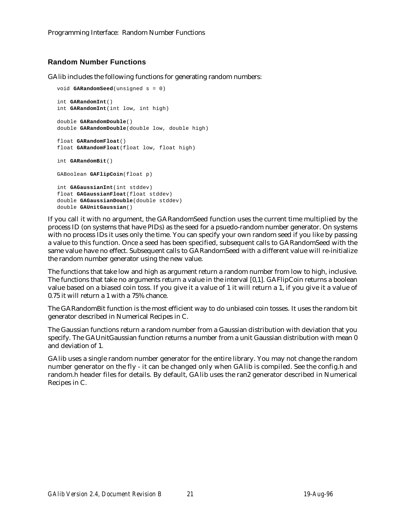# **Random Number Functions**

GAlib includes the following functions for generating random numbers:

```
void GARandomSeed(unsigned s = 0)
int GARandomInt()
int GARandomInt(int low, int high)
double GARandomDouble()
double GARandomDouble(double low, double high)
float GARandomFloat()
float GARandomFloat(float low, float high)
int GARandomBit()
GABoolean GAFlipCoin(float p)
int GAGaussianInt(int stddev)
float GAGaussianFloat(float stddev)
double GAGaussianDouble(double stddev)
double GAUnitGaussian()
```
If you call it with no argument, the GARandomSeed function uses the current time multiplied by the process ID (on systems that have PIDs) as the seed for a psuedo-random number generator. On systems with no process IDs it uses only the time. You can specify your own random seed if you like by passing a value to this function. Once a seed has been specified, subsequent calls to GARandomSeed with the same value have no effect. Subsequent calls to GARandomSeed with a different value will re-initialize the random number generator using the new value.

The functions that take low and high as argument return a random number from low to high, inclusive. The functions that take no arguments return a value in the interval [0,1]. GAFlipCoin returns a boolean value based on a biased coin toss. If you give it a value of 1 it will return a 1, if you give it a value of 0.75 it will return a 1 with a 75% chance.

The GARandomBit function is the most efficient way to do unbiased coin tosses. It uses the random bit generator described in Numerical Recipes in C.

The Gaussian functions return a random number from a Gaussian distribution with deviation that you specify. The GAUnitGaussian function returns a number from a unit Gaussian distribution with mean 0 and deviation of 1.

GAlib uses a single random number generator for the entire library. You may not change the random number generator on the fly - it can be changed only when GAlib is compiled. See the config.h and random.h header files for details. By default, GAlib uses the ran2 generator described in Numerical Recipes in C.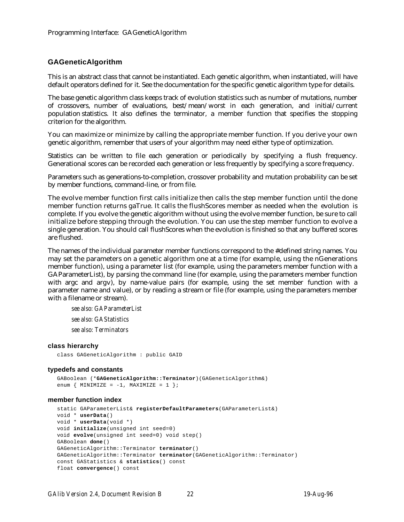## **GAGeneticAlgorithm**

This is an abstract class that cannot be instantiated. Each genetic algorithm, when instantiated, will have default operators defined for it. See the documentation for the specific genetic algorithm type for details.

The base genetic algorithm class keeps track of evolution statistics such as number of mutations, number of crossovers, number of evaluations, best/mean/worst in each generation, and initial/current population statistics. It also defines the terminator, a member function that specifies the stopping criterion for the algorithm.

You can maximize or minimize by calling the appropriate member function. If you derive your own genetic algorithm, remember that users of your algorithm may need either type of optimization.

Statistics can be written to file each generation or periodically by specifying a flush frequency. Generational scores can be recorded each generation or less frequently by specifying a score frequency.

Parameters such as generations-to-completion, crossover probability and mutation probability can be set by member functions, command-line, or from file.

The evolve member function first calls initialize then calls the step member function until the done member function returns gaTrue. It calls the flushScores member as needed when the evolution is complete. If you evolve the genetic algorithm without using the evolve member function, be sure to call initialize before stepping through the evolution. You can use the step member function to evolve a single generation. You should call flushScores when the evolution is finished so that any buffered scores are flushed.

The names of the individual parameter member functions correspond to the #defined string names. You may set the parameters on a genetic algorithm one at a time (for example, using the nGenerations member function), using a parameter list (for example, using the parameters member function with a GAParameterList), by parsing the command line (for example, using the parameters member function with argc and argv), by name-value pairs (for example, using the set member function with a parameter name and value), or by reading a stream or file (for example, using the parameters member with a filename or stream).

*see also: GAParameterList see also: GAStatistics see also: Terminators*

## **class hierarchy**

class GAGeneticAlgorithm : public GAID

## **typedefs and constants**

```
GABoolean (*GAGeneticAlgorithm::Terminator)(GAGeneticAlgorithm&)
enum { MINIMIZE = -1, MAXIMIZE = 1 };
```
## **member function index**

```
static GAParameterList& registerDefaultParameters(GAParameterList&)
void * userData()
void * userData(void *)
void initialize(unsigned int seed=0)
void evolve(unsigned int seed=0) void step()
GABoolean done()
GAGeneticAlgorithm::Terminator terminator()
GAGeneticAlgorithm::Terminator terminator(GAGeneticAlgorithm::Terminator)
const GAStatistics & statistics() const
float convergence() const
```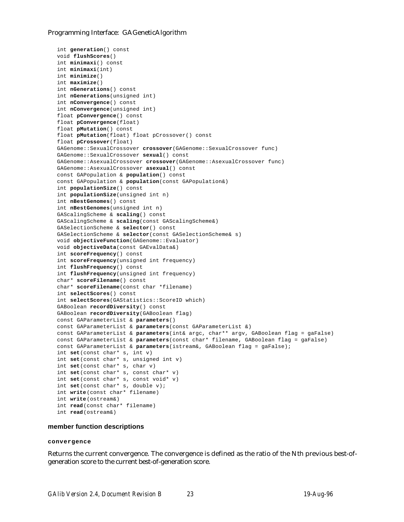```
int generation() const
void flushScores()
int minimaxi() const
int minimaxi(int)
int minimize()
int maximize()
int nGenerations() const
int nGenerations(unsigned int)
int nConvergence() const
int nConvergence(unsigned int)
float pConvergence() const
float pConvergence(float)
float pMutation() const
float pMutation(float) float pCrossover() const
float pCrossover(float)
GAGenome::SexualCrossover crossover(GAGenome::SexualCrossover func)
GAGenome::SexualCrossover sexual() const
GAGenome::AsexualCrossover crossover(GAGenome::AsexualCrossover func)
GAGenome::AsexualCrossover asexual() const
const GAPopulation & population() const
const GAPopulation & population(const GAPopulation&)
int populationSize() const
int populationSize(unsigned int n)
int nBestGenomes() const
int nBestGenomes(unsigned int n)
GAScalingScheme & scaling() const
GAScalingScheme & scaling(const GAScalingScheme&)
GASelectionScheme & selector() const
GASelectionScheme & selector(const GASelectionScheme& s)
void objectiveFunction(GAGenome::Evaluator)
void objectiveData(const GAEvalData&)
int scoreFrequency() const
int scoreFrequency(unsigned int frequency)
int flushFrequency() const
int flushFrequency(unsigned int frequency)
char* scoreFilename() const
char* scoreFilename(const char *filename)
int selectScores() const
int selectScores(GAStatistics::ScoreID which)
GABoolean recordDiversity() const
GABoolean recordDiversity(GABoolean flag)
const GAParameterList & parameters()
const GAParameterList & parameters(const GAParameterList &)
const GAParameterList & parameters(int& argc, char** argv, GABoolean flag = gaFalse)
const GAParameterList & parameters(const char* filename, GABoolean flag = gaFalse)
const GAParameterList & parameters(istream&, GABoolean flag = gaFalse);
int set(const char* s, int v)
int set(const char* s, unsigned int v)
int set(const char* s, char v)
int set(const char* s, const char* v)
int set(const char* s, const void* v)
int set(const char* s, double v);
int write(const char* filename)
int write(ostream&)
int read(const char* filename)
int read(ostream&)
```
## **member function descriptions**

#### **convergence**

Returns the current convergence. The convergence is defined as the ratio of the Nth previous best-ofgeneration score to the current best-of-generation score.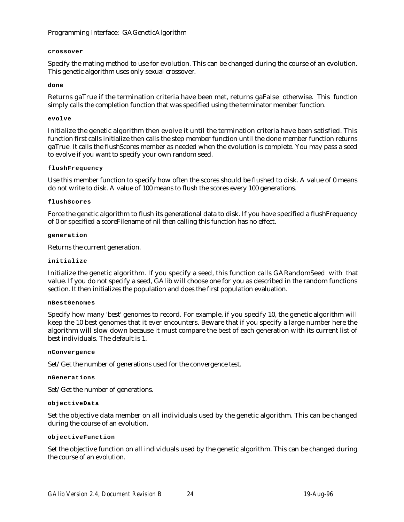## **crossover**

Specify the mating method to use for evolution. This can be changed during the course of an evolution. This genetic algorithm uses only sexual crossover.

## **done**

Returns gaTrue if the termination criteria have been met, returns gaFalse otherwise. This function simply calls the completion function that was specified using the terminator member function.

## **evolve**

Initialize the genetic algorithm then evolve it until the termination criteria have been satisfied. This function first calls initialize then calls the step member function until the done member function returns gaTrue. It calls the flushScores member as needed when the evolution is complete. You may pass a seed to evolve if you want to specify your own random seed.

## **flushFrequency**

Use this member function to specify how often the scores should be flushed to disk. A value of 0 means do not write to disk. A value of 100 means to flush the scores every 100 generations.

## **flushScores**

Force the genetic algorithm to flush its generational data to disk. If you have specified a flushFrequency of 0 or specified a scoreFilename of nil then calling this function has no effect.

## **generation**

Returns the current generation.

## **initialize**

Initialize the genetic algorithm. If you specify a seed, this function calls GARandomSeed with that value. If you do not specify a seed, GAlib will choose one for you as described in the random functions section. It then initializes the population and does the first population evaluation.

## **nBestGenomes**

Specify how many 'best' genomes to record. For example, if you specify 10, the genetic algorithm will keep the 10 best genomes that it ever encounters. Beware that if you specify a large number here the algorithm will slow down because it must compare the best of each generation with its current list of best individuals. The default is 1.

## **nConvergence**

Set/Get the number of generations used for the convergence test.

## **nGenerations**

Set/Get the number of generations.

## **objectiveData**

Set the objective data member on all individuals used by the genetic algorithm. This can be changed during the course of an evolution.

## **objectiveFunction**

Set the objective function on all individuals used by the genetic algorithm. This can be changed during the course of an evolution.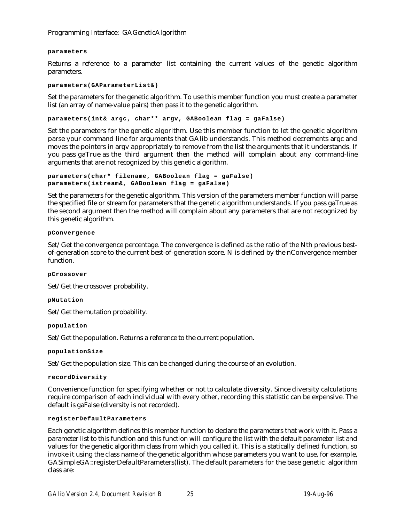### **parameters**

Returns a reference to a parameter list containing the current values of the genetic algorithm parameters.

#### **parameters(GAParameterList&)**

Set the parameters for the genetic algorithm. To use this member function you must create a parameter list (an array of name-value pairs) then pass it to the genetic algorithm.

**parameters(int& argc, char\*\* argv, GABoolean flag = gaFalse)**

Set the parameters for the genetic algorithm. Use this member function to let the genetic algorithm parse your command line for arguments that GAlib understands. This method decrements argc and moves the pointers in argv appropriately to remove from the list the arguments that it understands. If you pass gaTrue as the third argument then the method will complain about any command-line arguments that are not recognized by this genetic algorithm.

```
parameters(char* filename, GABoolean flag = gaFalse)
parameters(istream&, GABoolean flag = gaFalse)
```
Set the parameters for the genetic algorithm. This version of the parameters member function will parse the specified file or stream for parameters that the genetic algorithm understands. If you pass gaTrue as the second argument then the method will complain about any parameters that are not recognized by this genetic algorithm.

## **pConvergence**

Set/Get the convergence percentage. The convergence is defined as the ratio of the Nth previous bestof-generation score to the current best-of-generation score. N is defined by the nConvergence member function.

**pCrossover**

Set/Get the crossover probability.

**pMutation**

Set/Get the mutation probability.

**population**

Set/Get the population. Returns a reference to the current population.

**populationSize**

Set/Get the population size. This can be changed during the course of an evolution.

## **recordDiversity**

Convenience function for specifying whether or not to calculate diversity. Since diversity calculations require comparison of each individual with every other, recording this statistic can be expensive. The default is gaFalse (diversity is not recorded).

#### **registerDefaultParameters**

Each genetic algorithm defines this member function to declare the parameters that work with it. Pass a parameter list to this function and this function will configure the list with the default parameter list and values for the genetic algorithm class from which you called it. This is a statically defined function, so invoke it using the class name of the genetic algorithm whose parameters you want to use, for example, GASimpleGA::registerDefaultParameters(list). The default parameters for the base genetic algorithm class are: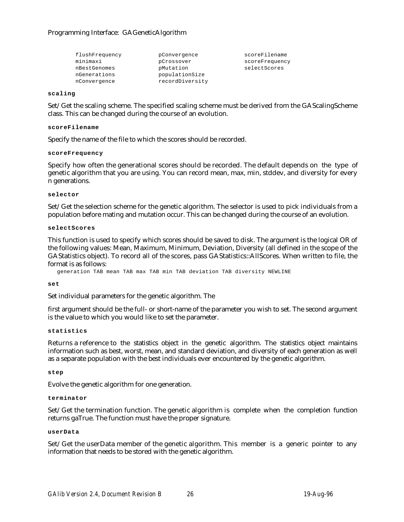| flushFrequency | pConvergence    | scoreFilename  |
|----------------|-----------------|----------------|
| minimaxi       | pCrossover      | scoreFrequency |
| nBestGenomes   | pMutation       | selectScores   |
| nGenerations   | populationSize  |                |
| nConvergence   | recordDiversity |                |

#### **scaling**

Set/Get the scaling scheme. The specified scaling scheme must be derived from the GAScalingScheme class. This can be changed during the course of an evolution.

#### **scoreFilename**

Specify the name of the file to which the scores should be recorded.

#### **scoreFrequency**

Specify how often the generational scores should be recorded. The default depends on the type of genetic algorithm that you are using. You can record mean, max, min, stddev, and diversity for every n generations.

#### **selector**

Set/Get the selection scheme for the genetic algorithm. The selector is used to pick individuals from a population before mating and mutation occur. This can be changed during the course of an evolution.

### **selectScores**

This function is used to specify which scores should be saved to disk. The argument is the logical OR of the following values: Mean, Maximum, Minimum, Deviation, Diversity (all defined in the scope of the GAStatistics object). To record all of the scores, pass GAStatistics::AllScores. When written to file, the format is as follows:

generation TAB mean TAB max TAB min TAB deviation TAB diversity NEWLINE

#### **set**

Set individual parameters for the genetic algorithm. The

first argument should be the full- or short-name of the parameter you wish to set. The second argument is the value to which you would like to set the parameter.

#### **statistics**

Returns a reference to the statistics object in the genetic algorithm. The statistics object maintains information such as best, worst, mean, and standard deviation, and diversity of each generation as well as a separate population with the best individuals ever encountered by the genetic algorithm.

## **step**

Evolve the genetic algorithm for one generation.

## **terminator**

Set/Get the termination function. The genetic algorithm is complete when the completion function returns gaTrue. The function must have the proper signature.

## **userData**

Set/Get the userData member of the genetic algorithm. This member is a generic pointer to any information that needs to be stored with the genetic algorithm.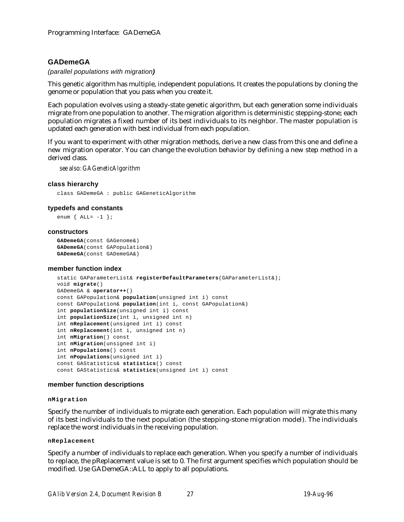## **GADemeGA**

*(parallel populations with migration)*

This genetic algorithm has multiple, independent populations. It creates the populations by cloning the genome or population that you pass when you create it.

Each population evolves using a steady-state genetic algorithm, but each generation some individuals migrate from one population to another. The migration algorithm is deterministic stepping-stone; each population migrates a fixed number of its best individuals to its neighbor. The master population is updated each generation with best individual from each population.

If you want to experiment with other migration methods, derive a new class from this one and define a new migration operator. You can change the evolution behavior by defining a new step method in a derived class.

*see also: GAGeneticAlgorithm*

## **class hierarchy**

class GADemeGA : public GAGeneticAlgorithm

## **typedefs and constants**

```
enum \{ALL=-1\};
```
#### **constructors**

```
GADemeGA(const GAGenome&)
GADemeGA(const GAPopulation&)
GADemeGA(const GADemeGA&)
```
## **member function index**

```
static GAParameterList& registerDefaultParameters(GAParameterList&);
void migrate()
GADemeGA & operator++()
const GAPopulation& population(unsigned int i) const
const GAPopulation& population(int i, const GAPopulation&)
int populationSize(unsigned int i) const
int populationSize(int i, unsigned int n)
int nReplacement(unsigned int i) const
int nReplacement(int i, unsigned int n)
int nMigration() const
int nMigration(unsigned int i)
int nPopulations() const
int nPopulations(unsigned int i)
const GAStatistics& statistics() const
const GAStatistics& statistics(unsigned int i) const
```
## **member function descriptions**

#### **nMigration**

Specify the number of individuals to migrate each generation. Each population will migrate this many of its best individuals to the next population (the stepping-stone migration model). The individuals replace the worst individuals in the receiving population.

## **nReplacement**

Specify a number of individuals to replace each generation. When you specify a number of individuals to replace, the pReplacement value is set to 0. The first argument specifies which population should be modified. Use GADemeGA::ALL to apply to all populations.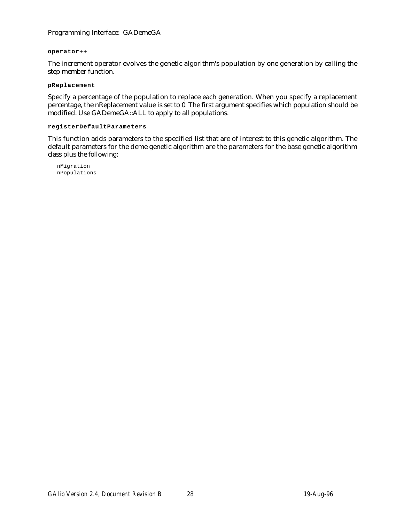## Programming Interface: GADemeGA

### **operator++**

The increment operator evolves the genetic algorithm's population by one generation by calling the step member function.

## **pReplacement**

Specify a percentage of the population to replace each generation. When you specify a replacement percentage, the nReplacement value is set to 0. The first argument specifies which population should be modified. Use GADemeGA::ALL to apply to all populations.

## **registerDefaultParameters**

This function adds parameters to the specified list that are of interest to this genetic algorithm. The default parameters for the deme genetic algorithm are the parameters for the base genetic algorithm class plus the following:

nMigration nPopulations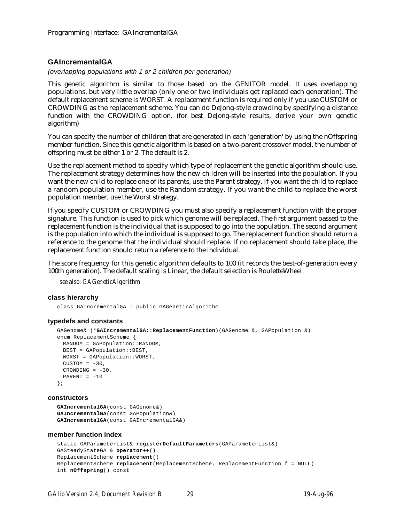## **GAIncrementalGA**

*(overlapping populations with 1 or 2 children per generation)*

This genetic algorithm is similar to those based on the GENITOR model. It uses overlapping populations, but very little overlap (only one or two individuals get replaced each generation). The default replacement scheme is WORST. A replacement function is required only if you use CUSTOM or CROWDING as the replacement scheme. You can do DeJong-style crowding by specifying a distance function with the CROWDING option. (for best DeJong-style results, derive your own genetic algorithm)

You can specify the number of children that are generated in each 'generation' by using the nOffspring member function. Since this genetic algorithm is based on a two-parent crossover model, the number of offspring must be either 1 or 2. The default is 2.

Use the replacement method to specify which type of replacement the genetic algorithm should use. The replacement strategy determines how the new children will be inserted into the population. If you want the new child to replace one of its parents, use the Parent strategy. If you want the child to replace a random population member, use the Random strategy. If you want the child to replace the worst population member, use the Worst strategy.

If you specify CUSTOM or CROWDING you must also specify a replacement function with the proper signature. This function is used to pick which genome will be replaced. The first argument passed to the replacement function is the individual that is supposed to go into the population. The second argument is the population into which the individual is supposed to go. The replacement function should return a reference to the genome that the individual should replace. If no replacement should take place, the replacement function should return a reference to the individual.

The score frequency for this genetic algorithm defaults to 100 (it records the best-of-generation every 100th generation). The default scaling is Linear, the default selection is RouletteWheel.

*see also: GAGeneticAlgorithm*

## **class hierarchy**

class GAIncrementalGA : public GAGeneticAlgorithm

#### **typedefs and constants**

```
GAGenome& (*GAIncrementalGA::ReplacementFunction)(GAGenome &, GAPopulation &)
enum ReplacementScheme {
 RANDOM = GAPopulation::RANDOM,
 BEST = GAPopulation::BEST,
 WORST = GAPopulation::WORST,
 CUSTOM = -30,
 CROWDING = -30,
 PARENT = -10};
```
#### **constructors**

```
GAIncrementalGA(const GAGenome&)
GAIncrementalGA(const GAPopulation&)
GAIncrementalGA(const GAIncrementalGA&)
```
#### **member function index**

```
static GAParameterList& registerDefaultParameters(GAParameterList&)
GASteadyStateGA & operator++()
ReplacementScheme replacement()
ReplacementScheme replacement(ReplacementScheme, ReplacementFunction f = NULL)
int nOffspring() const
```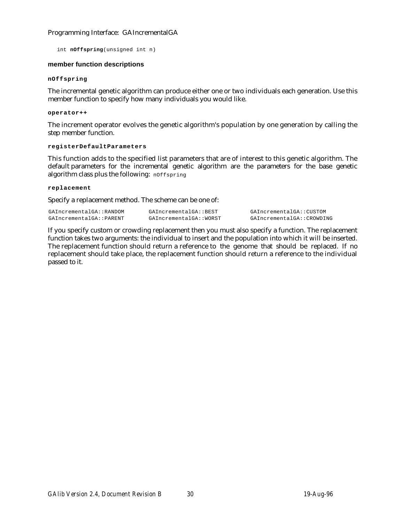## Programming Interface: GAIncrementalGA

int **nOffspring**(unsigned int n)

## **member function descriptions**

### **nOffspring**

The incremental genetic algorithm can produce either one or two individuals each generation. Use this member function to specify how many individuals you would like.

### **operator++**

The increment operator evolves the genetic algorithm's population by one generation by calling the step member function.

### **registerDefaultParameters**

This function adds to the specified list parameters that are of interest to this genetic algorithm. The default parameters for the incremental genetic algorithm are the parameters for the base genetic algorithm class plus the following: nOffspring

#### **replacement**

Specify a replacement method. The scheme can be one of:

GAIncrementalGA::RANDOM GAIncrementalGA::BEST GAIncrementalGA::CUSTOM<br>GAIncrementalGA::PARENT GAIncrementalGA::WORST GAIncrementalGA::CROWDII

GAIncrementalGA::WORST GAIncrementalGA::CROWDING

If you specify custom or crowding replacement then you must also specify a function. The replacement function takes two arguments: the individual to insert and the population into which it will be inserted. The replacement function should return a reference to the genome that should be replaced. If no replacement should take place, the replacement function should return a reference to the individual passed to it.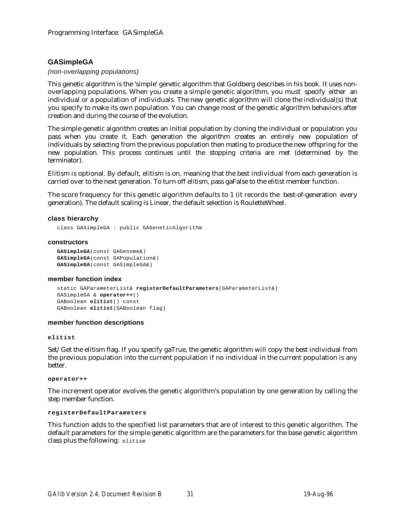## **GASimpleGA**

## *(non-overlapping populations)*

This genetic algorithm is the 'simple' genetic algorithm that Goldberg describes in his book. It uses nonoverlapping populations. When you create a simple genetic algorithm, you must specify either an individual or a population of individuals. The new genetic algorithm will clone the individual(s) that you specify to make its own population. You can change most of the genetic algorithm behaviors after creation and during the course of the evolution.

The simple genetic algorithm creates an initial population by cloning the individual or population you pass when you create it. Each generation the algorithm creates an entirely new population of individuals by selecting from the previous population then mating to produce the new offspring for the new population. This process continues until the stopping criteria are met (determined by the terminator).

Elitism is optional. By default, elitism is on, meaning that the best individual from each generation is carried over to the next generation. To turn off elitism, pass gaFalse to the elitist member function.

The score frequency for this genetic algorithm defaults to 1 (it records the best-of-generation every generation). The default scaling is Linear, the default selection is RouletteWheel.

## **class hierarchy**

class GASimpleGA : public GAGeneticAlgorithm

## **constructors**

```
GASimpleGA(const GAGenome&)
GASimpleGA(const GAPopulation&)
GASimpleGA(const GASimpleGA&)
```
## **member function index**

```
static GAParameterList& registerDefaultParameters(GAParameterList&)
GASimpleGA & operator++()
GABoolean elitist() const
GABoolean elitist(GABoolean flag)
```
## **member function descriptions**

## **elitist**

Set/Get the elitism flag. If you specify gaTrue, the genetic algorithm will copy the best individual from the previous population into the current population if no individual in the current population is any better.

## **operator++**

The increment operator evolves the genetic algorithm's population by one generation by calling the step member function.

## **registerDefaultParameters**

This function adds to the specified list parameters that are of interest to this genetic algorithm. The default parameters for the simple genetic algorithm are the parameters for the base genetic algorithm class plus the following: elitism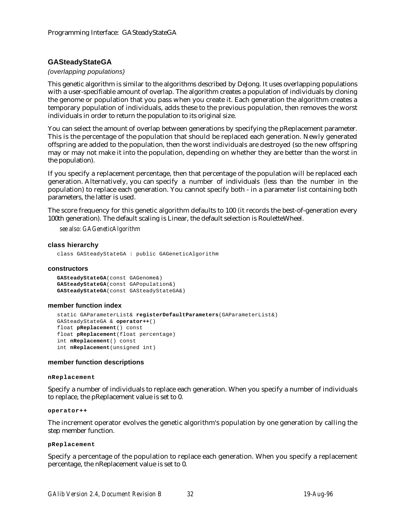## **GASteadyStateGA**

## *(overlapping populations)*

This genetic algorithm is similar to the algorithms described by DeJong. It uses overlapping populations with a user-specifiable amount of overlap. The algorithm creates a population of individuals by cloning the genome or population that you pass when you create it. Each generation the algorithm creates a temporary population of individuals, adds these to the previous population, then removes the worst individuals in order to return the population to its original size.

You can select the amount of overlap between generations by specifying the pReplacement parameter. This is the percentage of the population that should be replaced each generation. Newly generated offspring are added to the population, then the worst individuals are destroyed (so the new offspring may or may not make it into the population, depending on whether they are better than the worst in the population).

If you specify a replacement percentage, then that percentage of the population will be replaced each generation. Alternatively, you can specify a number of individuals (less than the number in the population) to replace each generation. You cannot specify both - in a parameter list containing both parameters, the latter is used.

The score frequency for this genetic algorithm defaults to 100 (it records the best-of-generation every 100th generation). The default scaling is Linear, the default selection is RouletteWheel.

*see also: GAGeneticAlgorithm*

## **class hierarchy**

class GASteadyStateGA : public GAGeneticAlgorithm

## **constructors**

**GASteadyStateGA**(const GAGenome&) **GASteadyStateGA**(const GAPopulation&) **GASteadyStateGA**(const GASteadyStateGA&)

## **member function index**

```
static GAParameterList& registerDefaultParameters(GAParameterList&)
GASteadyStateGA & operator++()
float pReplacement() const
float pReplacement(float percentage)
int nReplacement() const
int nReplacement(unsigned int)
```
## **member function descriptions**

## **nReplacement**

Specify a number of individuals to replace each generation. When you specify a number of individuals to replace, the pReplacement value is set to 0.

#### **operator++**

The increment operator evolves the genetic algorithm's population by one generation by calling the step member function.

## **pReplacement**

Specify a percentage of the population to replace each generation. When you specify a replacement percentage, the nReplacement value is set to 0.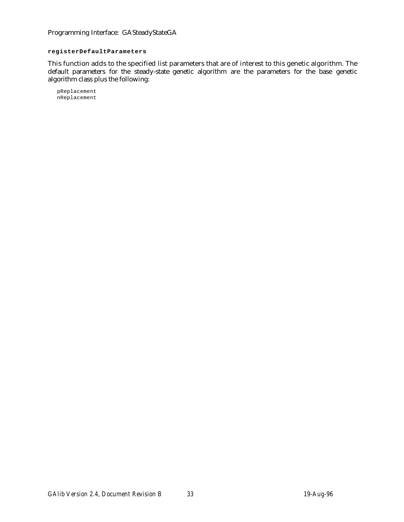Programming Interface: GASteadyStateGA

## **registerDefaultParameters**

This function adds to the specified list parameters that are of interest to this genetic algorithm. The default parameters for the steady-state genetic algorithm are the parameters for the base genetic algorithm class plus the following:

pReplacement nReplacement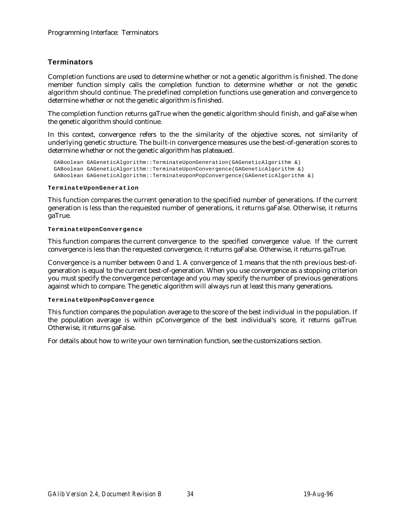# **Terminators**

Completion functions are used to determine whether or not a genetic algorithm is finished. The done member function simply calls the completion function to determine whether or not the genetic algorithm should continue. The predefined completion functions use generation and convergence to determine whether or not the genetic algorithm is finished.

The completion function returns gaTrue when the genetic algorithm should finish, and gaFalse when the genetic algorithm should continue.

In this context, convergence refers to the the similarity of the objective scores, not similarity of underlying genetic structure. The built-in convergence measures use the best-of-generation scores to determine whether or not the genetic algorithm has plateaued.

```
GABoolean GAGeneticAlgorithm::TerminateUponGeneration(GAGeneticAlgorithm &)
GABoolean GAGeneticAlgorithm::TerminateUponConvergence(GAGeneticAlgorithm &)
GABoolean GAGeneticAlgorithm::TerminateUponPopConvergence(GAGeneticAlgorithm &)
```
## **TerminateUponGeneration**

This function compares the current generation to the specified number of generations. If the current generation is less than the requested number of generations, it returns gaFalse. Otherwise, it returns gaTrue.

## **TerminateUponConvergence**

This function compares the current convergence to the specified convergence value. If the current convergence is less than the requested convergence, it returns gaFalse. Otherwise, it returns gaTrue.

Convergence is a number between 0 and 1. A convergence of 1 means that the nth previous best-ofgeneration is equal to the current best-of-generation. When you use convergence as a stopping criterion you must specify the convergence percentage and you may specify the number of previous generations against which to compare. The genetic algorithm will always run at least this many generations.

# **TerminateUponPopConvergence**

This function compares the population average to the score of the best individual in the population. If the population average is within pConvergence of the best individual's score, it returns gaTrue. Otherwise, it returns gaFalse.

For details about how to write your own termination function, see the customizations section.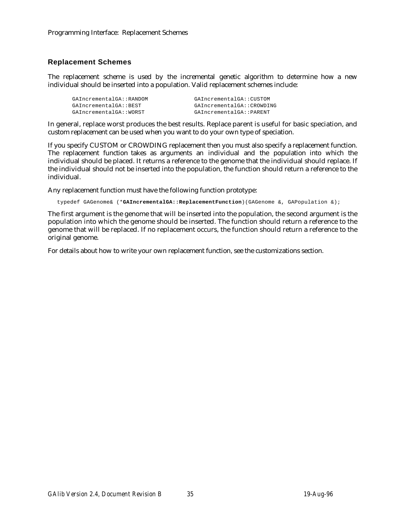# **Replacement Schemes**

The replacement scheme is used by the incremental genetic algorithm to determine how a new individual should be inserted into a population. Valid replacement schemes include:

| GAIncrementalGA::RANDOM | GAIncrementalGA::CUSTOM   |
|-------------------------|---------------------------|
| GAIncrementalGA::BEST   | GAIncrementalGA::CROWDING |
| GAIncrementalGA::WORST  | GAIncrementalGA::PARENT   |

In general, replace worst produces the best results. Replace parent is useful for basic speciation, and custom replacement can be used when you want to do your own type of speciation.

If you specify CUSTOM or CROWDING replacement then you must also specify a replacement function. The replacement function takes as arguments an individual and the population into which the individual should be placed. It returns a reference to the genome that the individual should replace. If the individual should not be inserted into the population, the function should return a reference to the individual.

Any replacement function must have the following function prototype:

typedef GAGenome& (\***GAIncrementalGA::ReplacementFunction**)(GAGenome &, GAPopulation &);

The first argument is the genome that will be inserted into the population, the second argument is the population into which the genome should be inserted. The function should return a reference to the genome that will be replaced. If no replacement occurs, the function should return a reference to the original genome.

For details about how to write your own replacement function, see the customizations section.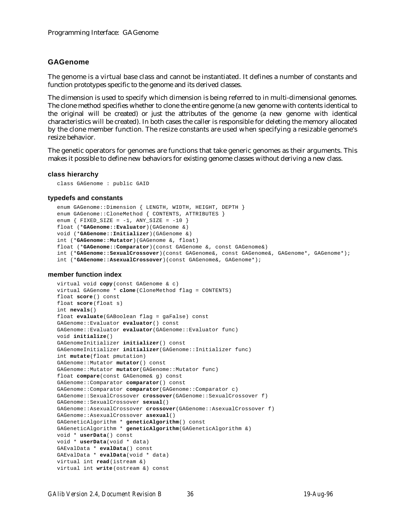# **GAGenome**

The genome is a virtual base class and cannot be instantiated. It defines a number of constants and function prototypes specific to the genome and its derived classes.

The dimension is used to specify which dimension is being referred to in multi-dimensional genomes. The clone method specifies whether to clone the entire genome (a new genome with contents identical to the original will be created) or just the attributes of the genome (a new genome with identical characteristics will be created). In both cases the caller is responsible for deleting the memory allocated by the clone member function. The resize constants are used when specifying a resizable genome's resize behavior.

The genetic operators for genomes are functions that take generic genomes as their arguments. This makes it possible to define new behaviors for existing genome classes without deriving a new class.

#### **class hierarchy**

class GAGenome : public GAID

## **typedefs and constants**

```
enum GAGenome::Dimension { LENGTH, WIDTH, HEIGHT, DEPTH }
enum GAGenome::CloneMethod { CONTENTS, ATTRIBUTES }
enum \{ FIXED_SIZE = -1, ANY_SIZE = -10 \}float (*GAGenome::Evaluator)(GAGenome &)
void (*GAGenome::Initializer)(GAGenome &)
int (*GAGenome::Mutator)(GAGenome &, float)
float (*GAGenome::Comparator)(const GAGenome &, const GAGenome&)
int (*GAGenome::SexualCrossover)(const GAGenome&, const GAGenome&, GAGenome*, GAGenome*);
int (*GAGenome::AsexualCrossover)(const GAGenome&, GAGenome*);
```
## **member function index**

```
virtual void copy(const GAGenome & c)
virtual GAGenome * clone(CloneMethod flag = CONTENTS)
float score() const
float score(float s)
int nevals()
float evaluate(GABoolean flag = gaFalse) const
GAGenome::Evaluator evaluator() const
GAGenome::Evaluator evaluator(GAGenome::Evaluator func)
void initialize()
GAGenomeInitializer initializer() const
GAGenomeInitializer initializer(GAGenome::Initializer func)
int mutate(float pmutation)
GAGenome::Mutator mutator() const
GAGenome::Mutator mutator(GAGenome::Mutator func)
float compare(const GAGenome& g) const
GAGenome::Comparator comparator() const
GAGenome::Comparator comparator(GAGenome::Comparator c)
GAGenome::SexualCrossover crossover(GAGenome::SexualCrossover f)
GAGenome::SexualCrossover sexual()
GAGenome::AsexualCrossover crossover(GAGenome::AsexualCrossover f)
GAGenome::AsexualCrossover asexual()
GAGeneticAlgorithm * geneticAlgorithm() const
GAGeneticAlgorithm * geneticAlgorithm(GAGeneticAlgorithm &)
void * userData() const
void * userData(void * data)
GAEvalData * evalData() const
GAEvalData * evalData(void * data)
virtual int read(istream &)
virtual int write(ostream &) const
```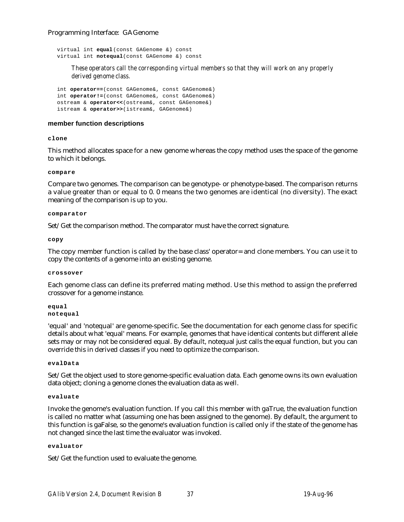## Programming Interface: GAGenome

virtual int **equal**(const GAGenome &) const virtual int **notequal**(const GAGenome &) const

*These operators call the corresponding virtual members so that they will work on any properly derived genome class.*

int **operator==**(const GAGenome&, const GAGenome&) int **operator!=**(const GAGenome&, const GAGenome&) ostream & **operator<<**(ostream&, const GAGenome&) istream & **operator>>**(istream&, GAGenome&)

## **member function descriptions**

**clone**

This method allocates space for a new genome whereas the copy method uses the space of the genome to which it belongs.

**compare**

Compare two genomes. The comparison can be genotype- or phenotype-based. The comparison returns a value greater than or equal to 0. 0 means the two genomes are identical (no diversity). The exact meaning of the comparison is up to you.

#### **comparator**

Set/Get the comparison method. The comparator must have the correct signature.

**copy**

The copy member function is called by the base class' operator= and clone members. You can use it to copy the contents of a genome into an existing genome.

#### **crossover**

Each genome class can define its preferred mating method. Use this method to assign the preferred crossover for a genome instance.

**equal notequal**

'equal' and 'notequal' are genome-specific. See the documentation for each genome class for specific details about what 'equal' means. For example, genomes that have identical contents but different allele sets may or may not be considered equal. By default, notequal just calls the equal function, but you can override this in derived classes if you need to optimize the comparison.

## **evalData**

Set/Get the object used to store genome-specific evaluation data. Each genome owns its own evaluation data object; cloning a genome clones the evaluation data as well.

## **evaluate**

Invoke the genome's evaluation function. If you call this member with gaTrue, the evaluation function is called no matter what (assuming one has been assigned to the genome). By default, the argument to this function is gaFalse, so the genome's evaluation function is called only if the state of the genome has not changed since the last time the evaluator was invoked.

## **evaluator**

Set/Get the function used to evaluate the genome.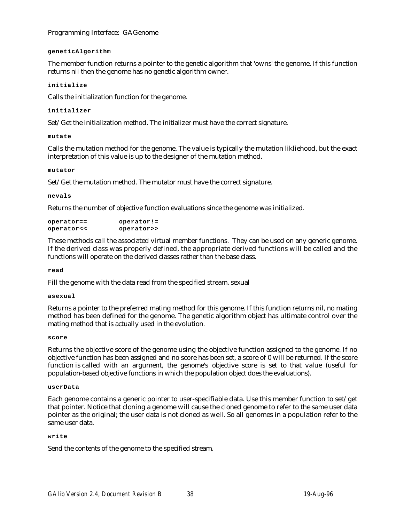Programming Interface: GAGenome

## **geneticAlgorithm**

The member function returns a pointer to the genetic algorithm that 'owns' the genome. If this function returns nil then the genome has no genetic algorithm owner.

## **initialize**

Calls the initialization function for the genome.

## **initializer**

Set/Get the initialization method. The initializer must have the correct signature.

## **mutate**

Calls the mutation method for the genome. The value is typically the mutation likliehood, but the exact interpretation of this value is up to the designer of the mutation method.

## **mutator**

Set/Get the mutation method. The mutator must have the correct signature.

**nevals**

Returns the number of objective function evaluations since the genome was initialized.

| $operator =$ | operator:  |
|--------------|------------|
| operator<<   | operator>> |

These methods call the associated virtual member functions. They can be used on any generic genome. If the derived class was properly defined, the appropriate derived functions will be called and the functions will operate on the derived classes rather than the base class.

# **read**

Fill the genome with the data read from the specified stream. sexual

## **asexual**

Returns a pointer to the preferred mating method for this genome. If this function returns nil, no mating method has been defined for the genome. The genetic algorithm object has ultimate control over the mating method that is actually used in the evolution.

## **score**

Returns the objective score of the genome using the objective function assigned to the genome. If no objective function has been assigned and no score has been set, a score of 0 will be returned. If the score function is called with an argument, the genome's objective score is set to that value (useful for population-based objective functions in which the population object does the evaluations).

## **userData**

Each genome contains a generic pointer to user-specifiable data. Use this member function to set/get that pointer. Notice that cloning a genome will cause the cloned genome to refer to the same user data pointer as the original; the user data is not cloned as well. So all genomes in a population refer to the same user data.

# **write**

Send the contents of the genome to the specified stream.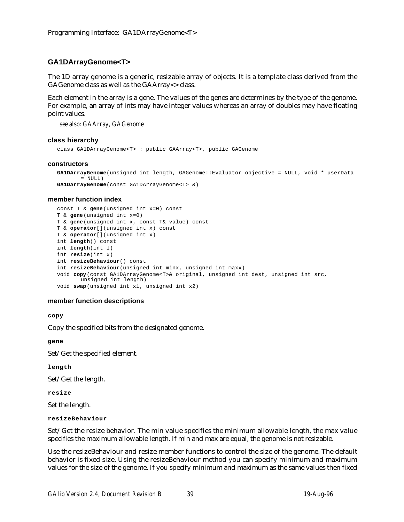# **GA1DArrayGenome<T>**

The 1D array genome is a generic, resizable array of objects. It is a template class derived from the GAGenome class as well as the GAArray<> class.

Each element in the array is a gene. The values of the genes are determines by the type of the genome. For example, an array of ints may have integer values whereas an array of doubles may have floating point values.

*see also: GAArray, GAGenome*

## **class hierarchy**

class GA1DArrayGenome<T> : public GAArray<T>, public GAGenome

#### **constructors**

```
GA1DArrayGenome(unsigned int length, GAGenome::Evaluator objective = NULL, void * userData
       = NULL)GA1DArrayGenome(const GA1DArrayGenome<T> &)
```
## **member function index**

```
const T & gene(unsigned int x=0) const
T & gene(unsigned int x=0)
T & gene(unsigned int x, const T& value) const
T & operator[](unsigned int x) const
T & operator[](unsigned int x)
int length() const
int length(int l)
int resize(int x)
int resizeBehaviour() const
int resizeBehaviour(unsigned int minx, unsigned int maxx)
void copy(const GA1DArrayGenome<T>& original, unsigned int dest, unsigned int src,
       unsigned int length)
void swap(unsigned int x1, unsigned int x2)
```
## **member function descriptions**

**copy**

Copy the specified bits from the designated genome.

**gene**

Set/Get the specified element.

**length**

Set/Get the length.

**resize**

Set the length.

**resizeBehaviour**

Set/Get the resize behavior. The min value specifies the minimum allowable length, the max value specifies the maximum allowable length. If min and max are equal, the genome is not resizable.

Use the resizeBehaviour and resize member functions to control the size of the genome. The default behavior is fixed size. Using the resizeBehaviour method you can specify minimum and maximum values for the size of the genome. If you specify minimum and maximum as the same values then fixed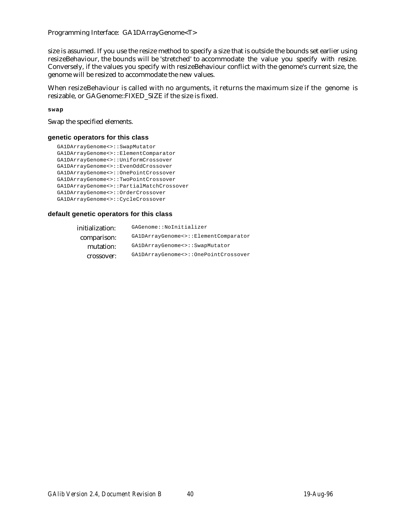Programming Interface: GA1DArrayGenome<T>

size is assumed. If you use the resize method to specify a size that is outside the bounds set earlier using resizeBehaviour, the bounds will be 'stretched' to accommodate the value you specify with resize. Conversely, if the values you specify with resizeBehaviour conflict with the genome's current size, the genome will be resized to accommodate the new values.

When resizeBehaviour is called with no arguments, it returns the maximum size if the genome is resizable, or GAGenome::FIXED\_SIZE if the size is fixed.

**swap**

Swap the specified elements.

## **genetic operators for this class**

```
GA1DArrayGenome<>::SwapMutator
GA1DArrayGenome<>::ElementComparator
GA1DArrayGenome<>::UniformCrossover
GA1DArrayGenome<>::EvenOddCrossover
GA1DArrayGenome<>::OnePointCrossover
GA1DArrayGenome<>::TwoPointCrossover
GA1DArrayGenome<>::PartialMatchCrossover
GA1DArrayGenome<>::OrderCrossover
GA1DArrayGenome<>::CycleCrossover
```

| initialization: | GAGenome::NoInitializer              |
|-----------------|--------------------------------------|
| comparison:     | GA1DArrayGenome<>::ElementComparator |
| mutation:       | GA1DArrayGenome<>::SwapMutator       |
| crossover:      | GA1DArrayGenome<>::OnePointCrossover |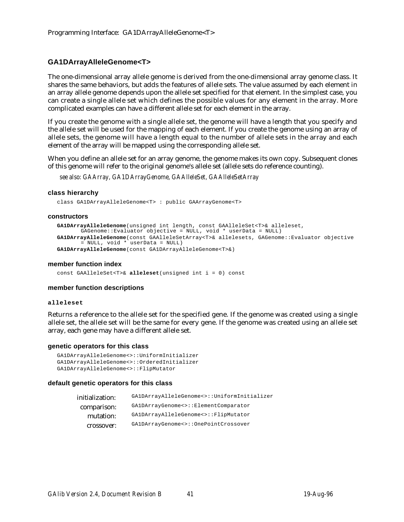# **GA1DArrayAlleleGenome<T>**

The one-dimensional array allele genome is derived from the one-dimensional array genome class. It shares the same behaviors, but adds the features of allele sets. The value assumed by each element in an array allele genome depends upon the allele set specified for that element. In the simplest case, you can create a single allele set which defines the possible values for any element in the array. More complicated examples can have a different allele set for each element in the array.

If you create the genome with a single allele set, the genome will have a length that you specify and the allele set will be used for the mapping of each element. If you create the genome using an array of allele sets, the genome will have a length equal to the number of allele sets in the array and each element of the array will be mapped using the corresponding allele set.

When you define an allele set for an array genome, the genome makes its own copy. Subsequent clones of this genome will refer to the original genome's allele set (allele sets do reference counting).

*see also: GAArray, GA1DArrayGenome, GAAlleleSet, GAAlleleSetArray*

## **class hierarchy**

class GA1DArrayAlleleGenome<T> : public GAArrayGenome<T>

#### **constructors**

```
GA1DArrayAlleleGenome(unsigned int length, const GAAlleleSet<T>& alleleset,
       GAGenome::Evaluator objective = NULL, void * userData = NULL)
GA1DArrayAlleleGenome(const GAAlleleSetArray<T>& allelesets, GAGenome::Evaluator objective
        = NULL, void * userData = NULL)
GA1DArrayAlleleGenome(const GA1DArrayAlleleGenome<T>&)
```
#### **member function index**

const GAAlleleSet<T>& **alleleset**(unsigned int i = 0) const

## **member function descriptions**

#### **alleleset**

Returns a reference to the allele set for the specified gene. If the genome was created using a single allele set, the allele set will be the same for every gene. If the genome was created using an allele set array, each gene may have a different allele set.

#### **genetic operators for this class**

```
GA1DArrayAlleleGenome<>::UniformInitializer
GA1DArrayAlleleGenome<>::OrderedInitializer
GA1DArrayAlleleGenome<>::FlipMutator
```

| initialization: | GA1DArrayAlleleGenome<>::UniformInitializer |
|-----------------|---------------------------------------------|
| comparison:     | GA1DArrayGenome<>::ElementComparator        |
| mutation:       | GA1DArrayAlleleGenome<>::FlipMutator        |
| crossover:      | GA1DArrayGenome<>::OnePointCrossover        |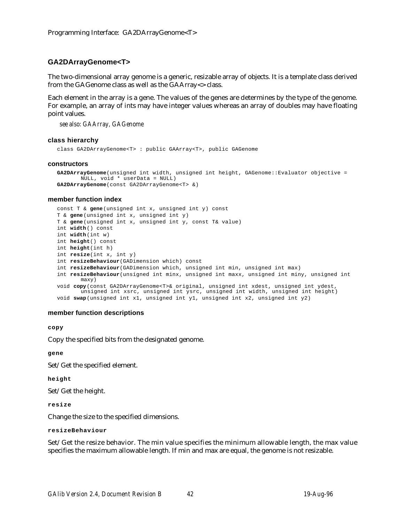# **GA2DArrayGenome<T>**

The two-dimensional array genome is a generic, resizable array of objects. It is a template class derived from the GAGenome class as well as the GAArray<> class.

Each element in the array is a gene. The values of the genes are determines by the type of the genome. For example, an array of ints may have integer values whereas an array of doubles may have floating point values.

*see also: GAArray, GAGenome*

#### **class hierarchy**

class GA2DArrayGenome<T> : public GAArray<T>, public GAGenome

#### **constructors**

```
GA2DArrayGenome(unsigned int width, unsigned int height, GAGenome::Evaluator objective =
       NULL, void * userData = NULL)
GA2DArrayGenome(const GA2DArrayGenome<T> &)
```
#### **member function index**

```
const T & gene(unsigned int x, unsigned int y) const
T & gene(unsigned int x, unsigned int y)
T & gene(unsigned int x, unsigned int y, const T& value)
int width() const
int width(int w)
int height() const
int height(int h)
int resize(int x, int y)
int resizeBehaviour(GADimension which) const
int resizeBehaviour(GADimension which, unsigned int min, unsigned int max)
int resizeBehaviour(unsigned int minx, unsigned int maxx, unsigned int miny, unsigned int
       maxy)
void copy(const GA2DArrayGenome<T>& original, unsigned int xdest, unsigned int ydest,
       unsigned int xsrc, unsigned int ysrc, unsigned int width, unsigned int height)
void swap(unsigned int x1, unsigned int y1, unsigned int x2, unsigned int y2)
```
#### **member function descriptions**

**copy**

Copy the specified bits from the designated genome.

**gene**

Set/Get the specified element.

**height**

Set/Get the height.

**resize**

Change the size to the specified dimensions.

```
resizeBehaviour
```
Set/Get the resize behavior. The min value specifies the minimum allowable length, the max value specifies the maximum allowable length. If min and max are equal, the genome is not resizable.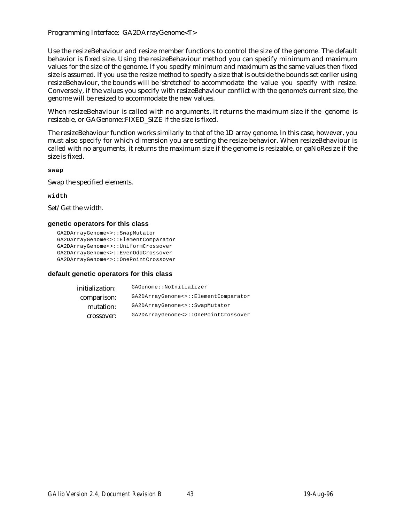Programming Interface: GA2DArrayGenome<T>

Use the resizeBehaviour and resize member functions to control the size of the genome. The default behavior is fixed size. Using the resizeBehaviour method you can specify minimum and maximum values for the size of the genome. If you specify minimum and maximum as the same values then fixed size is assumed. If you use the resize method to specify a size that is outside the bounds set earlier using resizeBehaviour, the bounds will be 'stretched' to accommodate the value you specify with resize. Conversely, if the values you specify with resizeBehaviour conflict with the genome's current size, the genome will be resized to accommodate the new values.

When resizeBehaviour is called with no arguments, it returns the maximum size if the genome is resizable, or GAGenome::FIXED\_SIZE if the size is fixed.

The resizeBehaviour function works similarly to that of the 1D array genome. In this case, however, you must also specify for which dimension you are setting the resize behavior. When resizeBehaviour is called with no arguments, it returns the maximum size if the genome is resizable, or gaNoResize if the size is fixed.

**swap**

Swap the specified elements.

**width**

Set/Get the width.

## **genetic operators for this class**

```
GA2DArrayGenome<>::SwapMutator
GA2DArrayGenome<>::ElementComparator
GA2DArrayGenome<>::UniformCrossover
GA2DArrayGenome<>::EvenOddCrossover
GA2DArrayGenome<>::OnePointCrossover
```

| initialization: | GAGenome::NoInitializer              |
|-----------------|--------------------------------------|
| comparison:     | GA2DArrayGenome<>::ElementComparator |
| mutation:       | GA2DArrayGenome<>::SwapMutator       |
| crossover:      | GA2DArrayGenome<>::OnePointCrossover |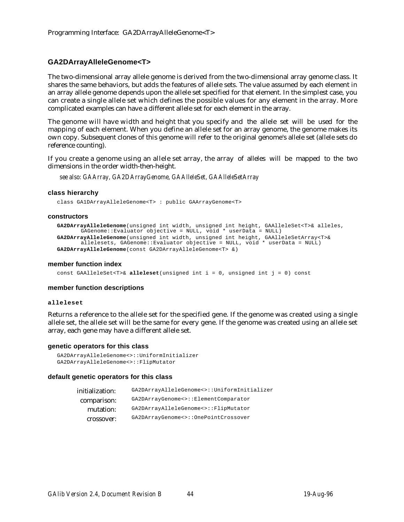# **GA2DArrayAlleleGenome<T>**

The two-dimensional array allele genome is derived from the two-dimensional array genome class. It shares the same behaviors, but adds the features of allele sets. The value assumed by each element in an array allele genome depends upon the allele set specified for that element. In the simplest case, you can create a single allele set which defines the possible values for any element in the array. More complicated examples can have a different allele set for each element in the array.

The genome will have width and height that you specify and the allele set will be used for the mapping of each element. When you define an allele set for an array genome, the genome makes its own copy. Subsequent clones of this genome will refer to the original genome's allele set (allele sets do reference counting).

If you create a genome using an allele set array, the array of alleles will be mapped to the two dimensions in the order width-then-height.

*see also: GAArray, GA2DArrayGenome, GAAlleleSet, GAAlleleSetArray*

## **class hierarchy**

class GA1DArrayAlleleGenome<T> : public GAArrayGenome<T>

#### **constructors**

```
GA2DArrayAlleleGenome(unsigned int width, unsigned int height, GAAlleleSet<T>& alleles,
       GAGenome::Evaluator objective = NULL, void * userData = NULL)
GA2DArrayAlleleGenome(unsigned int width, unsigned int height, GAAlleleSetArray<T>&
       allelesets, GAGenome::Evaluator objective = NULL, void * userData = NULL)
GA2DArrayAlleleGenome(const GA2DArrayAlleleGenome<T> &)
```
#### **member function index**

const GAAlleleSet<T>& **alleleset**(unsigned int i = 0, unsigned int j = 0) const

## **member function descriptions**

#### **alleleset**

Returns a reference to the allele set for the specified gene. If the genome was created using a single allele set, the allele set will be the same for every gene. If the genome was created using an allele set array, each gene may have a different allele set.

#### **genetic operators for this class**

```
GA2DArrayAlleleGenome<>::UniformInitializer
GA2DArrayAlleleGenome<>::FlipMutator
```

| GA2DArrayAlleleGenome<>::UniformInitializer |
|---------------------------------------------|
| GA2DArrayGenome<>::ElementComparator        |
| GA2DArrayAlleleGenome<>::FlipMutator        |
| GA2DArrayGenome<>::OnePointCrossover        |
|                                             |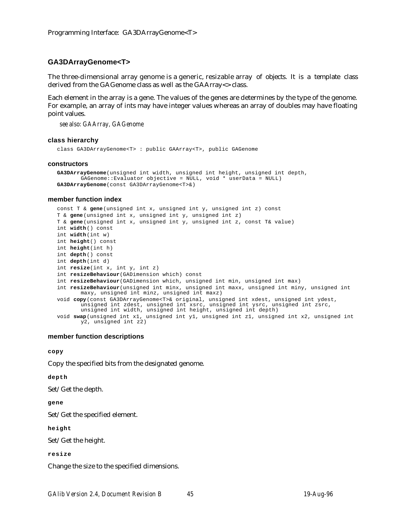# **GA3DArrayGenome<T>**

The three-dimensional array genome is a generic, resizable array of objects. It is a template class derived from the GAGenome class as well as the GAArray<> class.

Each element in the array is a gene. The values of the genes are determines by the type of the genome. For example, an array of ints may have integer values whereas an array of doubles may have floating point values.

*see also: GAArray, GAGenome*

#### **class hierarchy**

class GA3DArrayGenome<T> : public GAArray<T>, public GAGenome

#### **constructors**

```
GA3DArrayGenome(unsigned int width, unsigned int height, unsigned int depth,
       GAGenome::Evaluator objective = NULL, void * userData = NULL)
GA3DArrayGenome(const GA3DArrayGenome<T>&)
```
#### **member function index**

```
const T & gene(unsigned int x, unsigned int y, unsigned int z) const
T & gene(unsigned int x, unsigned int y, unsigned int z)
T & gene(unsigned int x, unsigned int y, unsigned int z, const T& value)
int width() const
int width(int w)
int height() const
int height(int h)
int depth() const
int depth(int d)
int resize(int x, int y, int z)
int resizeBehaviour(GADimension which) const
int resizeBehaviour(GADimension which, unsigned int min, unsigned int max)
int resizeBehaviour(unsigned int minx, unsigned int maxx, unsigned int miny, unsigned int
       maxy, unsigned int minz, unsigned int maxz)
void copy(const GA3DArrayGenome<T>& original, unsigned int xdest, unsigned int ydest,
       unsigned int zdest, unsigned int xsrc, unsigned int ysrc, unsigned int zsrc,
       unsigned int width, unsigned int height, unsigned int depth)
void swap(unsigned int x1, unsigned int y1, unsigned int z1, unsigned int x2, unsigned int
       y2, unsigned int z2)
```
### **member function descriptions**

**copy**

Copy the specified bits from the designated genome.

**depth**

Set/Get the depth.

#### **gene**

Set/Get the specified element.

**height**

Set/Get the height.

#### **resize**

Change the size to the specified dimensions.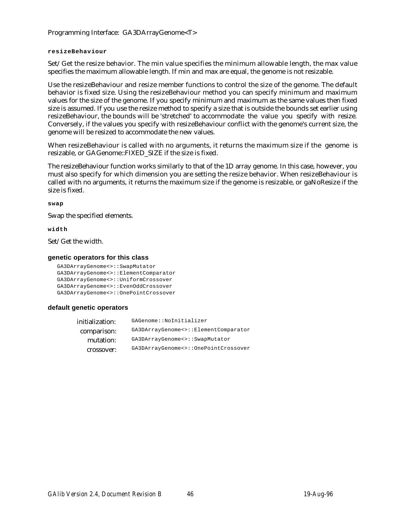Programming Interface: GA3DArrayGenome<T>

## **resizeBehaviour**

Set/Get the resize behavior. The min value specifies the minimum allowable length, the max value specifies the maximum allowable length. If min and max are equal, the genome is not resizable.

Use the resizeBehaviour and resize member functions to control the size of the genome. The default behavior is fixed size. Using the resizeBehaviour method you can specify minimum and maximum values for the size of the genome. If you specify minimum and maximum as the same values then fixed size is assumed. If you use the resize method to specify a size that is outside the bounds set earlier using resizeBehaviour, the bounds will be 'stretched' to accommodate the value you specify with resize. Conversely, if the values you specify with resizeBehaviour conflict with the genome's current size, the genome will be resized to accommodate the new values.

When resizeBehaviour is called with no arguments, it returns the maximum size if the genome is resizable, or GAGenome::FIXED\_SIZE if the size is fixed.

The resizeBehaviour function works similarly to that of the 1D array genome. In this case, however, you must also specify for which dimension you are setting the resize behavior. When resizeBehaviour is called with no arguments, it returns the maximum size if the genome is resizable, or gaNoResize if the size is fixed.

## **swap**

Swap the specified elements.

**width**

Set/Get the width.

# **genetic operators for this class**

```
GA3DArrayGenome<>::SwapMutator
GA3DArrayGenome<>::ElementComparator
GA3DArrayGenome<>::UniformCrossover
GA3DArrayGenome<>::EvenOddCrossover
GA3DArrayGenome<>::OnePointCrossover
```
# **default genetic operators**

| initialization: | GAGenome::NoInitializer              |
|-----------------|--------------------------------------|
| comparison:     | GA3DArrayGenome<>::ElementComparator |
| mutation:       | GA3DArrayGenome<>::SwapMutator       |
| crossover:      | GA3DArrayGenome<>::OnePointCrossover |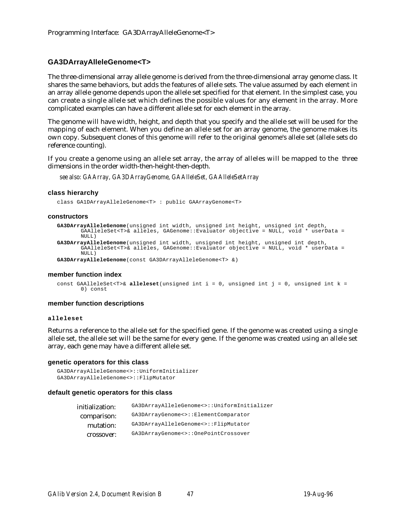# **GA3DArrayAlleleGenome<T>**

The three-dimensional array allele genome is derived from the three-dimensional array genome class. It shares the same behaviors, but adds the features of allele sets. The value assumed by each element in an array allele genome depends upon the allele set specified for that element. In the simplest case, you can create a single allele set which defines the possible values for any element in the array. More complicated examples can have a different allele set for each element in the array.

The genome will have width, height, and depth that you specify and the allele set will be used for the mapping of each element. When you define an allele set for an array genome, the genome makes its own copy. Subsequent clones of this genome will refer to the original genome's allele set (allele sets do reference counting).

If you create a genome using an allele set array, the array of alleles will be mapped to the three dimensions in the order width-then-height-then-depth.

*see also: GAArray, GA3DArrayGenome, GAAlleleSet, GAAlleleSetArray*

## **class hierarchy**

class GA1DArrayAlleleGenome<T> : public GAArrayGenome<T>

#### **constructors**

```
GA3DArrayAlleleGenome(unsigned int width, unsigned int height, unsigned int depth,
       GAAlleleSet<T>& alleles, GAGenome::Evaluator objective = NULL, void * userData =
       NULL)
GA3DArrayAlleleGenome(unsigned int width, unsigned int height, unsigned int depth,
       GAAlleleSet<T>& alleles, GAGenome::Evaluator objective = NULL, void * userData =
       NIII.I.GA3DArrayAlleleGenome(const GA3DArrayAlleleGenome<T> &)
```
#### **member function index**

```
const GAAlleleSet<T>& alleleset(unsigned int i = 0, unsigned int j = 0, unsigned int k =
       0) const
```
#### **member function descriptions**

#### **alleleset**

Returns a reference to the allele set for the specified gene. If the genome was created using a single allele set, the allele set will be the same for every gene. If the genome was created using an allele set array, each gene may have a different allele set.

## **genetic operators for this class**

```
GA3DArrayAlleleGenome<>::UniformInitializer
GA3DArrayAlleleGenome<>::FlipMutator
```

| GA3DArrayAlleleGenome<>::UniformInitializer |
|---------------------------------------------|
| GA3DArrayGenome<>::ElementComparator        |
| GA3DArrayAlleleGenome<>::FlipMutator        |
| GA3DArrayGenome<>::OnePointCrossover        |
|                                             |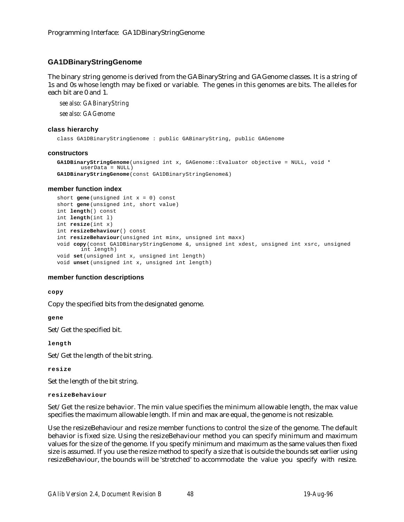# **GA1DBinaryStringGenome**

The binary string genome is derived from the GABinaryString and GAGenome classes. It is a string of 1s and 0s whose length may be fixed or variable. The genes in this genomes are bits. The alleles for each bit are 0 and 1.

*see also: GABinaryString*

*see also: GAGenome*

### **class hierarchy**

class GA1DBinaryStringGenome : public GABinaryString, public GAGenome

#### **constructors**

```
GA1DBinaryStringGenome(unsigned int x, GAGenome::Evaluator objective = NULL, void *
       userData = NULL)
GA1DBinaryStringGenome(const GA1DBinaryStringGenome&)
```
## **member function index**

```
short gene(unsigned int x = 0) const
short gene(unsigned int, short value)
int length() const
int length(int l)
int resize(int x)
int resizeBehaviour() const
int resizeBehaviour(unsigned int minx, unsigned int maxx)
void copy(const GA1DBinaryStringGenome &, unsigned int xdest, unsigned int xsrc, unsigned
       int length)
void set(unsigned int x, unsigned int length)
void unset(unsigned int x, unsigned int length)
```
# **member function descriptions**

## **copy**

Copy the specified bits from the designated genome.

**gene**

Set/Get the specified bit.

**length**

Set/Get the length of the bit string.

**resize**

Set the length of the bit string.

**resizeBehaviour**

Set/Get the resize behavior. The min value specifies the minimum allowable length, the max value specifies the maximum allowable length. If min and max are equal, the genome is not resizable.

Use the resizeBehaviour and resize member functions to control the size of the genome. The default behavior is fixed size. Using the resizeBehaviour method you can specify minimum and maximum values for the size of the genome. If you specify minimum and maximum as the same values then fixed size is assumed. If you use the resize method to specify a size that is outside the bounds set earlier using resizeBehaviour, the bounds will be 'stretched' to accommodate the value you specify with resize.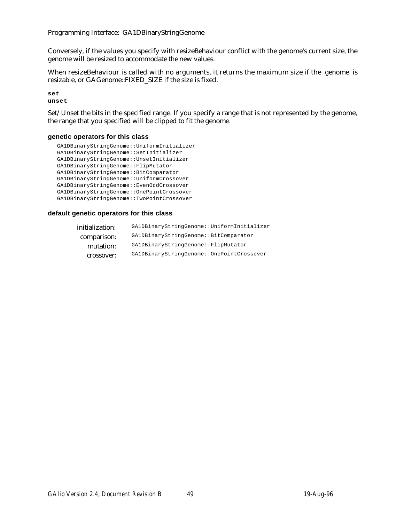Programming Interface: GA1DBinaryStringGenome

Conversely, if the values you specify with resizeBehaviour conflict with the genome's current size, the genome will be resized to accommodate the new values.

When resizeBehaviour is called with no arguments, it returns the maximum size if the genome is resizable, or GAGenome::FIXED\_SIZE if the size is fixed.

**set unset**

Set/Unset the bits in the specified range. If you specify a range that is not represented by the genome, the range that you specified will be clipped to fit the genome.

# **genetic operators for this class**

```
GA1DBinaryStringGenome::UniformInitializer
GA1DBinaryStringGenome::SetInitializer
GA1DBinaryStringGenome::UnsetInitializer
GA1DBinaryStringGenome::FlipMutator
GA1DBinaryStringGenome::BitComparator
GA1DBinaryStringGenome::UniformCrossover
GA1DBinaryStringGenome::EvenOddCrossover
GA1DBinaryStringGenome::OnePointCrossover
GA1DBinaryStringGenome::TwoPointCrossover
```

| initialization: | GA1DBinaryStringGenome::UniformInitializer |
|-----------------|--------------------------------------------|
| comparison:     | GA1DBinaryStringGenome::BitComparator      |
| mutation:       | GA1DBinaryStringGenome::FlipMutator        |
| crossover:      | GA1DBinaryStringGenome:: OnePointCrossover |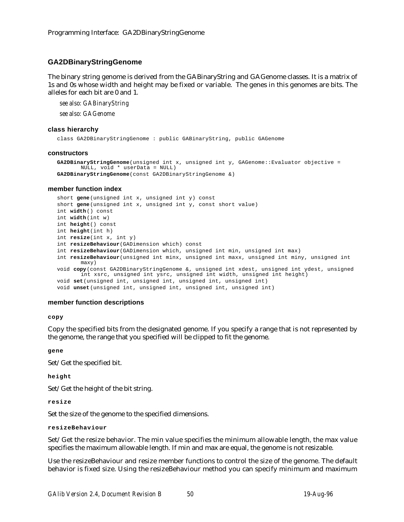# **GA2DBinaryStringGenome**

The binary string genome is derived from the GABinaryString and GAGenome classes. It is a matrix of 1s and 0s whose width and height may be fixed or variable. The genes in this genomes are bits. The alleles for each bit are 0 and 1.

*see also: GABinaryString*

*see also: GAGenome*

#### **class hierarchy**

class GA2DBinaryStringGenome : public GABinaryString, public GAGenome

#### **constructors**

```
GA2DBinaryStringGenome(unsigned int x, unsigned int y, GAGenome::Evaluator objective =
       NULL, void * userData = NULL)
GA2DBinaryStringGenome(const GA2DBinaryStringGenome &)
```
## **member function index**

```
short gene(unsigned int x, unsigned int y) const
short gene(unsigned int x, unsigned int y, const short value)
int width() const
int width(int w)
int height() const
int height(int h)
int resize(int x, int y)
int resizeBehaviour(GADimension which) const
int resizeBehaviour(GADimension which, unsigned int min, unsigned int max)
int resizeBehaviour(unsigned int minx, unsigned int maxx, unsigned int miny, unsigned int
       maxy)
void copy(const GA2DBinaryStringGenome &, unsigned int xdest, unsigned int ydest, unsigned
       int xsrc, unsigned int ysrc, unsigned int width, unsigned int height)
void set(unsigned int, unsigned int, unsigned int, unsigned int)
void unset(unsigned int, unsigned int, unsigned int, unsigned int)
```
## **member function descriptions**

**copy**

Copy the specified bits from the designated genome. If you specify a range that is not represented by the genome, the range that you specified will be clipped to fit the genome.

**gene**

Set/Get the specified bit.

**height**

Set/Get the height of the bit string.

**resize**

Set the size of the genome to the specified dimensions.

## **resizeBehaviour**

Set/Get the resize behavior. The min value specifies the minimum allowable length, the max value specifies the maximum allowable length. If min and max are equal, the genome is not resizable.

Use the resizeBehaviour and resize member functions to control the size of the genome. The default behavior is fixed size. Using the resizeBehaviour method you can specify minimum and maximum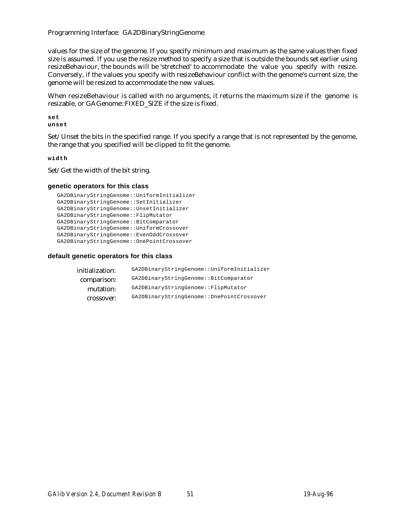Programming Interface: GA2DBinaryStringGenome

values for the size of the genome. If you specify minimum and maximum as the same values then fixed size is assumed. If you use the resize method to specify a size that is outside the bounds set earlier using resizeBehaviour, the bounds will be 'stretched' to accommodate the value you specify with resize. Conversely, if the values you specify with resizeBehaviour conflict with the genome's current size, the genome will be resized to accommodate the new values.

When resizeBehaviour is called with no arguments, it returns the maximum size if the genome is resizable, or GAGenome::FIXED\_SIZE if the size is fixed.

**set unset**

Set/Unset the bits in the specified range. If you specify a range that is not represented by the genome, the range that you specified will be clipped to fit the genome.

**width**

Set/Get the width of the bit string.

## **genetic operators for this class**

```
GA2DBinaryStringGenome::UniformInitializer
GA2DBinaryStringGenome::SetInitializer
GA2DBinaryStringGenome::UnsetInitializer
GA2DBinaryStringGenome::FlipMutator
GA2DBinaryStringGenome::BitComparator
GA2DBinaryStringGenome::UniformCrossover
GA2DBinaryStringGenome::EvenOddCrossover
GA2DBinaryStringGenome::OnePointCrossover
```

| initialization: | GA2DBinaryStringGenome::UniformInitializer |
|-----------------|--------------------------------------------|
| comparison:     | GA2DBinaryStringGenome::BitComparator      |
| mutation:       | GA2DBinaryStringGenome::FlipMutator        |
| crossover:      | GA2DBinaryStringGenome::OnePointCrossover  |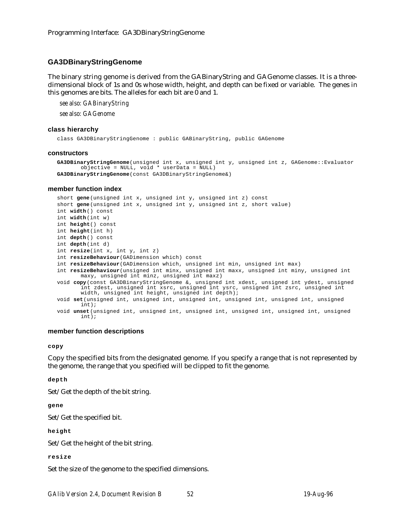# **GA3DBinaryStringGenome**

The binary string genome is derived from the GABinaryString and GAGenome classes. It is a threedimensional block of 1s and 0s whose width, height, and depth can be fixed or variable. The genes in this genomes are bits. The alleles for each bit are 0 and 1.

*see also: GABinaryString*

*see also: GAGenome*

#### **class hierarchy**

class GA3DBinaryStringGenome : public GABinaryString, public GAGenome

#### **constructors**

```
GA3DBinaryStringGenome(unsigned int x, unsigned int y, unsigned int z, GAGenome::Evaluator
       objective = NULL, void * userData = NULL)
GA3DBinaryStringGenome(const GA3DBinaryStringGenome&)
```
#### **member function index**

```
short gene(unsigned int x, unsigned int y, unsigned int z) const
short gene(unsigned int x, unsigned int y, unsigned int z, short value)
int width() const
int width(int w)
int height() const
int height(int h)
int depth() const
int depth(int d)
int resize(int x, int y, int z)
int resizeBehaviour(GADimension which) const
int resizeBehaviour(GADimension which, unsigned int min, unsigned int max)
int resizeBehaviour(unsigned int minx, unsigned int maxx, unsigned int miny, unsigned int
       maxy, unsigned int minz, unsigned int maxz)
void copy(const GA3DBinaryStringGenome &, unsigned int xdest, unsigned int ydest, unsigned
       int zdest, unsigned int xsrc, unsigned int ysrc, unsigned int zsrc, unsigned int
       width, unsigned int height, unsigned int depth);
void set(unsigned int, unsigned int, unsigned int, unsigned int, unsigned int, unsigned
       int);
void unset(unsigned int, unsigned int, unsigned int, unsigned int, unsigned int, unsigned
       int);
```
## **member function descriptions**

**copy**

Copy the specified bits from the designated genome. If you specify a range that is not represented by the genome, the range that you specified will be clipped to fit the genome.

**depth**

Set/Get the depth of the bit string.

**gene**

Set/Get the specified bit.

**height**

Set/Get the height of the bit string.

**resize**

Set the size of the genome to the specified dimensions.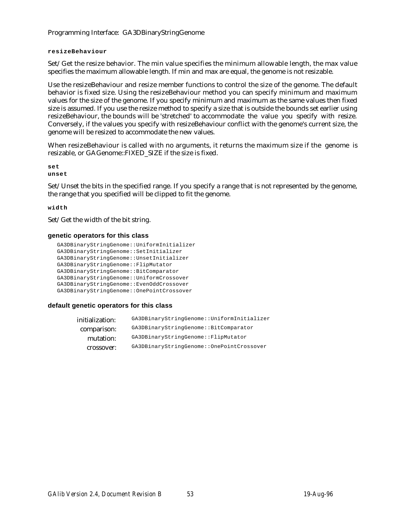Programming Interface: GA3DBinaryStringGenome

## **resizeBehaviour**

Set/Get the resize behavior. The min value specifies the minimum allowable length, the max value specifies the maximum allowable length. If min and max are equal, the genome is not resizable.

Use the resizeBehaviour and resize member functions to control the size of the genome. The default behavior is fixed size. Using the resizeBehaviour method you can specify minimum and maximum values for the size of the genome. If you specify minimum and maximum as the same values then fixed size is assumed. If you use the resize method to specify a size that is outside the bounds set earlier using resizeBehaviour, the bounds will be 'stretched' to accommodate the value you specify with resize. Conversely, if the values you specify with resizeBehaviour conflict with the genome's current size, the genome will be resized to accommodate the new values.

When resizeBehaviour is called with no arguments, it returns the maximum size if the genome is resizable, or GAGenome::FIXED\_SIZE if the size is fixed.

**set**

**unset**

Set/Unset the bits in the specified range. If you specify a range that is not represented by the genome, the range that you specified will be clipped to fit the genome.

**width**

Set/Get the width of the bit string.

# **genetic operators for this class**

```
GA3DBinaryStringGenome::UniformInitializer
GA3DBinaryStringGenome::SetInitializer
GA3DBinaryStringGenome::UnsetInitializer
GA3DBinaryStringGenome::FlipMutator
GA3DBinaryStringGenome::BitComparator
GA3DBinaryStringGenome::UniformCrossover
GA3DBinaryStringGenome::EvenOddCrossover
GA3DBinaryStringGenome::OnePointCrossover
```

| GA3DBinaryStringGenome::UniformInitializer |
|--------------------------------------------|
| GA3DBinaryStringGenome::BitComparator      |
| GA3DBinaryStringGenome::FlipMutator        |
| GA3DBinaryStringGenome::OnePointCrossover  |
|                                            |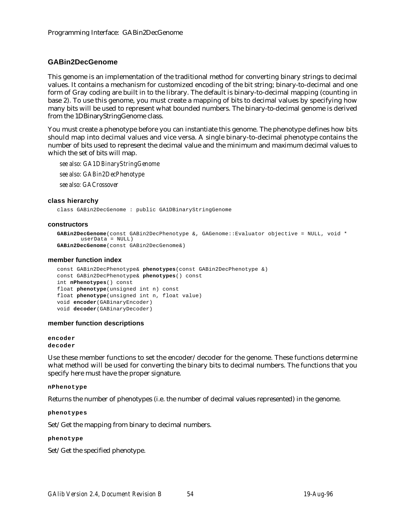# **GABin2DecGenome**

This genome is an implementation of the traditional method for converting binary strings to decimal values. It contains a mechanism for customized encoding of the bit string; binary-to-decimal and one form of Gray coding are built in to the library. The default is binary-to-decimal mapping (counting in base 2). To use this genome, you must create a mapping of bits to decimal values by specifying how many bits will be used to represent what bounded numbers. The binary-to-decimal genome is derived from the 1DBinaryStringGenome class.

You must create a phenotype before you can instantiate this genome. The phenotype defines how bits should map into decimal values and vice versa. A single binary-to-decimal phenotype contains the number of bits used to represent the decimal value and the minimum and maximum decimal values to which the set of bits will map.

*see also: GA1DBinaryStringGenome see also: GABin2DecPhenotype see also: GACrossover*

## **class hierarchy**

class GABin2DecGenome : public GA1DBinaryStringGenome

#### **constructors**

```
GABin2DecGenome(const GABin2DecPhenotype &, GAGenome::Evaluator objective = NULL, void *
       userData = NULL)
GABin2DecGenome(const GABin2DecGenome&)
```
#### **member function index**

```
const GABin2DecPhenotype& phenotypes(const GABin2DecPhenotype &)
const GABin2DecPhenotype& phenotypes() const
int nPhenotypes() const
float phenotype(unsigned int n) const
float phenotype(unsigned int n, float value)
void encoder(GABinaryEncoder)
void decoder(GABinaryDecoder)
```
## **member function descriptions**

## **encoder decoder**

Use these member functions to set the encoder/decoder for the genome. These functions determine what method will be used for converting the binary bits to decimal numbers. The functions that you specify here must have the proper signature.

## **nPhenotype**

Returns the number of phenotypes (i.e. the number of decimal values represented) in the genome.

**phenotypes**

Set/Get the mapping from binary to decimal numbers.

## **phenotype**

Set/Get the specified phenotype.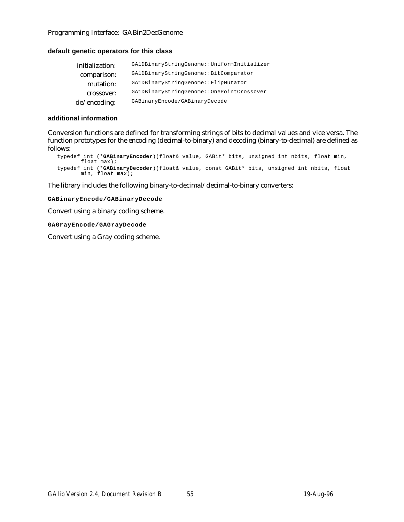# Programming Interface: GABin2DecGenome

# **default genetic operators for this class**

| GA1DBinaryStringGenome::UniformInitializer |
|--------------------------------------------|
| GA1DBinaryStringGenome::BitComparator      |
| GA1DBinaryStringGenome::FlipMutator        |
| GA1DBinaryStringGenome::OnePointCrossover  |
| GABinaryEncode/GABinaryDecode              |
|                                            |

## **additional information**

Conversion functions are defined for transforming strings of bits to decimal values and vice versa. The function prototypes for the encoding (decimal-to-binary) and decoding (binary-to-decimal) are defined as follows:

```
typedef int (*GABinaryEncoder)(float& value, GABit* bits, unsigned int nbits, float min,
      float max);
typedef int (*GABinaryDecoder)(float& value, const GABit* bits, unsigned int nbits, float
       min, float max);
```
The library includes the following binary-to-decimal/decimal-to-binary converters:

**GABinaryEncode/GABinaryDecode**

Convert using a binary coding scheme.

**GAGrayEncode/GAGrayDecode**

Convert using a Gray coding scheme.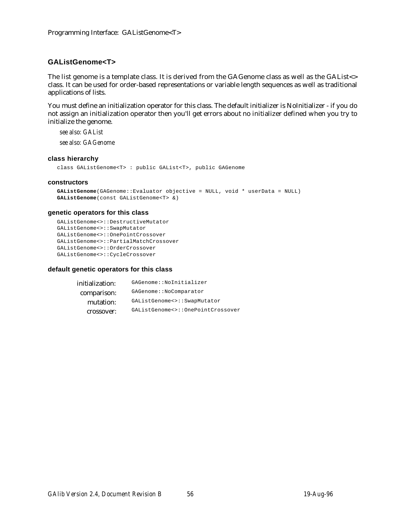# **GAListGenome<T>**

The list genome is a template class. It is derived from the GAGenome class as well as the GAList<> class. It can be used for order-based representations or variable length sequences as well as traditional applications of lists.

You must define an initialization operator for this class. The default initializer is NoInitializer - if you do not assign an initialization operator then you'll get errors about no initializer defined when you try to initialize the genome.

*see also: GAList*

*see also: GAGenome*

## **class hierarchy**

class GAListGenome<T> : public GAList<T>, public GAGenome

## **constructors**

```
GAListGenome(GAGenome::Evaluator objective = NULL, void * userData = NULL)
GAListGenome(const GAListGenome<T> &)
```
## **genetic operators for this class**

```
GAListGenome<>::DestructiveMutator
GAListGenome<>::SwapMutator
GAListGenome<>::OnePointCrossover
GAListGenome<>::PartialMatchCrossover
GAListGenome<>::OrderCrossover
GAListGenome<>::CycleCrossover
```

| initialization: | GAGenome::NoInitializer           |
|-----------------|-----------------------------------|
| comparison:     | GAGenome::NoComparator            |
| mutation:       | GAListGenome<>::SwapMutator       |
| crossover:      | GAListGenome<>::OnePointCrossover |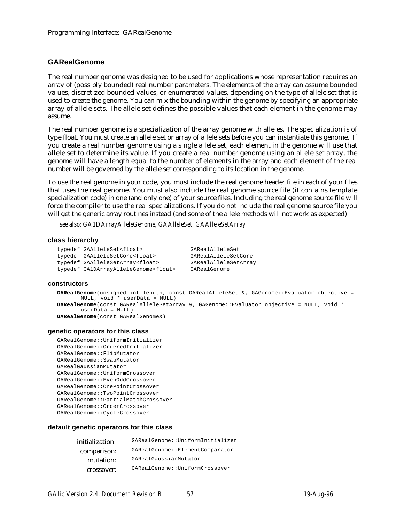## **GARealGenome**

The real number genome was designed to be used for applications whose representation requires an array of (possibly bounded) real number parameters. The elements of the array can assume bounded values, discretized bounded values, or enumerated values, depending on the type of allele set that is used to create the genome. You can mix the bounding within the genome by specifying an appropriate array of allele sets. The allele set defines the possible values that each element in the genome may assume.

The real number genome is a specialization of the array genome with alleles. The specialization is of type float. You must create an allele set or array of allele sets before you can instantiate this genome. If you create a real number genome using a single allele set, each element in the genome will use that allele set to determine its value. If you create a real number genome using an allele set array, the genome will have a length equal to the number of elements in the array and each element of the real number will be governed by the allele set corresponding to its location in the genome.

To use the real genome in your code, you must include the real genome header file in each of your files that uses the real genome. You must also include the real genome source file (it contains template specialization code) in one (and only one) of your source files. Including the real genome source file will force the compiler to use the real specializations. If you do not include the real genome source file you will get the generic array routines instead (and some of the allele methods will not work as expected).

*see also: GA1DArrayAlleleGenome, GAAlleleSet, GAAlleleSetArray*

#### **class hierarchy**

```
typedef GAAlleleSet<float> GARealAlleleSet
typedef GAAlleleSetCore<float> GARealAlleleSetCore
typedef GAAlleleSetArray<float> GARealAlleleSetArray
typedef GA1DArrayAlleleGenome<float> GARealGenome
```
#### **constructors**

```
GARealGenome(unsigned int length, const GARealAlleleSet &, GAGenome::Evaluator objective =
      NULL, void * userData = NULL)
GARealGenome(const GARealAlleleSetArray &, GAGenome::Evaluator objective = NULL, void *
      userData = NULL)
GARealGenome(const GARealGenome&)
```
## **genetic operators for this class**

```
GARealGenome::UniformInitializer
GARealGenome::OrderedInitializer
GARealGenome::FlipMutator
GARealGenome::SwapMutator
GARealGaussianMutator
GARealGenome::UniformCrossover
GARealGenome::EvenOddCrossover
GARealGenome::OnePointCrossover
GARealGenome::TwoPointCrossover
GARealGenome::PartialMatchCrossover
GARealGenome::OrderCrossover
GARealGenome::CycleCrossover
```

| GARealGenome::UniformInitializer |
|----------------------------------|
| GARealGenome::ElementComparator  |
| GARealGaussianMutator            |
| GARealGenome::UniformCrossover   |
|                                  |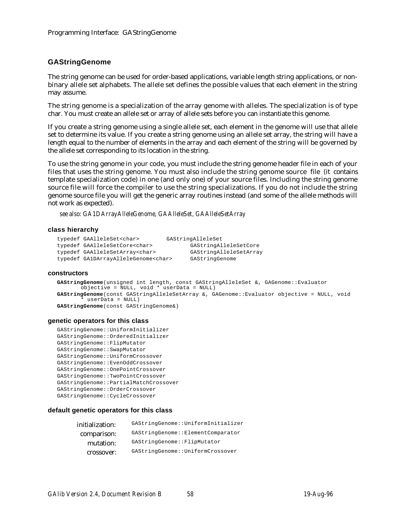# **GAStringGenome**

The string genome can be used for order-based applications, variable length string applications, or nonbinary allele set alphabets. The allele set defines the possible values that each element in the string may assume.

The string genome is a specialization of the array genome with alleles. The specialization is of type char. You must create an allele set or array of allele sets before you can instantiate this genome.

If you create a string genome using a single allele set, each element in the genome will use that allele set to determine its value. If you create a string genome using an allele set array, the string will have a length equal to the number of elements in the array and each element of the string will be governed by the allele set corresponding to its location in the string.

To use the string genome in your code, you must include the string genome header file in each of your files that uses the string genome. You must also include the string genome source file (it contains template specialization code) in one (and only one) of your source files. Including the string genome source file will force the compiler to use the string specializations. If you do not include the string genome source file you will get the generic array routines instead (and some of the allele methods will not work as expected).

*see also: GA1DArrayAlleleGenome, GAAlleleSet, GAAlleleSetArray*

## **class hierarchy**

```
typedef GAAlleleSet<char> GAStringAlleleSet
typedef GAAlleleSetCore<char> GAStringAlleleSetCore
typedef GAAlleleSetArray<char> GAStringAlleleSetArray
typedef GA1DArrayAlleleGenome<char> GAStringGenome
```
#### **constructors**

```
GAStringGenome(unsigned int length, const GAStringAlleleSet &, GAGenome::Evaluator
       objective = NULL, void * userData = NULL)
GAStringGenome(const GAStringAlleleSetArray &, GAGenome::Evaluator objective = NULL, void
        userData = NULL)GAStringGenome(const GAStringGenome&)
```
## **genetic operators for this class**

```
GAStringGenome::UniformInitializer
GAStringGenome::OrderedInitializer
GAStringGenome::FlipMutator
GAStringGenome::SwapMutator
GAStringGenome::UniformCrossover
GAStringGenome::EvenOddCrossover
GAStringGenome::OnePointCrossover
GAStringGenome::TwoPointCrossover
GAStringGenome::PartialMatchCrossover
GAStringGenome::OrderCrossover
GAStringGenome::CycleCrossover
```

| initialization: | GAStringGenome::UniformInitializer |
|-----------------|------------------------------------|
| comparison:     | GAStringGenome:: ElementComparator |
| mutation:       | GAStringGenome::FlipMutator        |
| crossover:      | GAStringGenome::UniformCrossover   |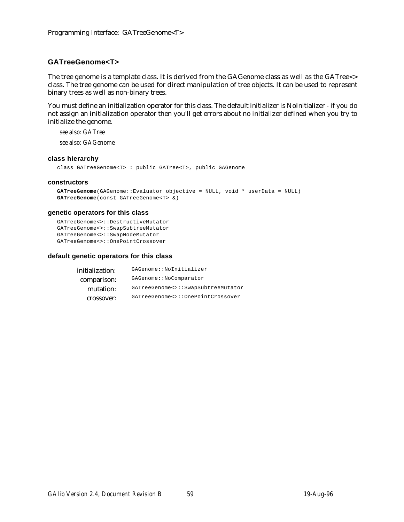# **GATreeGenome<T>**

The tree genome is a template class. It is derived from the GAGenome class as well as the GATree<> class. The tree genome can be used for direct manipulation of tree objects. It can be used to represent binary trees as well as non-binary trees.

You must define an initialization operator for this class. The default initializer is NoInitializer - if you do not assign an initialization operator then you'll get errors about no initializer defined when you try to initialize the genome.

*see also: GATree see also: GAGenome*

## **class hierarchy**

class GATreeGenome<T> : public GATree<T>, public GAGenome

## **constructors**

```
GATreeGenome(GAGenome::Evaluator objective = NULL, void * userData = NULL)
GATreeGenome(const GATreeGenome<T> &)
```
## **genetic operators for this class**

```
GATreeGenome<>::DestructiveMutator
GATreeGenome<>::SwapSubtreeMutator
GATreeGenome<>::SwapNodeMutator
GATreeGenome<>::OnePointCrossover
```

| initialization: | GAGenome::NoInitializer            |
|-----------------|------------------------------------|
| comparison:     | GAGenome::NoComparator             |
| mutation:       | GATreeGenome<>::SwapSubtreeMutator |
| crossover:      | GATreeGenome<>::OnePointCrossover  |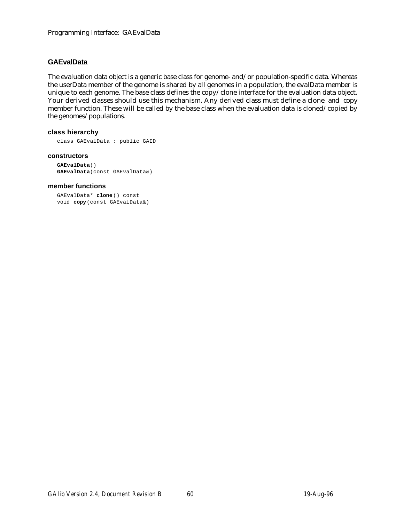# **GAEvalData**

The evaluation data object is a generic base class for genome- and/or population-specific data. Whereas the userData member of the genome is shared by all genomes in a population, the evalData member is unique to each genome. The base class defines the copy/clone interface for the evaluation data object. Your derived classes should use this mechanism. Any derived class must define a clone and copy member function. These will be called by the base class when the evaluation data is cloned/copied by the genomes/populations.

# **class hierarchy**

class GAEvalData : public GAID

## **constructors**

```
GAEvalData()
GAEvalData(const GAEvalData&)
```
## **member functions**

```
GAEvalData* clone() const
void copy(const GAEvalData&)
```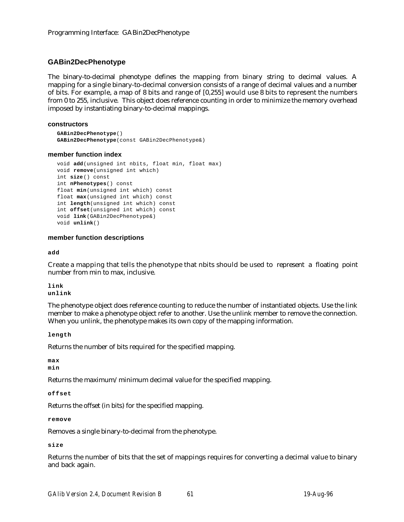# **GABin2DecPhenotype**

The binary-to-decimal phenotype defines the mapping from binary string to decimal values. A mapping for a single binary-to-decimal conversion consists of a range of decimal values and a number of bits. For example, a map of 8 bits and range of [0,255] would use 8 bits to represent the numbers from 0 to 255, inclusive. This object does reference counting in order to minimize the memory overhead imposed by instantiating binary-to-decimal mappings.

## **constructors**

```
GABin2DecPhenotype()
GABin2DecPhenotype(const GABin2DecPhenotype&)
```
## **member function index**

```
void add(unsigned int nbits, float min, float max)
void remove(unsigned int which)
int size() const
int nPhenotypes() const
float min(unsigned int which) const
float max(unsigned int which) const
int length(unsigned int which) const
int offset(unsigned int which) const
void link(GABin2DecPhenotype&)
void unlink()
```
## **member function descriptions**

**add**

Create a mapping that tells the phenotype that nbits should be used to represent a floating point number from min to max, inclusive.

**link unlink**

The phenotype object does reference counting to reduce the number of instantiated objects. Use the link member to make a phenotype object refer to another. Use the unlink member to remove the connection. When you unlink, the phenotype makes its own copy of the mapping information.

**length**

Returns the number of bits required for the specified mapping.

**max min**

Returns the maximum/minimum decimal value for the specified mapping.

```
offset
```
Returns the offset (in bits) for the specified mapping.

**remove**

Removes a single binary-to-decimal from the phenotype.

**size**

Returns the number of bits that the set of mappings requires for converting a decimal value to binary and back again.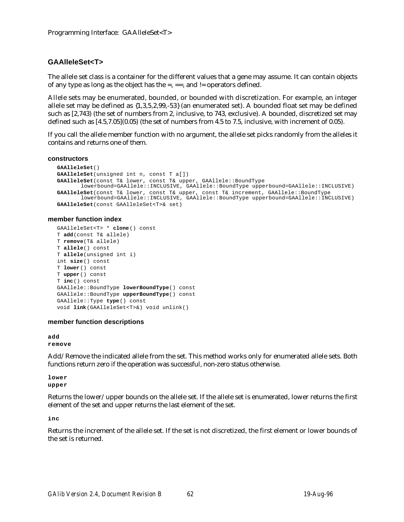# **GAAlleleSet<T>**

The allele set class is a container for the different values that a gene may assume. It can contain objects of any type as long as the object has the  $=$ ,  $=$  =, and  $!=$  operators defined.

Allele sets may be enumerated, bounded, or bounded with discretization. For example, an integer allele set may be defined as {1,3,5,2,99,-53} (an enumerated set). A bounded float set may be defined such as [2,743) (the set of numbers from 2, inclusive, to 743, exclusive). A bounded, discretized set may defined such as [4.5,7.05](0.05) (the set of numbers from 4.5 to 7.5, inclusive, with increment of 0.05).

If you call the allele member function with no argument, the allele set picks randomly from the alleles it contains and returns one of them.

**constructors**

```
GAAlleleSet()
GAAlleleSet(unsigned int n, const T a[])
GAAlleleSet(const T& lower, const T& upper, GAAllele::BoundType
       lowerbound=GAAllele::INCLUSIVE, GAAllele::BoundType upperbound=GAAllele::INCLUSIVE)
GAAlleleSet(const T& lower, const T& upper, const T& increment, GAAllele::BoundType
       lowerbound=GAAllele::INCLUSIVE, GAAllele::BoundType upperbound=GAAllele::INCLUSIVE)
GAAlleleSet(const GAAlleleSet<T>& set)
```
## **member function index**

```
GAAlleleSet<T> * clone() const
T add(const T& allele)
T remove(T& allele)
T allele() const
T allele(unsigned int i)
int size() const
T lower() const
T upper() const
T inc() const
GAAllele::BoundType lowerBoundType() const
GAAllele::BoundType upperBoundType() const
GAAllele::Type type() const
void link(GAAlleleSet<T>&) void unlink()
```
## **member function descriptions**

**add remove**

Add/Remove the indicated allele from the set. This method works only for enumerated allele sets. Both functions return zero if the operation was successful, non-zero status otherwise.

**lower upper**

Returns the lower/upper bounds on the allele set. If the allele set is enumerated, lower returns the first element of the set and upper returns the last element of the set.

**inc**

Returns the increment of the allele set. If the set is not discretized, the first element or lower bounds of the set is returned.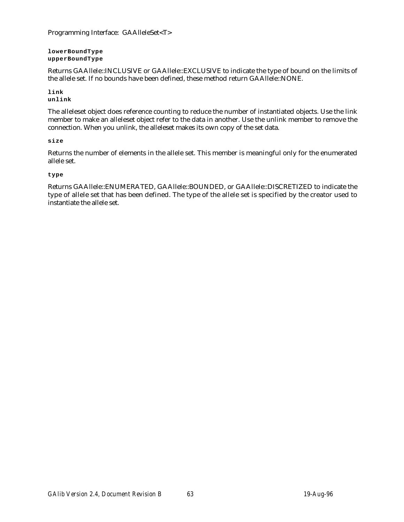Programming Interface: GAAlleleSet<T>

**lowerBoundType upperBoundType**

Returns GAAllele::INCLUSIVE or GAAllele::EXCLUSIVE to indicate the type of bound on the limits of the allele set. If no bounds have been defined, these method return GAAllele::NONE.

**link unlink**

The alleleset object does reference counting to reduce the number of instantiated objects. Use the link member to make an alleleset object refer to the data in another. Use the unlink member to remove the connection. When you unlink, the alleleset makes its own copy of the set data.

# **size**

Returns the number of elements in the allele set. This member is meaningful only for the enumerated allele set.

## **type**

Returns GAAllele::ENUMERATED, GAAllele::BOUNDED, or GAAllele::DISCRETIZED to indicate the type of allele set that has been defined. The type of the allele set is specified by the creator used to instantiate the allele set.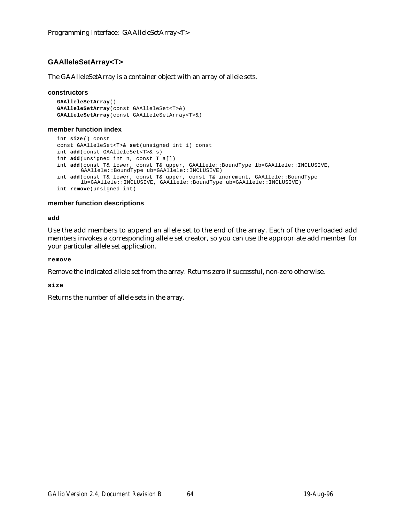# **GAAlleleSetArray<T>**

The GAAlleleSetArray is a container object with an array of allele sets.

## **constructors**

```
GAAlleleSetArray()
GAAlleleSetArray(const GAAlleleSet<T>&)
GAAlleleSetArray(const GAAlleleSetArray<T>&)
```
## **member function index**

```
int size() const
const GAAlleleSet<T>& set(unsigned int i) const
int add(const GAAlleleSet<T>& s)
int add(unsigned int n, const T a[])
int add(const T& lower, const T& upper, GAAllele::BoundType lb=GAAllele::INCLUSIVE,
       GAAllele::BoundType ub=GAAllele::INCLUSIVE)
int add(const T& lower, const T& upper, const T& increment, GAAllele::BoundType
       lb=GAAllele::INCLUSIVE, GAAllele::BoundType ub=GAAllele::INCLUSIVE)
int remove(unsigned int)
```
# **member function descriptions**

**add**

Use the add members to append an allele set to the end of the array. Each of the overloaded add members invokes a corresponding allele set creator, so you can use the appropriate add member for your particular allele set application.

**remove**

Remove the indicated allele set from the array. Returns zero if successful, non-zero otherwise.

**size**

Returns the number of allele sets in the array.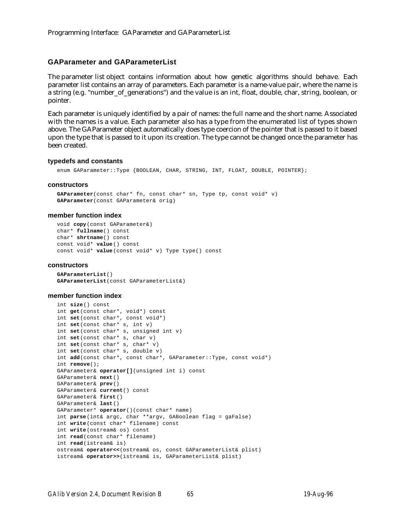## **GAParameter and GAParameterList**

The parameter list object contains information about how genetic algorithms should behave. Each parameter list contains an array of parameters. Each parameter is a name-value pair, where the name is a string (e.g. "number\_of\_generations") and the value is an int, float, double, char, string, boolean, or pointer.

Each parameter is uniquely identified by a pair of names: the full name and the short name. Associated with the names is a value. Each parameter also has a type from the enumerated list of types shown above. The GAParameter object automatically does type coercion of the pointer that is passed to it based upon the type that is passed to it upon its creation. The type cannot be changed once the parameter has been created.

#### **typedefs and constants**

enum GAParameter::Type {BOOLEAN, CHAR, STRING, INT, FLOAT, DOUBLE, POINTER};

#### **constructors**

```
GAParameter(const char* fn, const char* sn, Type tp, const void* v)
GAParameter(const GAParameter& orig)
```
#### **member function index**

void **copy**(const GAParameter&) char\* **fullname**() const char\* **shrtname**() const const void\* **value**() const const void\* **value**(const void\* v) Type type() const

#### **constructors**

**GAParameterList**() **GAParameterList**(const GAParameterList&)

#### **member function index**

```
int size() const
int get(const char*, void*) const
int set(const char*, const void*)
int set(const char* s, int v)
int set(const char* s, unsigned int v)
int set(const char* s, char v)
int set(const char* s, char* v)
int set(const char* s, double v)
int add(const char*, const char*, GAParameter::Type, const void*)
int remove();
GAParameter& operator[](unsigned int i) const
GAParameter& next()
GAParameter& prev()
GAParameter& current() const
GAParameter& first()
GAParameter& last()
GAParameter* operator()(const char* name)
int parse(int& argc, char **argv, GABoolean flag = gaFalse)
int write(const char* filename) const
int write(ostream& os) const
int read(const char* filename)
int read(istream& is)
ostream& operator<<(ostream& os, const GAParameterList& plist)
istream& operator>>(istream& is, GAParameterList& plist)
```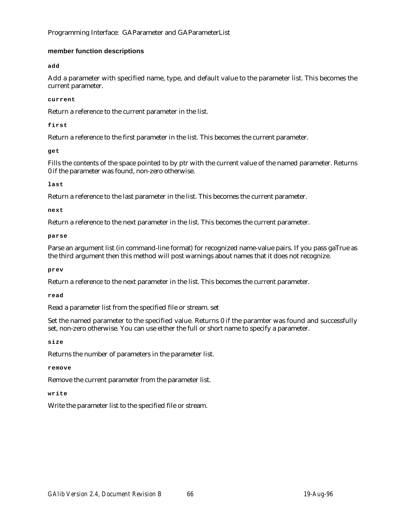# Programming Interface: GAParameter and GAParameterList

# **member function descriptions**

**add**

Add a parameter with specified name, type, and default value to the parameter list. This becomes the current parameter.

**current**

Return a reference to the current parameter in the list.

**first**

Return a reference to the first parameter in the list. This becomes the current parameter.

**get**

Fills the contents of the space pointed to by ptr with the current value of the named parameter. Returns 0 if the parameter was found, non-zero otherwise.

**last**

Return a reference to the last parameter in the list. This becomes the current parameter.

**next**

Return a reference to the next parameter in the list. This becomes the current parameter.

**parse**

Parse an argument list (in command-line format) for recognized name-value pairs. If you pass gaTrue as the third argument then this method will post warnings about names that it does not recognize.

**prev**

Return a reference to the next parameter in the list. This becomes the current parameter.

**read**

Read a parameter list from the specified file or stream. set

Set the named parameter to the specified value. Returns 0 if the paramter was found and successfully set, non-zero otherwise. You can use either the full or short name to specify a parameter.

**size**

Returns the number of parameters in the parameter list.

**remove**

Remove the current parameter from the parameter list.

**write**

Write the parameter list to the specified file or stream.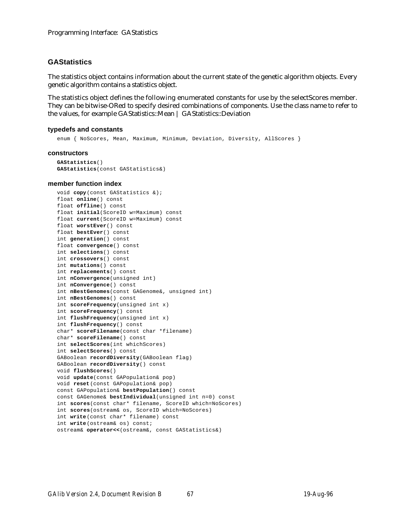# **GAStatistics**

The statistics object contains information about the current state of the genetic algorithm objects. Every genetic algorithm contains a statistics object.

The statistics object defines the following enumerated constants for use by the selectScores member. They can be bitwise-ORed to specify desired combinations of components. Use the class name to refer to the values, for example GAStatistics::Mean | GAStatistics::Deviation

#### **typedefs and constants**

enum { NoScores, Mean, Maximum, Minimum, Deviation, Diversity, AllScores }

#### **constructors**

```
GAStatistics()
GAStatistics(const GAStatistics&)
```
#### **member function index**

```
void copy(const GAStatistics &);
float online() const
float offline() const
float initial(ScoreID w=Maximum) const
float current(ScoreID w=Maximum) const
float worstEver() const
float bestEver() const
int generation() const
float convergence() const
int selections() const
int crossovers() const
int mutations() const
int replacements() const
int nConvergence(unsigned int)
int nConvergence() const
int nBestGenomes(const GAGenome&, unsigned int)
int nBestGenomes() const
int scoreFrequency(unsigned int x)
int scoreFrequency() const
int flushFrequency(unsigned int x)
int flushFrequency() const
char* scoreFilename(const char *filename)
char* scoreFilename() const
int selectScores(int whichScores)
int selectScores() const
GABoolean recordDiversity(GABoolean flag)
GABoolean recordDiversity() const
void flushScores()
void update(const GAPopulation& pop)
void reset(const GAPopulation& pop)
const GAPopulation& bestPopulation() const
const GAGenome& bestIndividual(unsigned int n=0) const
int scores(const char* filename, ScoreID which=NoScores)
int scores(ostream& os, ScoreID which=NoScores)
int write(const char* filename) const
int write(ostream& os) const;
ostream& operator<<(ostream&, const GAStatistics&)
```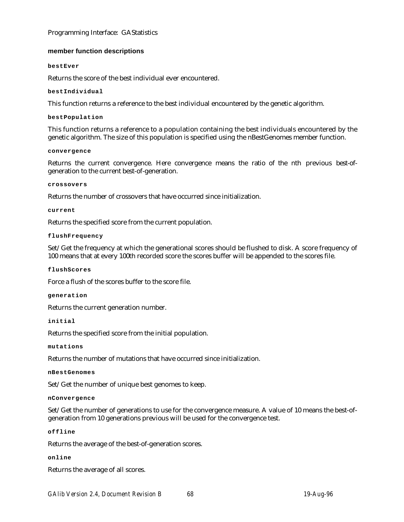# Programming Interface: GAStatistics

# **member function descriptions**

## **bestEver**

Returns the score of the best individual ever encountered.

**bestIndividual**

This function returns a reference to the best individual encountered by the genetic algorithm.

## **bestPopulation**

This function returns a reference to a population containing the best individuals encountered by the genetic algorithm. The size of this population is specified using the nBestGenomes member function.

## **convergence**

Returns the current convergence. Here convergence means the ratio of the nth previous best-ofgeneration to the current best-of-generation.

## **crossovers**

Returns the number of crossovers that have occurred since initialization.

## **current**

Returns the specified score from the current population.

## **flushFrequency**

Set/Get the frequency at which the generational scores should be flushed to disk. A score frequency of 100 means that at every 100th recorded score the scores buffer will be appended to the scores file.

## **flushScores**

Force a flush of the scores buffer to the score file.

**generation**

Returns the current generation number.

## **initial**

Returns the specified score from the initial population.

**mutations**

Returns the number of mutations that have occurred since initialization.

**nBestGenomes**

Set/Get the number of unique best genomes to keep.

## **nConvergence**

Set/Get the number of generations to use for the convergence measure. A value of 10 means the best-ofgeneration from 10 generations previous will be used for the convergence test.

## **offline**

Returns the average of the best-of-generation scores.

## **online**

Returns the average of all scores.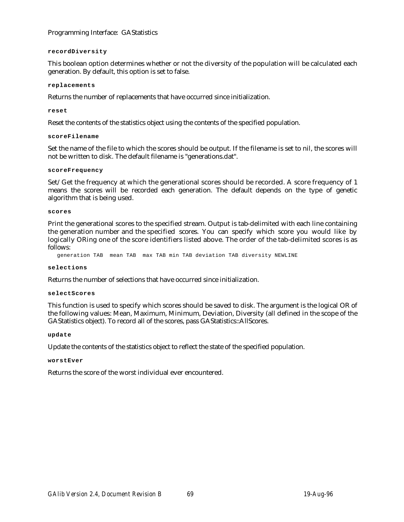# Programming Interface: GAStatistics

## **recordDiversity**

This boolean option determines whether or not the diversity of the population will be calculated each generation. By default, this option is set to false.

## **replacements**

Returns the number of replacements that have occurred since initialization.

## **reset**

Reset the contents of the statistics object using the contents of the specified population.

## **scoreFilename**

Set the name of the file to which the scores should be output. If the filename is set to nil, the scores will not be written to disk. The default filename is "generations.dat".

## **scoreFrequency**

Set/Get the frequency at which the generational scores should be recorded. A score frequency of 1 means the scores will be recorded each generation. The default depends on the type of genetic algorithm that is being used.

## **scores**

Print the generational scores to the specified stream. Output is tab-delimited with each line containing the generation number and the specified scores. You can specify which score you would like by logically ORing one of the score identifiers listed above. The order of the tab-delimited scores is as follows:

generation TAB mean TAB max TAB min TAB deviation TAB diversity NEWLINE

## **selections**

Returns the number of selections that have occurred since initialization.

## **selectScores**

This function is used to specify which scores should be saved to disk. The argument is the logical OR of the following values: Mean, Maximum, Minimum, Deviation, Diversity (all defined in the scope of the GAStatistics object). To record all of the scores, pass GAStatistics::AllScores.

## **update**

Update the contents of the statistics object to reflect the state of the specified population.

## **worstEver**

Returns the score of the worst individual ever encountered.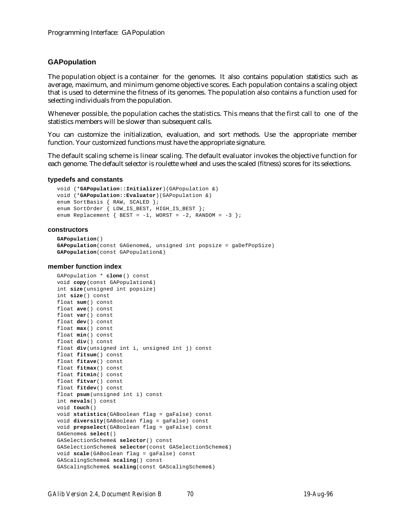## **GAPopulation**

The population object is a container for the genomes. It also contains population statistics such as average, maximum, and minimum genome objective scores. Each population contains a scaling object that is used to determine the fitness of its genomes. The population also contains a function used for selecting individuals from the population.

Whenever possible, the population caches the statistics. This means that the first call to one of the statistics members will be slower than subsequent calls.

You can customize the initialization, evaluation, and sort methods. Use the appropriate member function. Your customized functions must have the appropriate signature.

The default scaling scheme is linear scaling. The default evaluator invokes the objective function for each genome. The default selector is roulette wheel and uses the scaled (fitness) scores for its selections.

#### **typedefs and constants**

```
void (*GAPopulation::Initializer)(GAPopulation &)
void (*GAPopulation::Evaluator)(GAPopulation &)
enum SortBasis { RAW, SCALED };
enum SortOrder { LOW_IS_BEST, HIGH_IS_BEST };
enum Replacement \{ BEST = -1, WORST = -2, RANDOM = -3 };
```
#### **constructors**

```
GAPopulation()
GAPopulation(const GAGenome&, unsigned int popsize = gaDefPopSize)
GAPopulation(const GAPopulation&)
```
#### **member function index**

```
GAPopulation * clone() const
void copy(const GAPopulation&)
int size(unsigned int popsize)
int size() const
float sum() const
float ave() const
float var() const
float dev() const
float max() const
float min() const
float div() const
float div(unsigned int i, unsigned int j) const
float fitsum() const
float fitave() const
float fitmax() const
float fitmin() const
float fitvar() const
float fitdev() const
float psum(unsigned int i) const
int nevals() const
void touch()
void statistics(GABoolean flag = gaFalse) const
void diversity(GABoolean flag = gaFalse) const
void prepselect(GABoolean flag = gaFalse) const
GAGenome& select()
GASelectionScheme& selector() const
GASelectionScheme& selector(const GASelectionScheme&)
void scale(GABoolean flag = gaFalse) const
GAScalingScheme& scaling() const
GAScalingScheme& scaling(const GAScalingScheme&)
```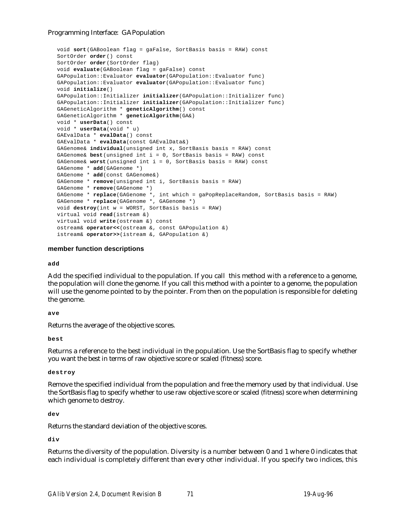```
void sort(GABoolean flag = gaFalse, SortBasis basis = RAW) const
SortOrder order() const
SortOrder order(SortOrder flag)
void evaluate(GABoolean flag = gaFalse) const
GAPopulation::Evaluator evaluator(GAPopulation::Evaluator func)
GAPopulation::Evaluator evaluator(GAPopulation::Evaluator func)
void initialize()
GAPopulation::Initializer initializer(GAPopulation::Initializer func)
GAPopulation::Initializer initializer(GAPopulation::Initializer func)
GAGeneticAlgorithm * geneticAlgorithm() const
GAGeneticAlgorithm * geneticAlgorithm(GA&)
void * userData() const
void * userData(void * u)
GAEvalData * evalData() const
GAEvalData * evalData(const GAEvalData&)
GAGenome& individual(unsigned int x, SortBasis basis = RAW) const
GAGenome& best(unsigned int i = 0, SortBasis basis = RAW) const
GAGenome& worst(unsigned int i = 0, SortBasis basis = RAW) const
GAGenome * add(GAGenome *)
GAGenome * add(const GAGenome&)
GAGenome * remove(unsigned int i, SortBasis basis = RAW)
GAGenome * remove(GAGenome *)
GAGenome * replace(GAGenome *, int which = gaPopReplaceRandom, SortBasis basis = RAW)
GAGenome * replace(GAGenome *, GAGenome *)
void destroy(int w = WORST, SortBasis basis = RAW)
virtual void read(istream &)
virtual void write(ostream &) const
ostream& operator<<(ostream &, const GAPopulation &)
istream& operator>>(istream &, GAPopulation &)
```
## **member function descriptions**

**add**

Add the specified individual to the population. If you call this method with a reference to a genome, the population will clone the genome. If you call this method with a pointer to a genome, the population will use the genome pointed to by the pointer. From then on the population is responsible for deleting the genome.

**ave**

Returns the average of the objective scores.

**best**

Returns a reference to the best individual in the population. Use the SortBasis flag to specify whether you want the best in terms of raw objective score or scaled (fitness) score.

**destroy**

Remove the specified individual from the population and free the memory used by that individual. Use the SortBasis flag to specify whether to use raw objective score or scaled (fitness) score when determining which genome to destroy.

**dev**

Returns the standard deviation of the objective scores.

**div**

Returns the diversity of the population. Diversity is a number between 0 and 1 where 0 indicates that each individual is completely different than every other individual. If you specify two indices, this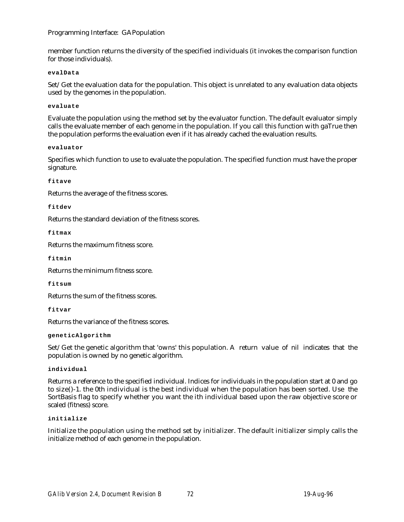member function returns the diversity of the specified individuals (it invokes the comparison function for those individuals).

### **evalData**

Set/Get the evaluation data for the population. This object is unrelated to any evaluation data objects used by the genomes in the population.

### **evaluate**

Evaluate the population using the method set by the evaluator function. The default evaluator simply calls the evaluate member of each genome in the population. If you call this function with gaTrue then the population performs the evaluation even if it has already cached the evaluation results.

## **evaluator**

Specifies which function to use to evaluate the population. The specified function must have the proper signature.

## **fitave**

Returns the average of the fitness scores.

## **fitdev**

Returns the standard deviation of the fitness scores.

**fitmax**

Returns the maximum fitness score.

**fitmin**

Returns the minimum fitness score.

**fitsum**

Returns the sum of the fitness scores.

**fitvar**

Returns the variance of the fitness scores.

#### **geneticAlgorithm**

Set/Get the genetic algorithm that 'owns' this population. A return value of nil indicates that the population is owned by no genetic algorithm.

**individual**

Returns a reference to the specified individual. Indices for individuals in the population start at 0 and go to size()-1. the 0th individual is the best individual when the population has been sorted. Use the SortBasis flag to specify whether you want the ith individual based upon the raw objective score or scaled (fitness) score.

#### **initialize**

Initialize the population using the method set by initializer. The default initializer simply calls the initialize method of each genome in the population.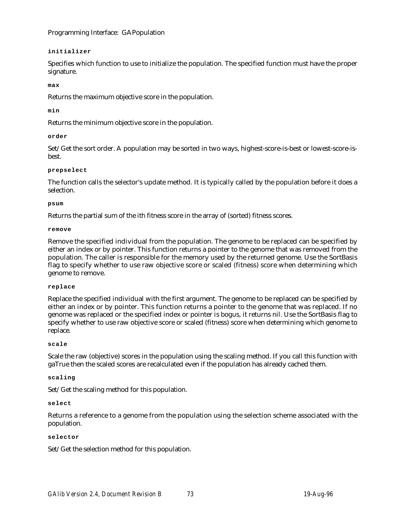## **initializer**

Specifies which function to use to initialize the population. The specified function must have the proper signature.

## **max**

Returns the maximum objective score in the population.

## **min**

Returns the minimum objective score in the population.

## **order**

Set/Get the sort order. A population may be sorted in two ways, highest-score-is-best or lowest-score-isbest.

## **prepselect**

The function calls the selector's update method. It is typically called by the population before it does a selection.

#### **psum**

Returns the partial sum of the ith fitness score in the array of (sorted) fitness scores.

#### **remove**

Remove the specified individual from the population. The genome to be replaced can be specified by either an index or by pointer. This function returns a pointer to the genome that was removed from the population. The caller is responsible for the memory used by the returned genome. Use the SortBasis flag to specify whether to use raw objective score or scaled (fitness) score when determining which genome to remove.

#### **replace**

Replace the specified individual with the first argument. The genome to be replaced can be specified by either an index or by pointer. This function returns a pointer to the genome that was replaced. If no genome was replaced or the specified index or pointer is bogus, it returns nil. Use the SortBasis flag to specify whether to use raw objective score or scaled (fitness) score when determining which genome to replace.

#### **scale**

Scale the raw (objective) scores in the population using the scaling method. If you call this function with gaTrue then the scaled scores are recalculated even if the population has already cached them.

#### **scaling**

Set/Get the scaling method for this population.

#### **select**

Returns a reference to a genome from the population using the selection scheme associated with the population.

#### **selector**

Set/Get the selection method for this population.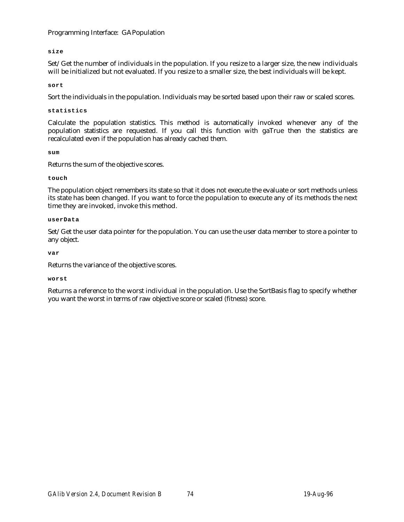**size**

Set/Get the number of individuals in the population. If you resize to a larger size, the new individuals will be initialized but not evaluated. If you resize to a smaller size, the best individuals will be kept.

**sort**

Sort the individuals in the population. Individuals may be sorted based upon their raw or scaled scores.

### **statistics**

Calculate the population statistics. This method is automatically invoked whenever any of the population statistics are requested. If you call this function with gaTrue then the statistics are recalculated even if the population has already cached them.

**sum**

Returns the sum of the objective scores.

## **touch**

The population object remembers its state so that it does not execute the evaluate or sort methods unless its state has been changed. If you want to force the population to execute any of its methods the next time they are invoked, invoke this method.

## **userData**

Set/Get the user data pointer for the population. You can use the user data member to store a pointer to any object.

## **var**

Returns the variance of the objective scores.

#### **worst**

Returns a reference to the worst individual in the population. Use the SortBasis flag to specify whether you want the worst in terms of raw objective score or scaled (fitness) score.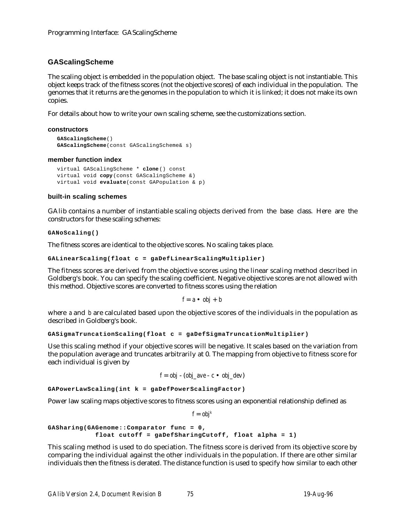# **GAScalingScheme**

The scaling object is embedded in the population object. The base scaling object is not instantiable. This object keeps track of the fitness scores (not the objective scores) of each individual in the population. The genomes that it returns are the genomes in the population to which it is linked; it does not make its own copies.

For details about how to write your own scaling scheme, see the customizations section.

## **constructors**

```
GAScalingScheme()
GAScalingScheme(const GAScalingScheme& s)
```
## **member function index**

virtual GAScalingScheme \* **clone**() const virtual void **copy**(const GAScalingScheme &) virtual void **evaluate**(const GAPopulation & p)

## **built-in scaling schemes**

GAlib contains a number of instantiable scaling objects derived from the base class. Here are the constructors for these scaling schemes:

**GANoScaling()**

The fitness scores are identical to the objective scores. No scaling takes place.

```
GALinearScaling(float c = gaDefLinearScalingMultiplier)
```
The fitness scores are derived from the objective scores using the linear scaling method described in Goldberg's book. You can specify the scaling coefficient. Negative objective scores are not allowed with this method. Objective scores are converted to fitness scores using the relation

$$
f = a \bullet \; obj + b
$$

where *a* and *b* are calculated based upon the objective scores of the individuals in the population as described in Goldberg's book.

```
GASigmaTruncationScaling(float c = gaDefSigmaTruncationMultiplier)
```
Use this scaling method if your objective scores will be negative. It scales based on the variation from the population average and truncates arbitrarily at 0. The mapping from objective to fitness score for each individual is given by

$$
f = obj - (obj\_ave - c \cdot obj\_dev)
$$

**GAPowerLawScaling(int k = gaDefPowerScalingFactor)**

Power law scaling maps objective scores to fitness scores using an exponential relationship defined as

 $f = \alpha b$ *j*<sup>*k*</sup>

```
GASharing(GAGenome::Comparator func = 0,
            float cutoff = gaDefSharingCutoff, float alpha = 1)
```
This scaling method is used to do speciation. The fitness score is derived from its objective score by comparing the individual against the other individuals in the population. If there are other similar individuals then the fitness is derated. The distance function is used to specify how similar to each other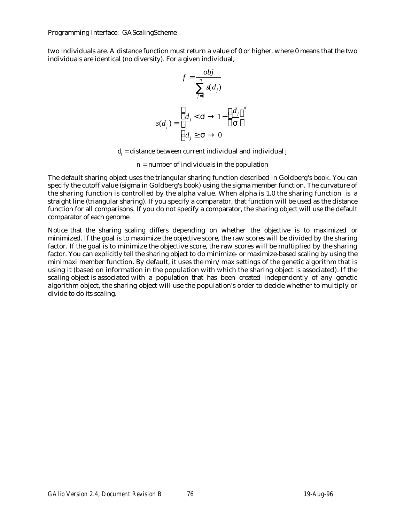Programming Interface: GAScalingScheme

two individuals are. A distance function must return a value of 0 or higher, where 0 means that the two individuals are identical (no diversity). For a given individual,

$$
f = \frac{obj}{\binom{n}{s(d_j)}}
$$

$$
s(d_j) = \frac{d_j}{d_j} < 1 - \frac{d_j}{d_j}
$$

*dj* = distance between current individual and individual *j*

 $n =$  number of individuals in the population

The default sharing object uses the triangular sharing function described in Goldberg's book. You can specify the cutoff value (sigma in Goldberg's book) using the sigma member function. The curvature of the sharing function is controlled by the alpha value. When alpha is 1.0 the sharing function is a straight line (triangular sharing). If you specify a comparator, that function will be used as the distance function for all comparisons. If you do not specify a comparator, the sharing object will use the default comparator of each genome.

Notice that the sharing scaling differs depending on whether the objective is to maximized or minimized. If the goal is to maximize the objective score, the raw scores will be divided by the sharing factor. If the goal is to minimize the objective score, the raw scores will be multiplied by the sharing factor. You can explicitly tell the sharing object to do minimize- or maximize-based scaling by using the minimaxi member function. By default, it uses the min/max settings of the genetic algorithm that is using it (based on information in the population with which the sharing object is associated). If the scaling object is associated with a population that has been created independently of any genetic algorithm object, the sharing object will use the population's order to decide whether to multiply or divide to do its scaling.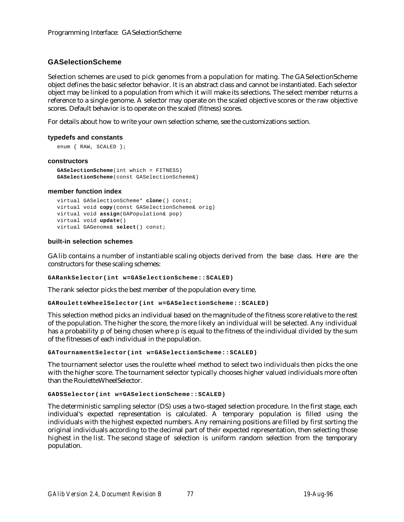# **GASelectionScheme**

Selection schemes are used to pick genomes from a population for mating. The GASelectionScheme object defines the basic selector behavior. It is an abstract class and cannot be instantiated. Each selector object may be linked to a population from which it will make its selections. The select member returns a reference to a single genome. A selector may operate on the scaled objective scores or the raw objective scores. Default behavior is to operate on the scaled (fitness) scores.

For details about how to write your own selection scheme, see the customizations section.

## **typedefs and constants**

```
enum { RAW, SCALED };
```
## **constructors**

```
GASelectionScheme(int which = FITNESS)
GASelectionScheme(const GASelectionScheme&)
```
## **member function index**

```
virtual GASelectionScheme* clone() const;
virtual void copy(const GASelectionScheme& orig)
virtual void assign(GAPopulation& pop)
virtual void update()
virtual GAGenome& select() const;
```
## **built-in selection schemes**

GAlib contains a number of instantiable scaling objects derived from the base class. Here are the constructors for these scaling schemes:

**GARankSelector(int w=GASelectionScheme::SCALED)**

The rank selector picks the best member of the population every time.

**GARouletteWheelSelector(int w=GASelectionScheme::SCALED)**

This selection method picks an individual based on the magnitude of the fitness score relative to the rest of the population. The higher the score, the more likely an individual will be selected. Any individual has a probability p of being chosen where p is equal to the fitness of the individual divided by the sum of the fitnesses of each individual in the population.

**GATournamentSelector(int w=GASelectionScheme::SCALED)**

The tournament selector uses the roulette wheel method to select two individuals then picks the one with the higher score. The tournament selector typically chooses higher valued individuals more often than the RouletteWheelSelector.

```
GADSSelector(int w=GASelectionScheme::SCALED)
```
The deterministic sampling selector (DS) uses a two-staged selection procedure. In the first stage, each individual's expected representation is calculated. A temporary population is filled using the individuals with the highest expected numbers. Any remaining positions are filled by first sorting the original individuals according to the decimal part of their expected representation, then selecting those highest in the list. The second stage of selection is uniform random selection from the temporary population.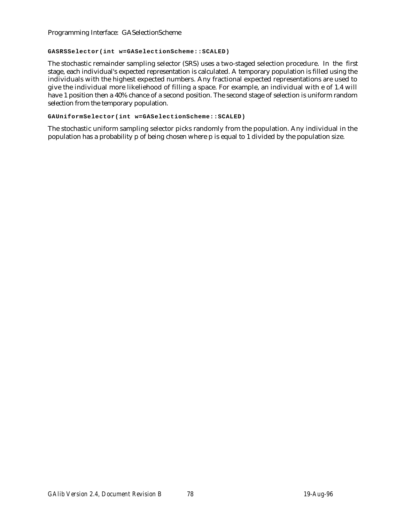Programming Interface: GASelectionScheme

## **GASRSSelector(int w=GASelectionScheme::SCALED)**

The stochastic remainder sampling selector (SRS) uses a two-staged selection procedure. In the first stage, each individual's expected representation is calculated. A temporary population is filled using the individuals with the highest expected numbers. Any fractional expected representations are used to give the individual more likeliehood of filling a space. For example, an individual with e of 1.4 will have 1 position then a 40% chance of a second position. The second stage of selection is uniform random selection from the temporary population.

## **GAUniformSelector(int w=GASelectionScheme::SCALED)**

The stochastic uniform sampling selector picks randomly from the population. Any individual in the population has a probability p of being chosen where p is equal to 1 divided by the population size.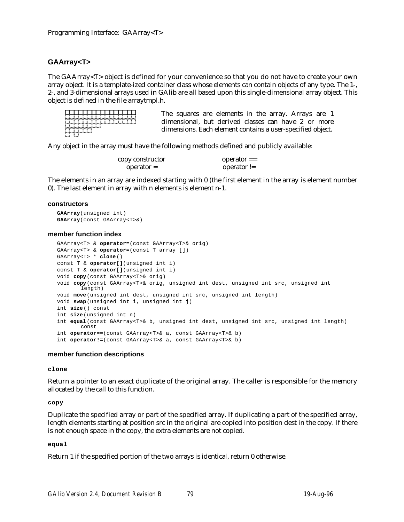# **GAArray<T>**

The GAArray<T> object is defined for your convenience so that you do not have to create your own array object. It is a template-ized container class whose elements can contain objects of any type. The 1-, 2-, and 3-dimensional arrays used in GAlib are all based upon this single-dimensional array object. This object is defined in the file arraytmpl.h.

| The |
|-----|
| dim |
| dim |
|     |

squares are elements in the array. Arrays are 1 ensional, but derived classes can have 2 or more ensions. Each element contains a user-specified object.

Any object in the array must have the following methods defined and publicly available:

| copy constructor | $operator =$  |
|------------------|---------------|
| $operator =$     | operator $!=$ |

The elements in an array are indexed starting with 0 (the first element in the array is element number 0). The last element in array with n elements is element n-1.

#### **constructors**

```
GAArray(unsigned int)
GAArray(const GAArray<T>&)
```
#### **member function index**

```
GAArray<T> & operator=(const GAArray<T>& orig)
GAArray<T> & operator=(const T array [])
GAArray<T> * clone()
const T & operator[](unsigned int i)
const T & operator[](unsigned int i)
void copy(const GAArray<T>& orig)
void copy(const GAArray<T>& orig, unsigned int dest, unsigned int src, unsigned int
       length)
void move(unsigned int dest, unsigned int src, unsigned int length)
void swap(unsigned int i, unsigned int j)
int size() const
int size(unsigned int n)
int equal(const GAArray<T>& b, unsigned int dest, unsigned int src, unsigned int length)
       const
int operator==(const GAArray<T>& a, const GAArray<T>& b)
int operator!=(const GAArray<T>& a, const GAArray<T>& b)
```
## **member function descriptions**

## **clone**

Return a pointer to an exact duplicate of the original array. The caller is responsible for the memory allocated by the call to this function.

**copy**

Duplicate the specified array or part of the specified array. If duplicating a part of the specified array, length elements starting at position src in the original are copied into position dest in the copy. If there is not enough space in the copy, the extra elements are not copied.

#### **equal**

Return 1 if the specified portion of the two arrays is identical, return 0 otherwise.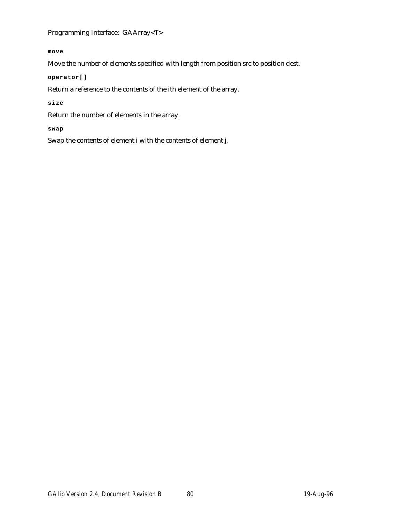Programming Interface: GAArray<T>

**move**

Move the number of elements specified with length from position src to position dest.

**operator[]**

Return a reference to the contents of the ith element of the array.

**size**

Return the number of elements in the array.

**swap**

Swap the contents of element i with the contents of element j.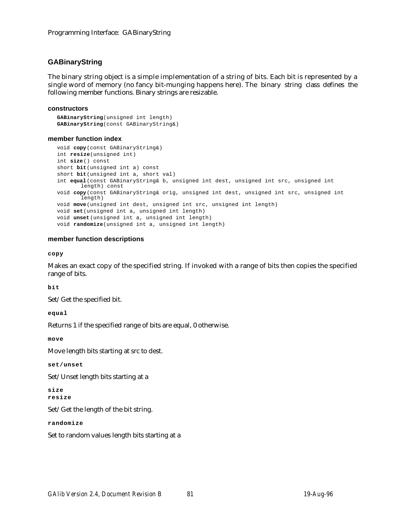# **GABinaryString**

The binary string object is a simple implementation of a string of bits. Each bit is represented by a single word of memory (no fancy bit-munging happens here). The binary string class defines the following member functions. Binary strings are resizable.

## **constructors**

**GABinaryString**(unsigned int length) **GABinaryString**(const GABinaryString&)

## **member function index**

```
void copy(const GABinaryString&)
int resize(unsigned int)
int size() const
short bit(unsigned int a) const
short bit(unsigned int a, short val)
int equal(const GABinaryString& b, unsigned int dest, unsigned int src, unsigned int
      length) const
void copy(const GABinaryString& orig, unsigned int dest, unsigned int src, unsigned int
       length)
void move(unsigned int dest, unsigned int src, unsigned int length)
void set(unsigned int a, unsigned int length)
void unset(unsigned int a, unsigned int length)
void randomize(unsigned int a, unsigned int length)
```
## **member function descriptions**

**copy**

Makes an exact copy of the specified string. If invoked with a range of bits then copies the specified range of bits.

**bit**

Set/Get the specified bit.

**equal**

Returns 1 if the specified range of bits are equal, 0 otherwise.

**move**

Move length bits starting at src to dest.

**set/unset**

Set/Unset length bits starting at a

**size resize**

Set/Get the length of the bit string.

**randomize**

Set to random values length bits starting at a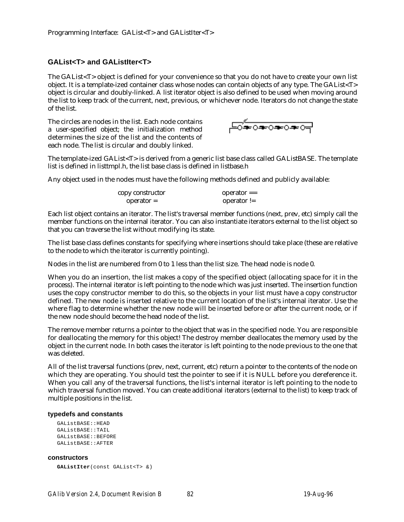# **GAList<T> and GAListIter<T>**

The GAList<T> object is defined for your convenience so that you do not have to create your own list object. It is a template-ized container class whose nodes can contain objects of any type. The GAList<T> object is circular and doubly-linked. A list iterator object is also defined to be used when moving around the list to keep track of the current, next, previous, or whichever node. Iterators do not change the state of the list.

The circles are nodes in the list. Each node contains a user-specified object; the initialization method determines the size of the list and the contents of each node. The list is circular and doubly linked.

<del>DE0≉0≉0≠</del>

The template-ized GAList<T> is derived from a generic list base class called GAListBASE. The template list is defined in listtmpl.h, the list base class is defined in listbase.h

Any object used in the nodes must have the following methods defined and publicly available:

| copy constructor | $operator =$  |
|------------------|---------------|
| $operator =$     | operator $!=$ |

Each list object contains an iterator. The list's traversal member functions (next, prev, etc) simply call the member functions on the internal iterator. You can also instantiate iterators external to the list object so that you can traverse the list without modifying its state.

The list base class defines constants for specifying where insertions should take place (these are relative to the node to which the iterator is currently pointing).

Nodes in the list are numbered from 0 to 1 less than the list size. The head node is node 0.

When you do an insertion, the list makes a copy of the specified object (allocating space for it in the process). The internal iterator is left pointing to the node which was just inserted. The insertion function uses the copy constructor member to do this, so the objects in your list must have a copy constructor defined. The new node is inserted relative to the current location of the list's internal iterator. Use the where flag to determine whether the new node will be inserted before or after the current node, or if the new node should become the head node of the list.

The remove member returns a pointer to the object that was in the specified node. You are responsible for deallocating the memory for this object! The destroy member deallocates the memory used by the object in the current node. In both cases the iterator is left pointing to the node previous to the one that was deleted.

All of the list traversal functions (prev, next, current, etc) return a pointer to the contents of the node on which they are operating. You should test the pointer to see if it is NULL before you dereference it. When you call any of the traversal functions, the list's internal iterator is left pointing to the node to which traversal function moved. You can create additional iterators (external to the list) to keep track of multiple positions in the list.

#### **typedefs and constants**

```
GAListBASE::HEAD
GAListRASE::TAIL
GAListBASE::BEFORE
GAListBASE::AFTER
```
#### **constructors**

```
GAListIter(const GAList<T> &)
```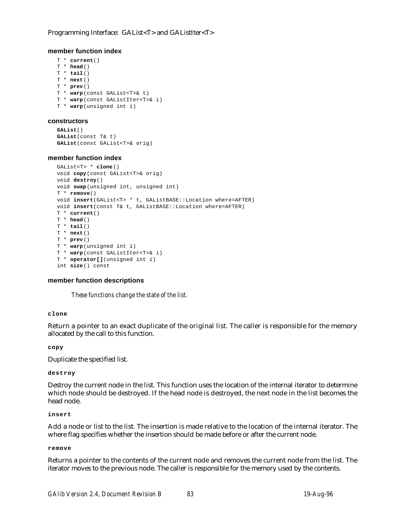## Programming Interface: GAList<T> and GAListIter<T>

## **member function index**

```
T * current()
T * head()
T * tail()
T * next()
T * prev()
T * warp(const GAList<T>& t)
T * warp(const GAListIter<T>& i)
T * warp(unsigned int i)
```
#### **constructors**

```
GAList()
GAList(const T& t)
GAList(const GAList<T>& orig)
```
## **member function index**

```
GAList<T> * clone()
void copy(const GAList<T>& orig)
void destroy()
void swap(unsigned int, unsigned int)
T * remove()
void insert(GAList<T> * t, GAListBASE::Location where=AFTER)
void insert(const T& t, GAListBASE::Location where=AFTER)
T * current()
T * head()
T * tail()
T * next()
T * prev()
T * warp(unsigned int i)
T * warp(const GAListIter<T>& i)
T * operator[](unsigned int i)
int size() const
```
#### **member function descriptions**

*These functions change the state of the list.*

#### **clone**

Return a pointer to an exact duplicate of the original list. The caller is responsible for the memory allocated by the call to this function.

**copy**

Duplicate the specified list.

#### **destroy**

Destroy the current node in the list. This function uses the location of the internal iterator to determine which node should be destroyed. If the head node is destroyed, the next node in the list becomes the head node.

#### **insert**

Add a node or list to the list. The insertion is made relative to the location of the internal iterator. The where flag specifies whether the insertion should be made before or after the current node.

#### **remove**

Returns a pointer to the contents of the current node and removes the current node from the list. The iterator moves to the previous node. The caller is responsible for the memory used by the contents.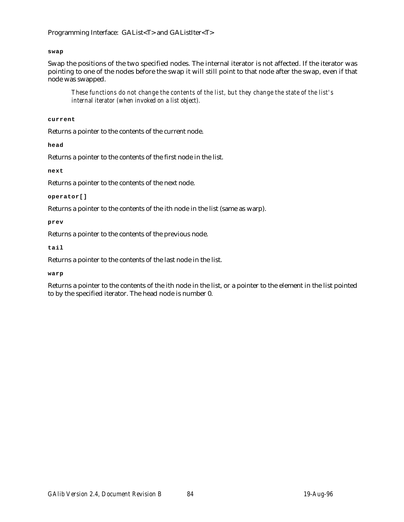# Programming Interface: GAList<T> and GAListIter<T>

## **swap**

Swap the positions of the two specified nodes. The internal iterator is not affected. If the iterator was pointing to one of the nodes before the swap it will still point to that node after the swap, even if that node was swapped.

*These functions do not change the contents of the list, but they change the state of the list's internal iterator (when invoked on a list object).*

**current**

Returns a pointer to the contents of the current node.

**head**

Returns a pointer to the contents of the first node in the list.

**next**

Returns a pointer to the contents of the next node.

**operator[]**

Returns a pointer to the contents of the ith node in the list (same as warp).

**prev**

Returns a pointer to the contents of the previous node.

**tail**

Returns a pointer to the contents of the last node in the list.

**warp**

Returns a pointer to the contents of the ith node in the list, or a pointer to the element in the list pointed to by the specified iterator. The head node is number 0.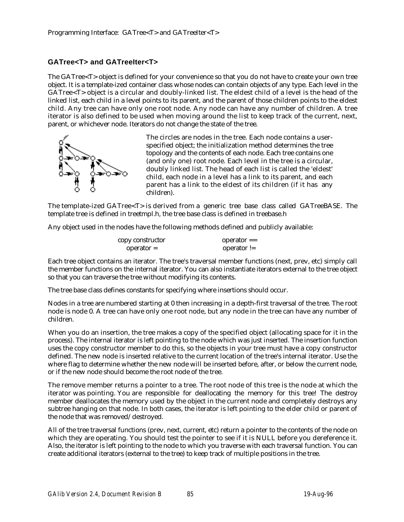# **GATree<T> and GATreeIter<T>**

The GATree<T> object is defined for your convenience so that you do not have to create your own tree object. It is a template-ized container class whose nodes can contain objects of any type. Each level in the GATree<T> object is a circular and doubly-linked list. The eldest child of a level is the head of the linked list, each child in a level points to its parent, and the parent of those children points to the eldest child. Any tree can have only one root node. Any node can have any number of children. A tree iterator is also defined to be used when moving around the list to keep track of the current, next, parent, or whichever node. Iterators do not change the state of the tree.



The circles are nodes in the tree. Each node contains a userspecified object; the initialization method determines the tree topology and the contents of each node. Each tree contains one (and only one) root node. Each level in the tree is a circular, doubly linked list. The head of each list is called the 'eldest' child, each node in a level has a link to its parent, and each parent has a link to the eldest of its children (if it has any children).

The template-ized GATree<T> is derived from a generic tree base class called GATreeBASE. The template tree is defined in treetmpl.h, the tree base class is defined in treebase.h

Any object used in the nodes have the following methods defined and publicly available:

| copy constructor | $operator =$  |
|------------------|---------------|
| $operator =$     | operator $!=$ |

Each tree object contains an iterator. The tree's traversal member functions (next, prev, etc) simply call the member functions on the internal iterator. You can also instantiate iterators external to the tree object so that you can traverse the tree without modifying its contents.

The tree base class defines constants for specifying where insertions should occur.

Nodes in a tree are numbered starting at 0 then increasing in a depth-first traversal of the tree. The root node is node 0. A tree can have only one root node, but any node in the tree can have any number of children.

When you do an insertion, the tree makes a copy of the specified object (allocating space for it in the process). The internal iterator is left pointing to the node which was just inserted. The insertion function uses the copy constructor member to do this, so the objects in your tree must have a copy constructor defined. The new node is inserted relative to the current location of the tree's internal iterator. Use the where flag to determine whether the new node will be inserted before, after, or below the current node, or if the new node should become the root node of the tree.

The remove member returns a pointer to a tree. The root node of this tree is the node at which the iterator was pointing. You are responsible for deallocating the memory for this tree! The destroy member deallocates the memory used by the object in the current node and completely destroys any subtree hanging on that node. In both cases, the iterator is left pointing to the elder child or parent of the node that was removed/destroyed.

All of the tree traversal functions (prev, next, current, etc) return a pointer to the contents of the node on which they are operating. You should test the pointer to see if it is NULL before you dereference it. Also, the iterator is left pointing to the node to which you traverse with each traversal function. You can create additional iterators (external to the tree) to keep track of multiple positions in the tree.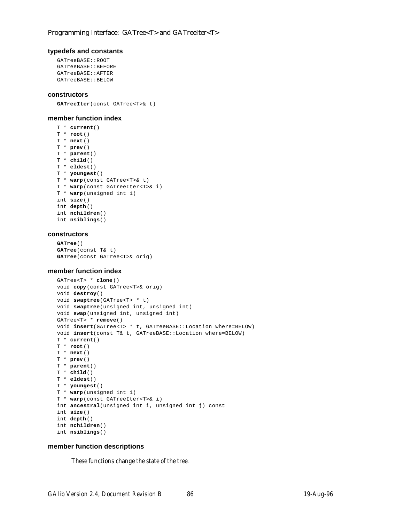#### **typedefs and constants**

```
GATreeBASE::ROOT
GATreeBASE::BEFORE
GATreeBASE::AFTER
GATreeBASE::BELOW
```
#### **constructors**

**GATreeIter**(const GATree<T>& t)

#### **member function index**

```
T * current()
T * root()
T * next()
T * prev()
T * parent()
T * child()
T * eldest()
T * youngest()
T * warp(const GATree<T>& t)
T * warp(const GATreeIter<T>& i)
T * warp(unsigned int i)
int size()
int depth()
int nchildren()
int nsiblings()
```
#### **constructors**

```
GATree()
GATree(const T& t)
GATree(const GATree<T>& orig)
```
## **member function index**

```
GATree<T> * clone()
void copy(const GATree<T>& orig)
void destroy()
void swaptree(GATree<T> * t)
void swaptree(unsigned int, unsigned int)
void swap(unsigned int, unsigned int)
GATree<T> * remove()
void insert(GATree<T> * t, GATreeBASE::Location where=BELOW)
void insert(const T& t, GATreeBASE::Location where=BELOW)
T * current()
T * root()
T * next()
T * prev()
T * parent()
T * child()
T * eldest()
T * youngest()
T * warp(unsigned int i)
T * warp(const GATreeIter<T>& i)
int ancestral(unsigned int i, unsigned int j) const
int size()
int depth()
int nchildren()
int nsiblings()
```
## **member function descriptions**

*These functions change the state of the tree.*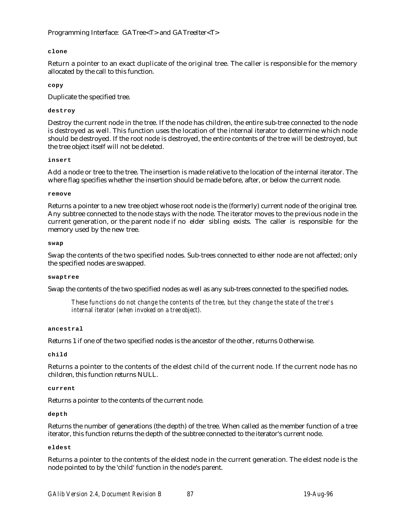## **clone**

Return a pointer to an exact duplicate of the original tree. The caller is responsible for the memory allocated by the call to this function.

### **copy**

Duplicate the specified tree.

## **destroy**

Destroy the current node in the tree. If the node has children, the entire sub-tree connected to the node is destroyed as well. This function uses the location of the internal iterator to determine which node should be destroyed. If the root node is destroyed, the entire contents of the tree will be destroyed, but the tree object itself will not be deleted.

#### **insert**

Add a node or tree to the tree. The insertion is made relative to the location of the internal iterator. The where flag specifies whether the insertion should be made before, after, or below the current node.

#### **remove**

Returns a pointer to a new tree object whose root node is the (formerly) current node of the original tree. Any subtree connected to the node stays with the node. The iterator moves to the previous node in the current generation, or the parent node if no elder sibling exists. The caller is responsible for the memory used by the new tree.

#### **swap**

Swap the contents of the two specified nodes. Sub-trees connected to either node are not affected; only the specified nodes are swapped.

#### **swaptree**

Swap the contents of the two specified nodes as well as any sub-trees connected to the specified nodes.

*These functions do not change the contents of the tree, but they change the state of the tree's internal iterator (when invoked on a tree object).*

#### **ancestral**

Returns 1 if one of the two specified nodes is the ancestor of the other, returns 0 otherwise.

#### **child**

Returns a pointer to the contents of the eldest child of the current node. If the current node has no children, this function returns NULL.

## **current**

Returns a pointer to the contents of the current node.

#### **depth**

Returns the number of generations (the depth) of the tree. When called as the member function of a tree iterator, this function returns the depth of the subtree connected to the iterator's current node.

#### **eldest**

Returns a pointer to the contents of the eldest node in the current generation. The eldest node is the node pointed to by the 'child' function in the node's parent.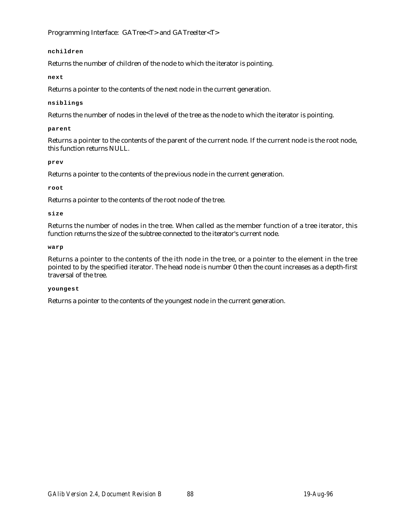Programming Interface: GATree<T> and GATreeIter<T>

## **nchildren**

Returns the number of children of the node to which the iterator is pointing.

# **next**

Returns a pointer to the contents of the next node in the current generation.

## **nsiblings**

Returns the number of nodes in the level of the tree as the node to which the iterator is pointing.

## **parent**

Returns a pointer to the contents of the parent of the current node. If the current node is the root node, this function returns NULL.

## **prev**

Returns a pointer to the contents of the previous node in the current generation.

## **root**

Returns a pointer to the contents of the root node of the tree.

## **size**

Returns the number of nodes in the tree. When called as the member function of a tree iterator, this function returns the size of the subtree connected to the iterator's current node.

## **warp**

Returns a pointer to the contents of the ith node in the tree, or a pointer to the element in the tree pointed to by the specified iterator. The head node is number 0 then the count increases as a depth-first traversal of the tree.

## **youngest**

Returns a pointer to the contents of the youngest node in the current generation.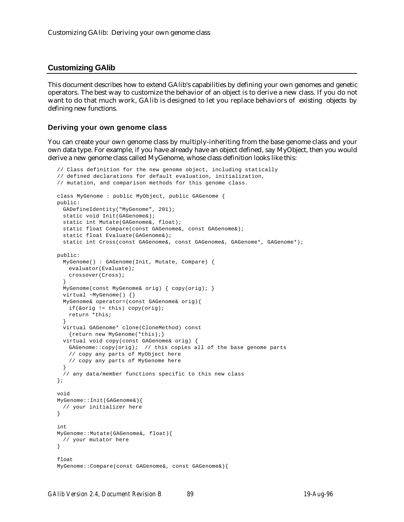# **Customizing GAlib**

This document describes how to extend GAlib's capabilities by defining your own genomes and genetic operators. The best way to customize the behavior of an object is to derive a new class. If you do not want to do that much work, GAlib is designed to let you replace behaviors of existing objects by defining new functions.

## **Deriving your own genome class**

You can create your own genome class by multiply-inheriting from the base genome class and your own data type. For example, if you have already have an object defined, say MyObject, then you would derive a new genome class called MyGenome, whose class definition looks like this:

```
// Class definition for the new genome object, including statically
// defined declarations for default evaluation, initialization,
// mutation, and comparison methods for this genome class.
class MyGenome : public MyObject, public GAGenome {
public:
 GADefineIdentity("MyGenome", 201);
 static void Init(GAGenome&);
 static int Mutate(GAGenome&, float);
 static float Compare(const GAGenome&, const GAGenome&);
 static float Evaluate(GAGenome&);
 static int Cross(const GAGenome&, const GAGenome&, GAGenome*);
public:
 MyGenome() : GAGenome(Init, Mutate, Compare) {
   evaluator(Evaluate);
   crossover(Cross);
  }
 MyGenome(const MyGenome& orig) { copy(orig); }
 virtual ~MyGenome() {}
 MyGenome& operator=(const GAGenome& orig){
   if(&orig != this) copy(orig);
   return *this;
  }
 virtual GAGenome* clone(CloneMethod) const
   {return new MyGenome(*this);}
 virtual void copy(const GAGenome& orig) {
   GAGenome::copy(orig); // this copies all of the base genome parts
   // copy any parts of MyObject here
   // copy any parts of MyGenome here
 }
  // any data/member functions specific to this new class
};
void
MyGenome::Init(GAGenome&){
 // your initializer here
}
int
MyGenome::Mutate(GAGenome&, float){
 // your mutator here
}
float
MyGenome::Compare(const GAGenome&, const GAGenome&){
```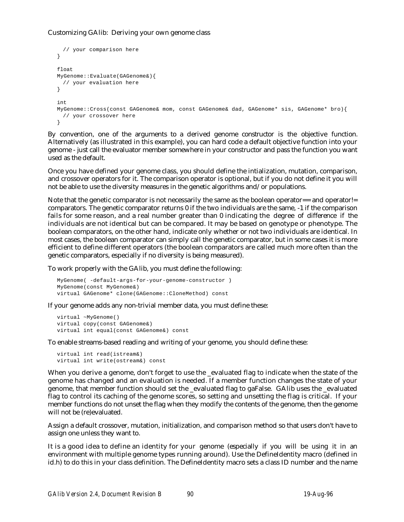## Customizing GAlib: Deriving your own genome class

```
// your comparison here
}
float
MyGenome::Evaluate(GAGenome&){
 // your evaluation here
}
int
MyGenome::Cross(const GAGenome& mom, const GAGenome& dad, GAGenome* sis, GAGenome* bro){
 // your crossover here
}
```
By convention, one of the arguments to a derived genome constructor is the objective function. Alternatively (as illustrated in this example), you can hard code a default objective function into your genome - just call the evaluator member somewhere in your constructor and pass the function you want used as the default.

Once you have defined your genome class, you should define the intialization, mutation, comparison, and crossover operators for it. The comparison operator is optional, but if you do not define it you will not be able to use the diversity measures in the genetic algorithms and/or populations.

Note that the genetic comparator is not necessarily the same as the boolean operator== and operator!= comparators. The genetic comparator returns 0 if the two individuals are the same, -1 if the comparison fails for some reason, and a real number greater than 0 indicating the degree of difference if the individuals are not identical but can be compared. It may be based on genotype or phenotype. The boolean comparators, on the other hand, indicate only whether or not two individuals are identical. In most cases, the boolean comparator can simply call the genetic comparator, but in some cases it is more efficient to define different operators (the boolean comparators are called much more often than the genetic comparators, especially if no diversity is being measured).

To work properly with the GAlib, you must define the following:

```
MyGenome( -default-args-for-your-genome-constructor )
MyGenome(const MyGenome&)
virtual GAGenome* clone(GAGenome::CloneMethod) const
```
If your genome adds any non-trivial member data, you must define these:

virtual ~MyGenome() virtual copy(const GAGenome&) virtual int equal(const GAGenome&) const

To enable streams-based reading and writing of your genome, you should define these:

```
virtual int read(istream&)
virtual int write(ostream&) const
```
When you derive a genome, don't forget to use the \_evaluated flag to indicate when the state of the genome has changed and an evaluation is needed. If a member function changes the state of your genome, that member function should set the \_evaluated flag to gaFalse. GAlib uses the \_evaluated flag to control its caching of the genome scores, so setting and unsetting the flag is critical. If your member functions do not unset the flag when they modify the contents of the genome, then the genome will not be (re)evaluated.

Assign a default crossover, mutation, initialization, and comparison method so that users don't have to assign one unless they want to.

It is a good idea to define an identity for your genome (especially if you will be using it in an environment with multiple genome types running around). Use the DefineIdentity macro (defined in id.h) to do this in your class definition. The DefineIdentity macro sets a class ID number and the name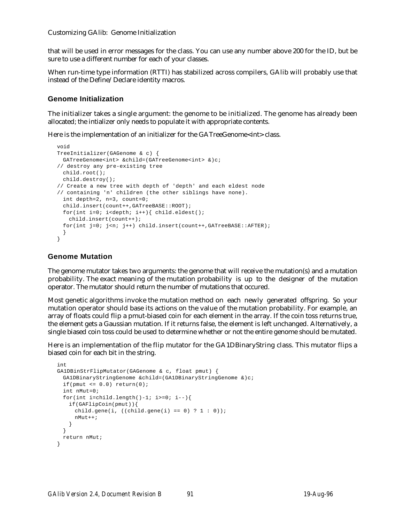Customizing GAlib: Genome Initialization

that will be used in error messages for the class. You can use any number above 200 for the ID, but be sure to use a different number for each of your classes.

When run-time type information (RTTI) has stabilized across compilers, GAlib will probably use that instead of the Define/Declare identity macros.

## **Genome Initialization**

The initializer takes a single argument: the genome to be initialized. The genome has already been allocated; the intializer only needs to populate it with appropriate contents.

Here is the implementation of an initializer for the GATreeGenome<int>class.

```
void
TreeInitializer(GAGenome & c) {
 GATreeGenome<int> &child=(GATreeGenome<int> &)c;
// destroy any pre-existing tree
 child.root();
 child.destroy();
// Create a new tree with depth of 'depth' and each eldest node
// containing 'n' children (the other siblings have none).
 int depth=2, n=3, count=0;
 child.insert(count++,GATreeBASE::ROOT);
 for(int i=0; i<depth; i++){ child.eldest();
   child.insert(count++);
 for(int j=0; j<n; j++) child.insert(count++,GATreeBASE::AFTER);
 }
}
```
## **Genome Mutation**

The genome mutator takes two arguments: the genome that will receive the mutation(s) and a mutation probability. The exact meaning of the mutation probability is up to the designer of the mutation operator. The mutator should return the number of mutations that occured.

Most genetic algorithms invoke the mutation method on each newly generated offspring. So your mutation operator should base its actions on the value of the mutation probability. For example, an array of floats could flip a pmut-biased coin for each element in the array. If the coin toss returns true, the element gets a Gaussian mutation. If it returns false, the element is left unchanged. Alternatively, a single biased coin toss could be used to determine whether or not the entire genome should be mutated.

Here is an implementation of the flip mutator for the GA1DBinaryString class. This mutator flips a biased coin for each bit in the string.

```
int
GA1DBinStrFlipMutator(GAGenome & c, float pmut) {
 GA1DBinaryStringGenome &child=(GA1DBinaryStringGenome &)c;
 if(pmut \leq 0.0) return(0);
 int nMut=0;
 for(int i=child.length()-1; i>=0; i--){
   if(GAFlipCoin(pmut)){
     child.gene(i, ((child.gene(i) == 0) ? 1 : 0));nMut++;
   }
 }
 return nMut;
}
```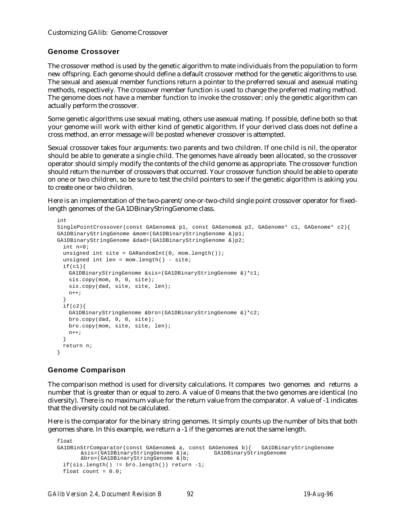# **Genome Crossover**

The crossover method is used by the genetic algorithm to mate individuals from the population to form new offspring. Each genome should define a default crossover method for the genetic algorithms to use. The sexual and asexual member functions return a pointer to the preferred sexual and asexual mating methods, respectively. The crossover member function is used to change the preferred mating method. The genome does not have a member function to invoke the crossover; only the genetic algorithm can actually perform the crossover.

Some genetic algorithms use sexual mating, others use asexual mating. If possible, define both so that your genome will work with either kind of genetic algorithm. If your derived class does not define a cross method, an error message will be posted whenever crossover is attempted.

Sexual crossover takes four arguments: two parents and two children. If one child is nil, the operator should be able to generate a single child. The genomes have already been allocated, so the crossover operator should simply modify the contents of the child genome as appropriate. The crossover function should return the number of crossovers that occurred. Your crossover function should be able to operate on one or two children, so be sure to test the child pointers to see if the genetic algorithm is asking you to create one or two children.

Here is an implementation of the two-parent/one-or-two-child single point crossover operator for fixedlength genomes of the GA1DBinaryStringGenome class.

```
int
SinglePointCrossover(const GAGenome& p1, const GAGenome& p2, GAGenome* c1, GAGenome* c2){
GA1DBinaryStringGenome &mom=(GA1DBinaryStringGenome &)p1;
GA1DBinaryStringGenome &dad=(GA1DBinaryStringGenome &)p2;
 int n=0;
 unsigned int site = GARandomInt(0, mom.length());
 unsigned int len = mom.length() - site;
 if(c1)GA1DBinaryStringGenome &sis=(GA1DBinaryStringGenome &)*c1;
   sis.copy(mom, 0, 0, site);
   sis.copy(dad, site, site, len);
   n++;}
 if(c2)GA1DBinaryStringGenome &bro=(GA1DBinaryStringGenome &)*c2;
   bro.copy(dad, 0, 0, site);
   bro.copy(mom, site, site, len);
   n++;}
 return n;
}
```
# **Genome Comparison**

The comparison method is used for diversity calculations. It compares two genomes and returns a number that is greater than or equal to zero. A value of 0 means that the two genomes are identical (no diversity). There is no maximum value for the return value from the comparator. A value of -1 indicates that the diversity could not be calculated.

Here is the comparator for the binary string genomes. It simply counts up the number of bits that both genomes share. In this example, we return a -1 if the genomes are not the same length.

```
float
GA1DBinStrComparator(const GAGenome& a, const GAGenome& b){ GA1DBinaryStringGenome<br>
&sis=(GA1DBinaryStringGenome &)a; GA1DBinaryStringGenome
         &sis=(GA1DBinaryStringGenome &s)a;
         &bro=(GA1DBinaryStringGenome &)b;
  if(sis.length() != bro.length()) return -1;
  float count = 0.0;
```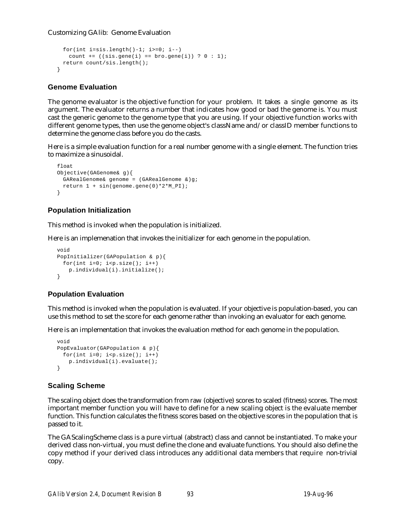Customizing GAlib: Genome Evaluation

```
for(int i=sis.length()-1; i>=0; i=-)
   count += ((sis.gene(i) == bro.gene(i)) ? 0 : 1);
 return count/sis.length();
}
```
# **Genome Evaluation**

The genome evaluator is the objective function for your problem. It takes a single genome as its argument. The evaluator returns a number that indicates how good or bad the genome is. You must cast the generic genome to the genome type that you are using. If your objective function works with different genome types, then use the genome object's className and/or classID member functions to determine the genome class before you do the casts.

Here is a simple evaluation function for a real number genome with a single element. The function tries to maximize a sinusoidal.

```
float
Objective(GAGenome& g){
  GARealGenome& genome = (GARealGenome &)q;
  return 1 + \sin(\theta)enome.gene(0) * 2 * M_P I;
}
```
# **Population Initialization**

This method is invoked when the population is initialized.

Here is an implemenation that invokes the initializer for each genome in the population.

```
void
PopInitializer(GAPopulation & p){
 for(int i=0; i < p.size(); i++)
   p.individual(i).initialize();
}
```
# **Population Evaluation**

This method is invoked when the population is evaluated. If your objective is population-based, you can use this method to set the score for each genome rather than invoking an evaluator for each genome.

Here is an implementation that invokes the evaluation method for each genome in the population.

```
void
PopEvaluator(GAPopulation & p){
 for(int i=0; i < p.size(); i++)p.individual(i).evaluate();
}
```
# **Scaling Scheme**

The scaling object does the transformation from raw (objective) scores to scaled (fitness) scores. The most important member function you will have to define for a new scaling object is the evaluate member function. This function calculates the fitness scores based on the objective scores in the population that is passed to it.

The GAScalingScheme class is a pure virtual (abstract) class and cannot be instantiated. To make your derived class non-virtual, you must define the clone and evaluate functions. You should also define the copy method if your derived class introduces any additional data members that require non-trivial copy.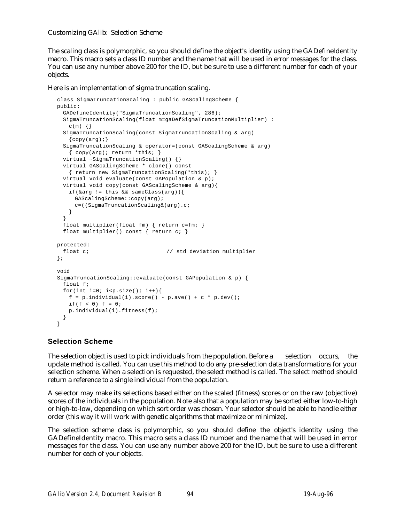Customizing GAlib: Selection Scheme

The scaling class is polymorphic, so you should define the object's identity using the GADefineIdentity macro. This macro sets a class ID number and the name that will be used in error messages for the class. You can use any number above 200 for the ID, but be sure to use a different number for each of your objects.

## Here is an implementation of sigma truncation scaling.

```
class SigmaTruncationScaling : public GAScalingScheme {
public:
 GADefineIdentity("SigmaTruncationScaling", 286);
 SigmaTruncationScaling(float m=gaDefSigmaTruncationMultiplier) :
   c(m) { }
 SigmaTruncationScaling(const SigmaTruncationScaling & arg)
   \{copy(arg); \}SigmaTruncationScaling & operator=(const GAScalingScheme & arg)
   { copy(arg); return *this; }
 virtual ~SigmaTruncationScaling() {}
 virtual GAScalingScheme * clone() const
   { return new SigmaTruncationScaling(*this); }
 virtual void evaluate(const GAPopulation & p);
 virtual void copy(const GAScalingScheme & arg){
   if(&arg != this && sameClass(arg)){
     GAScalingScheme::copy(arg);
     c=((SigmaTruncationScaling&)arg).c;
   }
  }
 float multiplier(float fm) { return c=fm; }
 float multiplier() const { return c; }
protected:
 float c; \frac{1}{2} // std deviation multiplier
};
void
SigmaTruncationScaling::evaluate(const GAPopulation & p) {
 float f;
 for(int i=0; i<p.size(); i++){
   f = p.individual(i).score() - p.ave() + c * p.dev();
   if(f < 0) f = 0;p.individual(i).fitness(f);
 }
}
```
# **Selection Scheme**

The selection object is used to pick individuals from the population. Before a selection occurs, the update method is called. You can use this method to do any pre-selection data transformations for your selection scheme. When a selection is requested, the select method is called. The select method should return a reference to a single individual from the population.

A selector may make its selections based either on the scaled (fitness) scores or on the raw (objective) scores of the individuals in the population. Note also that a population may be sorted either low-to-high or high-to-low, depending on which sort order was chosen. Your selector should be able to handle either order (this way it will work with genetic algorithms that maximize or minimize).

The selection scheme class is polymorphic, so you should define the object's identity using the GADefineIdentity macro. This macro sets a class ID number and the name that will be used in error messages for the class. You can use any number above 200 for the ID, but be sure to use a different number for each of your objects.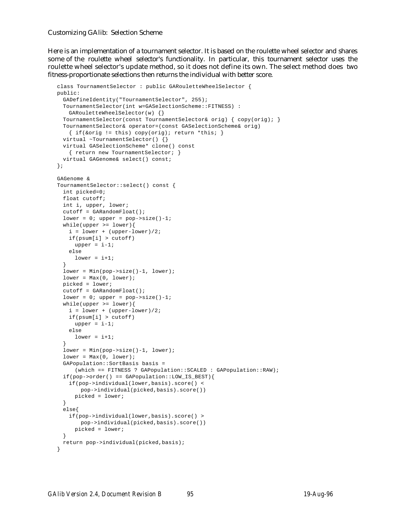Customizing GAlib: Selection Scheme

Here is an implementation of a tournament selector. It is based on the roulette wheel selector and shares some of the roulette wheel selector's functionality. In particular, this tournament selector uses the roulette wheel selector's update method, so it does not define its own. The select method does two fitness-proportionate selections then returns the individual with better score.

```
class TournamentSelector : public GARouletteWheelSelector {
public:
 GADefineIdentity("TournamentSelector", 255);
 TournamentSelector(int w=GASelectionScheme::FITNESS) :
   GARouletteWheelSelector(w) {}
 TournamentSelector(const TournamentSelector& orig) { copy(orig); }
 TournamentSelector& operator=(const GASelectionScheme& orig)
   \{ \text{ if}(\text{&orig} := \text{this}) \text{ copy}(\text{orig}) \} return *this; \}virtual ~TournamentSelector() {}
 virtual GASelectionScheme* clone() const
   { return new TournamentSelector; }
 virtual GAGenome& select() const;
};
GAGenome &
TournamentSelector::select() const {
 int picked=0;
 float cutoff;
 int i, upper, lower;
 cutoff = GARandomFloat();
 lower = 0; upper = pop->size() -1;while(upper >= lower){
   i = lower + (upper-lower)/2;
   if(psum[i] > cutoff)
     upper = i-1;else
     lower = i+1;}
 lower = Min(pop->size()-1, lower);
 lower = Max(0, lower);picked = lower;
 cutoff = GARandomFloat();
 lower = 0; upper = pop\rightarrow size() - 1;
 while(upper >= lower){
   i = lower + (upper-lower)/2;if(psum[i] > cutoff)
     upper = i-1;else
     lower = i+1;}
 lower = Min(pop->size() -1, lower);lower = Max(0, lower);GAPopulation::SortBasis basis =
     (which == FITNESS ? GAPopulation::SCALED : GAPopulation::RAW);
 if(pop->order() == GAPopulation::LOW_IS_BEST){
   if(pop->individual(lower,basis).score() <
       pop->individual(picked,basis).score())
     picked = lower;
  }
 else{
   if(pop->individual(lower,basis).score() >
       pop->individual(picked,basis).score())
     picked = lower;
  }
 return pop->individual(picked,basis);
}
```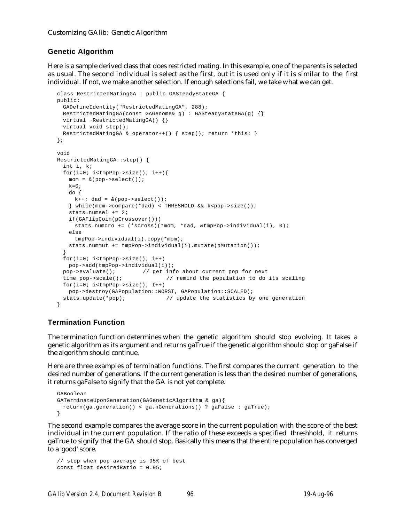# **Genetic Algorithm**

Here is a sample derived class that does restricted mating. In this example, one of the parents is selected as usual. The second individual is select as the first, but it is used only if it is similar to the first individual. If not, we make another selection. If enough selections fail, we take what we can get.

```
class RestrictedMatingGA : public GASteadyStateGA {
public:
 GADefineIdentity("RestrictedMatingGA", 288);
 RestrictedMatingGA(const GAGenome& g) : GASteadyStateGA(g) {}
 virtual ~RestrictedMatingGA() {}
 virtual void step();
 RestrictedMatingGA & operator++() { step(); return *this; }
};
void
RestrictedMatingGA::step() {
 int i, k;
 for(i=0; i<tmpPop->size(); i++){
   mom = &(pop->select());
   k=0;do {
    k++; dad = \&(pop->select();
   } while(mom->compare(*dad) < THRESHOLD && k<pop->size());
   stats.numsel += 2;
   if(GAFlipCoin(pCrossover()))
     stats.numcro += (*scross)(*mom, *dad, &tmpPop->individual(i), 0);
   else
     tmpPop->individual(i).copy(*mom);
   stats.nummut += tmpPop->individual(i).mutate(pMutation());
  }
 for(i=0; i<tmpPop->size(); i++)
  pop->add(tmpPop->individual(i));
 pop->evaluate(); // get info about current pop for next
 time pop->scale(); \frac{1}{2} // remind the population to do its scaling
 for(i=0; i<tmpPop->size(); I++)
   pop->destroy(GAPopulation::WORST, GAPopulation::SCALED);
 stats.update(*pop); \frac{1}{2} // update the statistics by one generation
}
```
# **Termination Function**

The termination function determines when the genetic algorithm should stop evolving. It takes a genetic algorithm as its argument and returns gaTrue if the genetic algorithm should stop or gaFalse if the algorithm should continue.

Here are three examples of termination functions. The first compares the current generation to the desired number of generations. If the current generation is less than the desired number of generations, it returns gaFalse to signify that the GA is not yet complete.

```
GABoolean
GATerminateUponGeneration(GAGeneticAlgorithm & ga){
 return(ga.generation() < ga.nGenerations() ? gaFalse : gaTrue);
}
```
The second example compares the average score in the current population with the score of the best individual in the current population. If the ratio of these exceeds a specified threshhold, it returns gaTrue to signify that the GA should stop. Basically this means that the entire population has converged to a 'good' score.

```
// stop when pop average is 95% of best
const float desiredRatio = 0.95;
```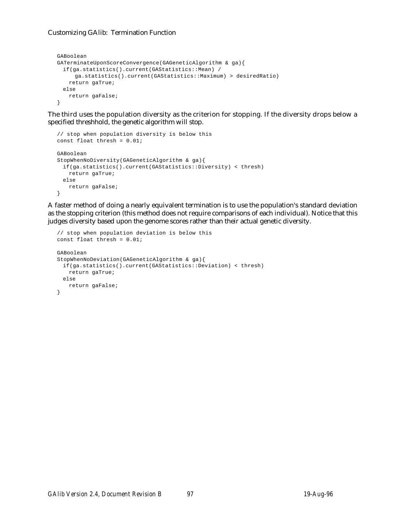## Customizing GAlib: Termination Function

```
GABoolean
GATerminateUponScoreConvergence(GAGeneticAlgorithm & ga){
 if(ga.statistics().current(GAStatistics::Mean) /
     ga.statistics().current(GAStatistics::Maximum) > desiredRatio)
   return gaTrue;
 else
   return gaFalse;
}
```
The third uses the population diversity as the criterion for stopping. If the diversity drops below a specified threshhold, the genetic algorithm will stop.

```
// stop when population diversity is below this
const float thresh = 0.01;
GABoolean
StopWhenNoDiversity(GAGeneticAlgorithm & ga){
 if(ga.statistics().current(GAStatistics::Diversity) < thresh)
   return gaTrue;
 else
   return gaFalse;
}
```
A faster method of doing a nearly equivalent termination is to use the population's standard deviation as the stopping criterion (this method does not require comparisons of each individual). Notice that this judges diversity based upon the genome scores rather than their actual genetic diversity.

```
// stop when population deviation is below this
const float thresh = 0.01;
GABoolean
StopWhenNoDeviation(GAGeneticAlgorithm & ga){
 if(ga.statistics().current(GAStatistics::Deviation) < thresh)
   return gaTrue;
 else
   return gaFalse;
}
```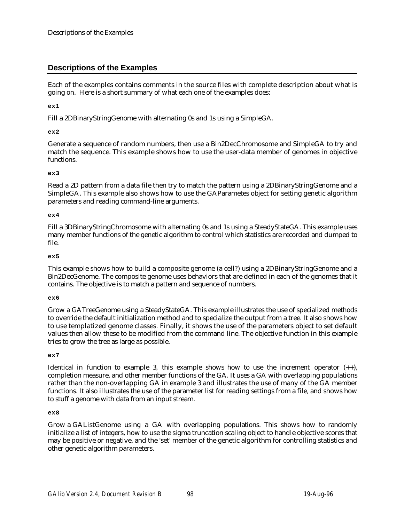Each of the examples contains comments in the source files with complete description about what is going on. Here is a short summary of what each one of the examples does:

**ex1**

Fill a 2DBinaryStringGenome with alternating 0s and 1s using a SimpleGA.

## **ex2**

Generate a sequence of random numbers, then use a Bin2DecChromosome and SimpleGA to try and match the sequence. This example shows how to use the user-data member of genomes in objective functions.

## **ex3**

Read a 2D pattern from a data file then try to match the pattern using a 2DBinaryStringGenome and a SimpleGA. This example also shows how to use the GAParametes object for setting genetic algorithm parameters and reading command-line arguments.

## **ex4**

Fill a 3DBinaryStringChromosome with alternating 0s and 1s using a SteadyStateGA. This example uses many member functions of the genetic algorithm to control which statistics are recorded and dumped to file.

## **ex5**

This example shows how to build a composite genome (a cell?) using a 2DBinaryStringGenome and a Bin2DecGenome. The composite genome uses behaviors that are defined in each of the genomes that it contains. The objective is to match a pattern and sequence of numbers.

#### **ex6**

Grow a GATreeGenome using a SteadyStateGA. This example illustrates the use of specialized methods to override the default initialization method and to specialize the output from a tree. It also shows how to use templatized genome classes. Finally, it shows the use of the parameters object to set default values then allow these to be modified from the command line. The objective function in this example tries to grow the tree as large as possible.

#### **ex7**

Identical in function to example 3, this example shows how to use the increment operator  $(+)$ , completion measure, and other member functions of the GA. It uses a GA with overlapping populations rather than the non-overlapping GA in example 3 and illustrates the use of many of the GA member functions. It also illustrates the use of the parameter list for reading settings from a file, and shows how to stuff a genome with data from an input stream.

#### **ex8**

Grow a GAListGenome using a GA with overlapping populations. This shows how to randomly initialize a list of integers, how to use the sigma truncation scaling object to handle objective scores that may be positive or negative, and the 'set' member of the genetic algorithm for controlling statistics and other genetic algorithm parameters.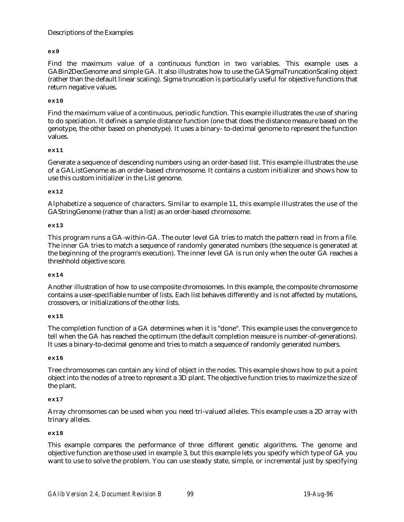## **ex9**

Find the maximum value of a continuous function in two variables. This example uses a GABin2DecGenome and simple GA. It also illustrates how to use the GASigmaTruncationScaling object (rather than the default linear scaling). Sigma truncation is particularly useful for objective functions that return negative values.

## **ex10**

Find the maximum value of a continuous, periodic function. This example illustrates the use of sharing to do speciation. It defines a sample distance function (one that does the distance measure based on the genotype, the other based on phenotype). It uses a binary- to-decimal genome to represent the function values.

## **ex11**

Generate a sequence of descending numbers using an order-based list. This example illustrates the use of a GAListGenome as an order-based chromosome. It contains a custom initializer and shows how to use this custom initializer in the List genome.

## **ex12**

Alphabetize a sequence of characters. Similar to example 11, this example illustrates the use of the GAStringGenome (rather than a list) as an order-based chromosome.

## **ex13**

This program runs a GA-within-GA. The outer level GA tries to match the pattern read in from a file. The inner GA tries to match a sequence of randomly generated numbers (the sequence is generated at the beginning of the program's execution). The inner level GA is run only when the outer GA reaches a threshhold objective score.

#### **ex14**

Another illustration of how to use composite chromosomes. In this example, the composite chromosome contains a user-specifiable number of lists. Each list behaves differently and is not affected by mutations, crossovers, or initializations of the other lists.

#### **ex15**

The completion function of a GA determines when it is "done". This example uses the convergence to tell when the GA has reached the optimum (the default completion measure is number-of-generations). It uses a binary-to-decimal genome and tries to match a sequence of randomly generated numbers.

#### **ex16**

Tree chromosomes can contain any kind of object in the nodes. This example shows how to put a point object into the nodes of a tree to represent a 3D plant. The objective function tries to maximize the size of the plant.

## **ex17**

Array chromsomes can be used when you need tri-valued alleles. This example uses a 2D array with trinary alleles.

#### **ex18**

This example compares the performance of three different genetic algorithms. The genome and objective function are those used in example 3, but this example lets you specify which type of GA you want to use to solve the problem. You can use steady state, simple, or incremental just by specifying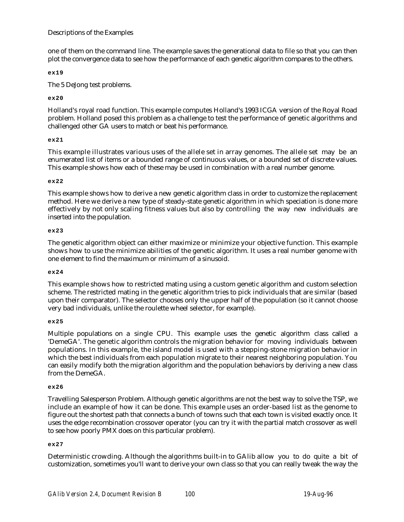one of them on the command line. The example saves the generational data to file so that you can then plot the convergence data to see how the performance of each genetic algorithm compares to the others.

**ex19**

The 5 DeJong test problems.

## **ex20**

Holland's royal road function. This example computes Holland's 1993 ICGA version of the Royal Road problem. Holland posed this problem as a challenge to test the performance of genetic algorithms and challenged other GA users to match or beat his performance.

## **ex21**

This example illustrates various uses of the allele set in array genomes. The allele set may be an enumerated list of items or a bounded range of continuous values, or a bounded set of discrete values. This example shows how each of these may be used in combination with a real number genome.

## **ex22**

This example shows how to derive a new genetic algorithm class in order to customize the replacement method. Here we derive a new type of steady-state genetic algorithm in which speciation is done more effectively by not only scaling fitness values but also by controlling the way new individuals are inserted into the population.

## **ex23**

The genetic algorithm object can either maximize or minimize your objective function. This example shows how to use the minimize abilities of the genetic algorithm. It uses a real number genome with one element to find the maximum or minimum of a sinusoid.

## **ex24**

This example shows how to restricted mating using a custom genetic algorithm and custom selection scheme. The restricted mating in the genetic algorithm tries to pick individuals that are similar (based upon their comparator). The selector chooses only the upper half of the population (so it cannot choose very bad individuals, unlike the roulette wheel selector, for example).

## **ex25**

Multiple populations on a single CPU. This example uses the genetic algorithm class called a 'DemeGA'. The genetic algorithm controls the migration behavior for moving individuals between populations. In this example, the island model is used with a stepping-stone migration behavior in which the best individuals from each population migrate to their nearest neighboring population. You can easily modify both the migration algorithm and the population behaviors by deriving a new class from the DemeGA.

## **ex26**

Travelling Salesperson Problem. Although genetic algorithms are not the best way to solve the TSP, we include an example of how it can be done. This example uses an order-based list as the genome to figure out the shortest path that connects a bunch of towns such that each town is visited exactly once. It uses the edge recombination crossover operator (you can try it with the partial match crossover as well to see how poorly PMX does on this particular problem).

## **ex27**

Deterministic crowding. Although the algorithms built-in to GAlib allow you to do quite a bit of customization, sometimes you'll want to derive your own class so that you can really tweak the way the